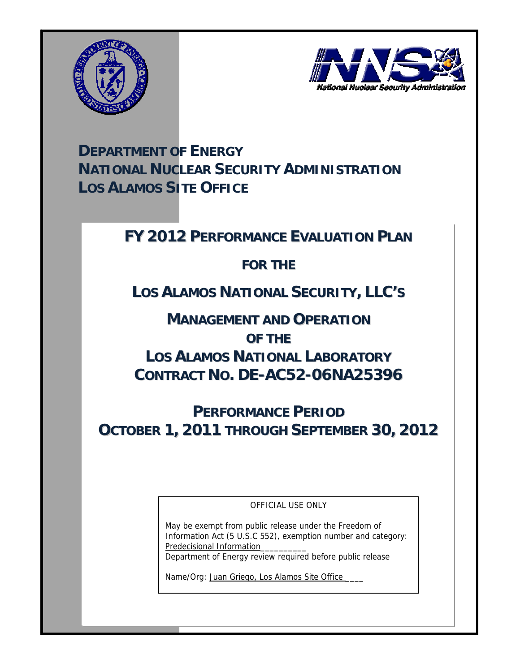



# **DEPARTMENT OF ENERGY NATIONAL NUCLEAR SECURITY ADMINISTRATION LOS ALAMOS SITE OFFICE**

# **FY 2012 PERFORMANCE EVALUATION PLAN**

# **FOR THE**

# **LOS ALAMOS NATIONAL SECURITY, LLC'S**

**MANAGEMENT AND OPERATION OF THE LOS ALAMOS NATIONAL LABORATORY CONTRACT NO. DE-AC52-06NA25396**

**PERFORMANCE PERIOD OCTOBER 1, 2011 THROUGH SEPTEMBER 30, 2012**

OFFICIAL USE ONLY

May be exempt from public release under the Freedom of Information Act (5 U.S.C 552), exemption number and category: Predecisional Information\_\_\_\_\_\_\_\_\_\_

Department of Energy review required before public release

Name/Org: Juan Griego, Los Alamos Site Office \_\_\_\_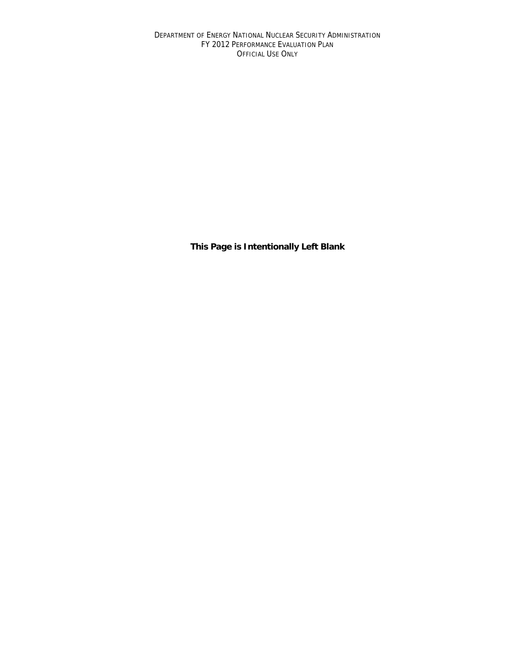**This Page is Intentionally Left Blank**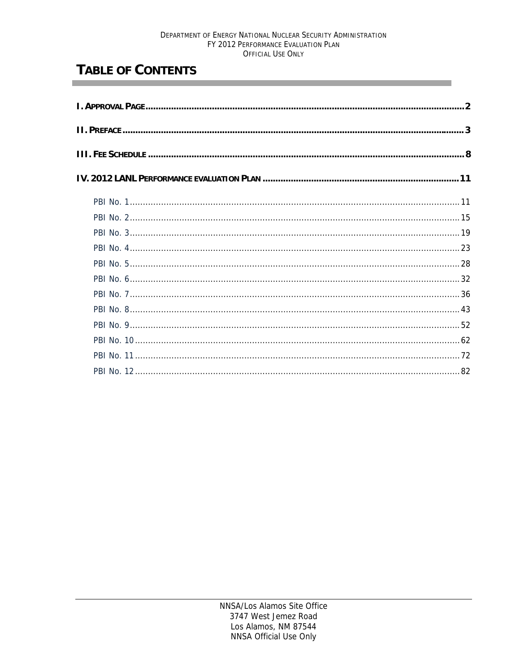# **TABLE OF CONTENTS**

**Tara**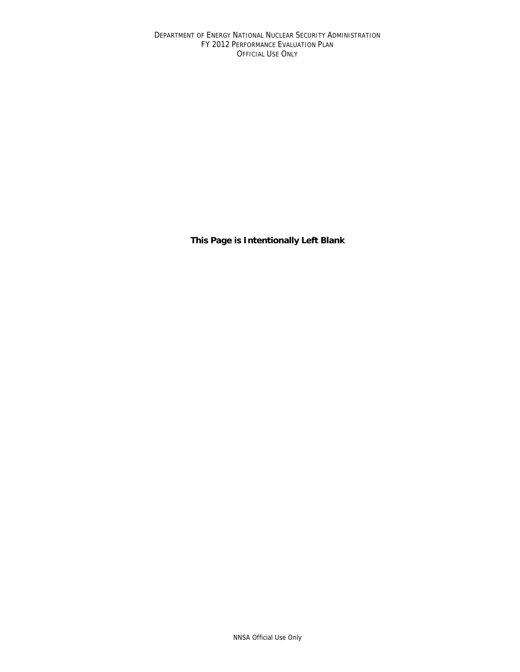**This Page is Intentionally Left Blank**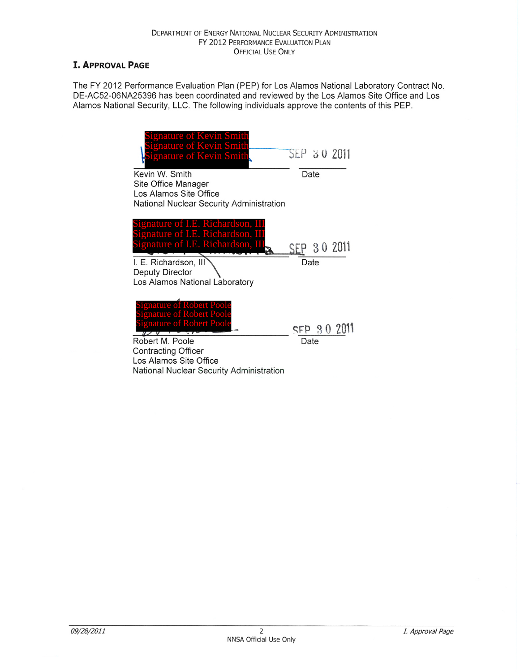### **I. APPROVAL PAGE**

The FY 2012 Performance Evaluation Plan (PEP) for Los Alamos National Laboratory Contract No. DE-AC52-06NA25396 has been coordinated and reviewed by the Los Alamos Site Office and Los Alamos National Security, LLC. The following individuals approve the contents of this PEP.

| ignature of Kevin Smith<br>gnature of Kevin Smith<br>ignature of Kevin Smith,                               | SEP 30 2011 |             |             |
|-------------------------------------------------------------------------------------------------------------|-------------|-------------|-------------|
| Kevin W. Smith                                                                                              |             | Date        |             |
| Site Office Manager<br>Los Alamos Site Office                                                               |             |             |             |
| National Nuclear Security Administration                                                                    |             |             |             |
| Signature of I.E. Richardson, III<br>Signature of I.E. Richardson, III<br>Signature of I.E. Richardson, III |             |             |             |
|                                                                                                             |             | SEP 30 2011 |             |
| I. E. Richardson, III<br>Deputy Director                                                                    |             | Date        |             |
| Los Alamos National Laboratory                                                                              |             |             |             |
| ignature of Robert Poole<br><b>ignature of Robert Poole</b><br><b>Signature of Robert Poole</b>             |             |             | SFP 30 2011 |
| Robert M. Poole                                                                                             |             | Date        |             |
| <b>Contracting Officer</b>                                                                                  |             |             |             |
| Los Alamos Site Office                                                                                      |             |             |             |
| National Nuclear Security Administration                                                                    |             |             |             |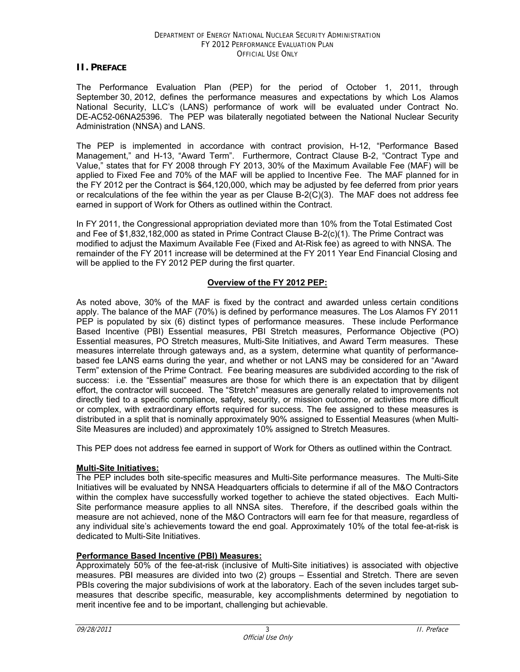#### **II. PREFACE**

The Performance Evaluation Plan (PEP) for the period of October 1, 2011, through September 30, 2012, defines the performance measures and expectations by which Los Alamos National Security, LLC's (LANS) performance of work will be evaluated under Contract No. DE-AC52-06NA25396. The PEP was bilaterally negotiated between the National Nuclear Security Administration (NNSA) and LANS.

The PEP is implemented in accordance with contract provision, H-12, "Performance Based Management," and H-13, "Award Term". Furthermore, Contract Clause B-2, "Contract Type and Value," states that for FY 2008 through FY 2013, 30% of the Maximum Available Fee (MAF) will be applied to Fixed Fee and 70% of the MAF will be applied to Incentive Fee. The MAF planned for in the FY 2012 per the Contract is \$64,120,000, which may be adjusted by fee deferred from prior years or recalculations of the fee within the year as per Clause B-2(C)(3). The MAF does not address fee earned in support of Work for Others as outlined within the Contract.

In FY 2011, the Congressional appropriation deviated more than 10% from the Total Estimated Cost and Fee of \$1,832,182,000 as stated in Prime Contract Clause B-2(c)(1). The Prime Contract was modified to adjust the Maximum Available Fee (Fixed and At-Risk fee) as agreed to with NNSA. The remainder of the FY 2011 increase will be determined at the FY 2011 Year End Financial Closing and will be applied to the FY 2012 PEP during the first quarter.

#### **Overview of the FY 2012 PEP:**

As noted above, 30% of the MAF is fixed by the contract and awarded unless certain conditions apply. The balance of the MAF (70%) is defined by performance measures. The Los Alamos FY 2011 PEP is populated by six (6) distinct types of performance measures. These include Performance Based Incentive (PBI) Essential measures, PBI Stretch measures, Performance Objective (PO) Essential measures, PO Stretch measures, Multi-Site Initiatives, and Award Term measures. These measures interrelate through gateways and, as a system, determine what quantity of performancebased fee LANS earns during the year, and whether or not LANS may be considered for an "Award Term" extension of the Prime Contract. Fee bearing measures are subdivided according to the risk of success: i.e. the "Essential" measures are those for which there is an expectation that by diligent effort, the contractor will succeed. The "Stretch" measures are generally related to improvements not directly tied to a specific compliance, safety, security, or mission outcome, or activities more difficult or complex, with extraordinary efforts required for success. The fee assigned to these measures is distributed in a split that is nominally approximately 90% assigned to Essential Measures (when Multi-Site Measures are included) and approximately 10% assigned to Stretch Measures.

This PEP does not address fee earned in support of Work for Others as outlined within the Contract.

#### **Multi-Site Initiatives:**

The PEP includes both site-specific measures and Multi-Site performance measures. The Multi-Site Initiatives will be evaluated by NNSA Headquarters officials to determine if all of the M&O Contractors within the complex have successfully worked together to achieve the stated objectives. Each Multi-Site performance measure applies to all NNSA sites. Therefore, if the described goals within the measure are not achieved, none of the M&O Contractors will earn fee for that measure, regardless of any individual site's achievements toward the end goal. Approximately 10% of the total fee-at-risk is dedicated to Multi-Site Initiatives.

#### **Performance Based Incentive (PBI) Measures:**

Approximately 50% of the fee-at-risk (inclusive of Multi-Site initiatives) is associated with objective measures. PBI measures are divided into two (2) groups – Essential and Stretch. There are seven PBIs covering the major subdivisions of work at the laboratory. Each of the seven includes target submeasures that describe specific, measurable, key accomplishments determined by negotiation to merit incentive fee and to be important, challenging but achievable.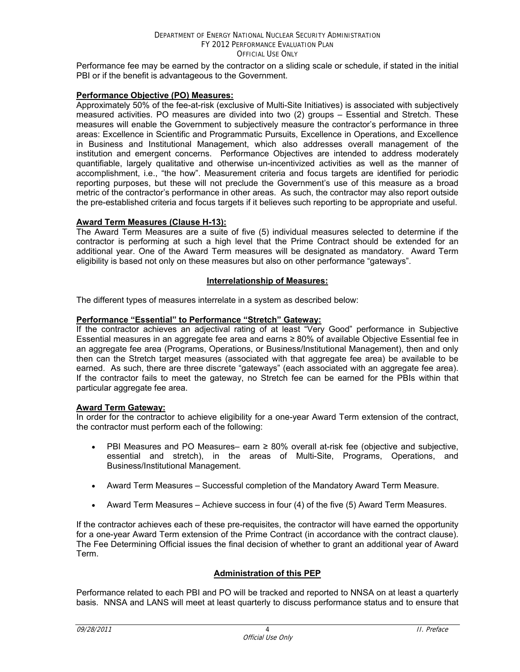Performance fee may be earned by the contractor on a sliding scale or schedule, if stated in the initial PBI or if the benefit is advantageous to the Government.

#### **Performance Objective (PO) Measures:**

Approximately 50% of the fee-at-risk (exclusive of Multi-Site Initiatives) is associated with subjectively measured activities. PO measures are divided into two (2) groups – Essential and Stretch. These measures will enable the Government to subjectively measure the contractor's performance in three areas: Excellence in Scientific and Programmatic Pursuits, Excellence in Operations, and Excellence in Business and Institutional Management, which also addresses overall management of the institution and emergent concerns. Performance Objectives are intended to address moderately quantifiable, largely qualitative and otherwise un-incentivized activities as well as the manner of accomplishment, i.e., "the how". Measurement criteria and focus targets are identified for periodic reporting purposes, but these will not preclude the Government's use of this measure as a broad metric of the contractor's performance in other areas. As such, the contractor may also report outside the pre-established criteria and focus targets if it believes such reporting to be appropriate and useful.

#### **Award Term Measures (Clause H-13):**

The Award Term Measures are a suite of five (5) individual measures selected to determine if the contractor is performing at such a high level that the Prime Contract should be extended for an additional year. One of the Award Term measures will be designated as mandatory. Award Term eligibility is based not only on these measures but also on other performance "gateways".

#### **Interrelationship of Measures:**

The different types of measures interrelate in a system as described below:

#### **Performance "Essential" to Performance "Stretch" Gateway:**

If the contractor achieves an adjectival rating of at least "Very Good" performance in Subjective Essential measures in an aggregate fee area and earns ≥ 80% of available Objective Essential fee in an aggregate fee area (Programs, Operations, or Business/Institutional Management), then and only then can the Stretch target measures (associated with that aggregate fee area) be available to be earned. As such, there are three discrete "gateways" (each associated with an aggregate fee area). If the contractor fails to meet the gateway, no Stretch fee can be earned for the PBIs within that particular aggregate fee area.

#### **Award Term Gateway:**

In order for the contractor to achieve eligibility for a one-year Award Term extension of the contract, the contractor must perform each of the following:

- PBI Measures and PO Measures– earn ≥ 80% overall at-risk fee (objective and subjective, essential and stretch), in the areas of Multi-Site, Programs, Operations, and Business/Institutional Management.
- Award Term Measures Successful completion of the Mandatory Award Term Measure.
- Award Term Measures Achieve success in four (4) of the five (5) Award Term Measures.

If the contractor achieves each of these pre-requisites, the contractor will have earned the opportunity for a one-year Award Term extension of the Prime Contract (in accordance with the contract clause). The Fee Determining Official issues the final decision of whether to grant an additional year of Award Term.

#### **Administration of this PEP**

Performance related to each PBI and PO will be tracked and reported to NNSA on at least a quarterly basis. NNSA and LANS will meet at least quarterly to discuss performance status and to ensure that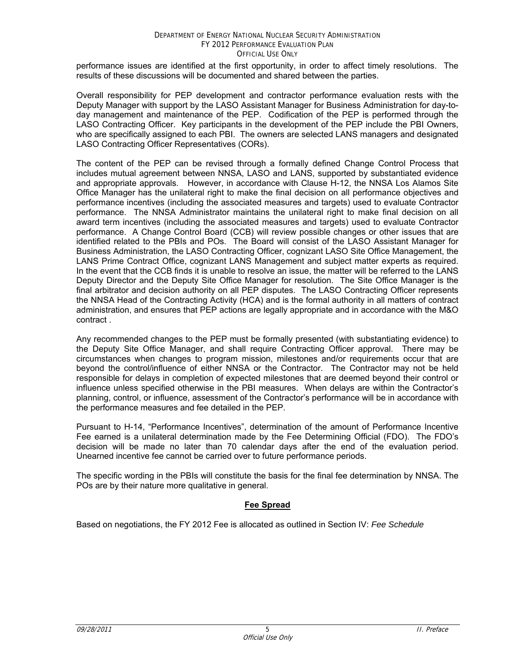performance issues are identified at the first opportunity, in order to affect timely resolutions. The results of these discussions will be documented and shared between the parties.

Overall responsibility for PEP development and contractor performance evaluation rests with the Deputy Manager with support by the LASO Assistant Manager for Business Administration for day-today management and maintenance of the PEP. Codification of the PEP is performed through the LASO Contracting Officer. Key participants in the development of the PEP include the PBI Owners, who are specifically assigned to each PBI. The owners are selected LANS managers and designated LASO Contracting Officer Representatives (CORs).

The content of the PEP can be revised through a formally defined Change Control Process that includes mutual agreement between NNSA, LASO and LANS, supported by substantiated evidence and appropriate approvals. However, in accordance with Clause H-12, the NNSA Los Alamos Site Office Manager has the unilateral right to make the final decision on all performance objectives and performance incentives (including the associated measures and targets) used to evaluate Contractor performance. The NNSA Administrator maintains the unilateral right to make final decision on all award term incentives (including the associated measures and targets) used to evaluate Contractor performance. A Change Control Board (CCB) will review possible changes or other issues that are identified related to the PBIs and POs. The Board will consist of the LASO Assistant Manager for Business Administration, the LASO Contracting Officer, cognizant LASO Site Office Management, the LANS Prime Contract Office, cognizant LANS Management and subject matter experts as required. In the event that the CCB finds it is unable to resolve an issue, the matter will be referred to the LANS Deputy Director and the Deputy Site Office Manager for resolution. The Site Office Manager is the final arbitrator and decision authority on all PEP disputes. The LASO Contracting Officer represents the NNSA Head of the Contracting Activity (HCA) and is the formal authority in all matters of contract administration, and ensures that PEP actions are legally appropriate and in accordance with the M&O contract .

Any recommended changes to the PEP must be formally presented (with substantiating evidence) to the Deputy Site Office Manager, and shall require Contracting Officer approval. There may be circumstances when changes to program mission, milestones and/or requirements occur that are beyond the control/influence of either NNSA or the Contractor. The Contractor may not be held responsible for delays in completion of expected milestones that are deemed beyond their control or influence unless specified otherwise in the PBI measures. When delays are within the Contractor's planning, control, or influence, assessment of the Contractor's performance will be in accordance with the performance measures and fee detailed in the PEP.

Pursuant to H-14, "Performance Incentives", determination of the amount of Performance Incentive Fee earned is a unilateral determination made by the Fee Determining Official (FDO). The FDO's decision will be made no later than 70 calendar days after the end of the evaluation period. Unearned incentive fee cannot be carried over to future performance periods.

The specific wording in the PBIs will constitute the basis for the final fee determination by NNSA. The POs are by their nature more qualitative in general.

### **Fee Spread**

Based on negotiations, the FY 2012 Fee is allocated as outlined in Section IV: *Fee Schedule*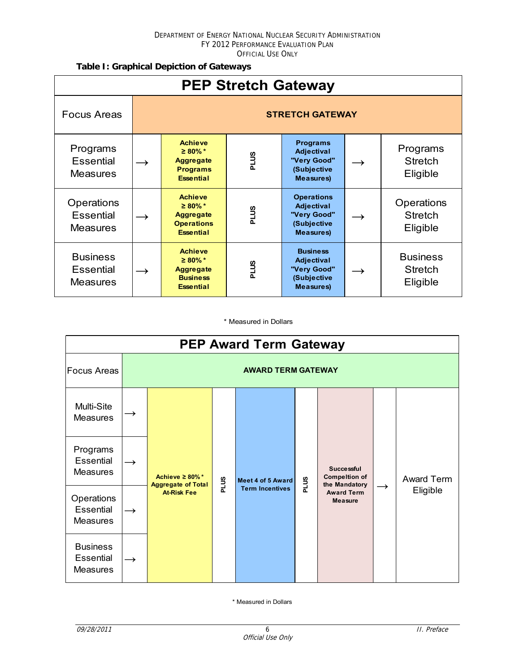#### **Table I: Graphical Depiction of Gateways**

| <b>PEP Stretch Gateway</b>                             |                        |                                                                                              |             |                                                                                         |  |                                               |  |
|--------------------------------------------------------|------------------------|----------------------------------------------------------------------------------------------|-------------|-----------------------------------------------------------------------------------------|--|-----------------------------------------------|--|
| <b>Focus Areas</b>                                     | <b>STRETCH GATEWAY</b> |                                                                                              |             |                                                                                         |  |                                               |  |
| Programs<br><b>Essential</b><br><b>Measures</b>        |                        | <b>Achieve</b><br>$\geq 80\%$ *<br><b>Aggregate</b><br><b>Programs</b><br><b>Essential</b>   | <b>PLUS</b> | <b>Programs</b><br><b>Adjectival</b><br>"Very Good"<br>(Subjective<br><b>Measures)</b>  |  | Programs<br><b>Stretch</b><br>Eligible        |  |
| Operations<br><b>Essential</b><br><b>Measures</b>      | $\rightarrow$          | <b>Achieve</b><br>$\geq 80\%$ *<br><b>Aggregate</b><br><b>Operations</b><br><b>Essential</b> | <b>PLUS</b> | <b>Operations</b><br>Adjectival<br>"Very Good"<br>(Subjective<br><b>Measures)</b>       |  | Operations<br><b>Stretch</b><br>Eligible      |  |
| <b>Business</b><br><b>Essential</b><br><b>Measures</b> |                        | <b>Achieve</b><br>$\geq 80\%$ *<br><b>Aggregate</b><br><b>Business</b><br><b>Essential</b>   | <b>PLUS</b> | <b>Business</b><br><b>Adjectival</b><br>"Very Good"<br>(Subjective<br><b>Measures</b> ) |  | <b>Business</b><br><b>Stretch</b><br>Eligible |  |

\* Measured in Dollars



\* Measured in Dollars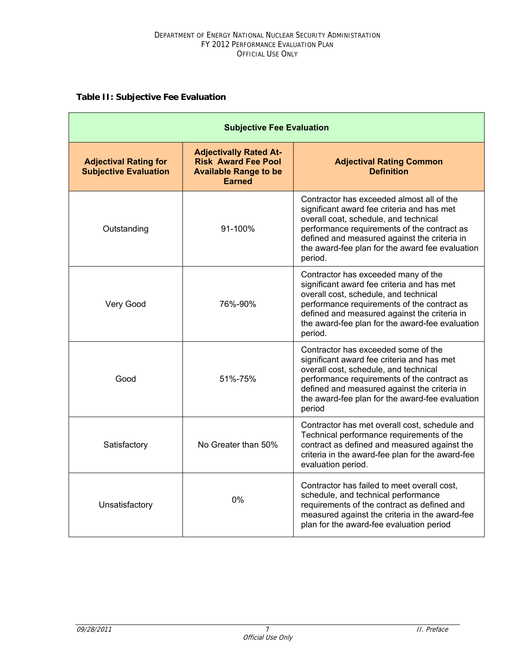## **Table II: Subjective Fee Evaluation**

| <b>Subjective Fee Evaluation</b>                             |                                                                                                              |                                                                                                                                                                                                                                                                                               |  |  |  |
|--------------------------------------------------------------|--------------------------------------------------------------------------------------------------------------|-----------------------------------------------------------------------------------------------------------------------------------------------------------------------------------------------------------------------------------------------------------------------------------------------|--|--|--|
| <b>Adjectival Rating for</b><br><b>Subjective Evaluation</b> | <b>Adjectivally Rated At-</b><br><b>Risk Award Fee Pool</b><br><b>Available Range to be</b><br><b>Earned</b> | <b>Adjectival Rating Common</b><br><b>Definition</b>                                                                                                                                                                                                                                          |  |  |  |
| Outstanding                                                  | $91 - 100\%$                                                                                                 | Contractor has exceeded almost all of the<br>significant award fee criteria and has met<br>overall coat, schedule, and technical<br>performance requirements of the contract as<br>defined and measured against the criteria in<br>the award-fee plan for the award fee evaluation<br>period. |  |  |  |
| Very Good                                                    | 76%-90%                                                                                                      | Contractor has exceeded many of the<br>significant award fee criteria and has met<br>overall cost, schedule, and technical<br>performance requirements of the contract as<br>defined and measured against the criteria in<br>the award-fee plan for the award-fee evaluation<br>period.       |  |  |  |
| Good                                                         | 51%-75%                                                                                                      | Contractor has exceeded some of the<br>significant award fee criteria and has met<br>overall cost, schedule, and technical<br>performance requirements of the contract as<br>defined and measured against the criteria in<br>the award-fee plan for the award-fee evaluation<br>period        |  |  |  |
| Satisfactory                                                 | No Greater than 50%                                                                                          | Contractor has met overall cost, schedule and<br>Technical performance requirements of the<br>contract as defined and measured against the<br>criteria in the award-fee plan for the award-fee<br>evaluation period.                                                                          |  |  |  |
| Unsatisfactory                                               | 0%                                                                                                           | Contractor has failed to meet overall cost,<br>schedule, and technical performance<br>requirements of the contract as defined and<br>measured against the criteria in the award-fee<br>plan for the award-fee evaluation period                                                               |  |  |  |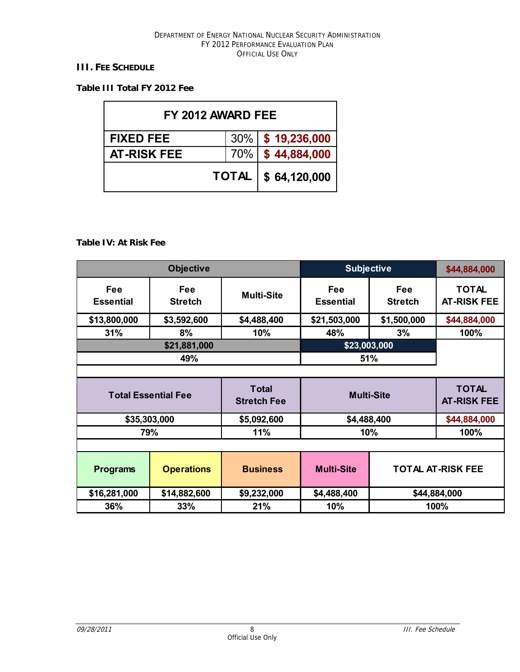# **III. FEE SCHEDULE**

 $\overline{ }$ 

**Table III Total FY 2012 Fee** 

| FY 2012 AWARD FEE  |       |                       |  |  |
|--------------------|-------|-----------------------|--|--|
| <b>FIXED FEE</b>   |       | $30\%$ \$ 19,236,000  |  |  |
| <b>AT-RISK FEE</b> | 70% l | \$44,884,000          |  |  |
|                    |       | TOTAL   \$ 64,120,000 |  |  |

#### **Table IV: At Risk Fee**

| <b>Objective</b>        |                            |                                    | <b>Subjective</b>                                       |             | \$44,884,000                       |  |  |
|-------------------------|----------------------------|------------------------------------|---------------------------------------------------------|-------------|------------------------------------|--|--|
| Fee<br><b>Essential</b> | Fee<br><b>Stretch</b>      | <b>Multi-Site</b>                  | Fee<br><b>Fee</b><br><b>Stretch</b><br><b>Essential</b> |             | <b>TOTAL</b><br><b>AT-RISK FEE</b> |  |  |
| \$13,800,000            | \$3,592,600                | \$4,488,400                        | \$21,503,000                                            | \$1,500,000 | \$44,884,000                       |  |  |
| 31%                     | 8%                         | 10%                                | 48%                                                     | 3%          | 100%                               |  |  |
|                         | \$21,881,000               |                                    | \$23,003,000                                            |             |                                    |  |  |
|                         | 49%                        |                                    |                                                         | 51%         |                                    |  |  |
|                         |                            |                                    |                                                         |             |                                    |  |  |
|                         | <b>Total Essential Fee</b> | <b>Total</b><br><b>Stretch Fee</b> | <b>Multi-Site</b>                                       |             | <b>TOTAL</b><br><b>AT-RISK FEE</b> |  |  |
|                         | \$35,303,000               | \$5,092,600                        | \$4,488,400                                             |             | \$44,884,000                       |  |  |
|                         | 79%                        | 11%                                |                                                         | 10%         | 100%                               |  |  |
|                         |                            |                                    |                                                         |             |                                    |  |  |
| <b>Programs</b>         | <b>Operations</b>          | <b>Business</b>                    | <b>Multi-Site</b>                                       |             | <b>TOTAL AT-RISK FEE</b>           |  |  |
| \$16,281,000            | \$14,882,600               | \$9,232,000                        | \$4,488,400                                             |             | \$44,884,000                       |  |  |
| 36%                     | 33%                        | 21%                                | 10%                                                     |             | 100%                               |  |  |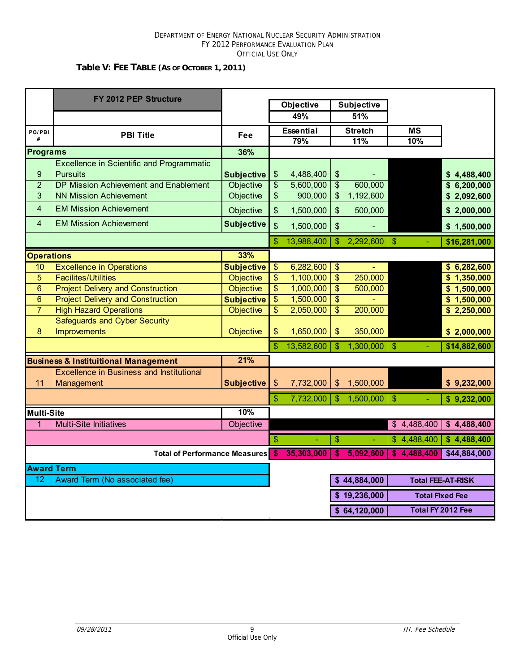# **Table V: FEE TABLE (AS OF OCTOBER 1, 2011)**

|                   | FY 2012 PEP Structure                            |                   |                 | Objective        |                           | <b>Subjective</b> |                          |             |                          |
|-------------------|--------------------------------------------------|-------------------|-----------------|------------------|---------------------------|-------------------|--------------------------|-------------|--------------------------|
|                   |                                                  |                   |                 | 49%              |                           | 51%               |                          |             |                          |
| PO/PBI            |                                                  |                   |                 | <b>Essential</b> |                           | <b>Stretch</b>    |                          | <b>MS</b>   |                          |
| #                 | <b>PBI Title</b>                                 | Fee               |                 | 79%              |                           | 11%               |                          | 10%         |                          |
| <b>Programs</b>   |                                                  | 36%               |                 |                  |                           |                   |                          |             |                          |
|                   | <b>Excellence in Scientific and Programmatic</b> |                   |                 |                  |                           |                   |                          |             |                          |
| 9                 | <b>Pursuits</b>                                  | <b>Subjective</b> | \$              | 4,488,400        | \$                        |                   |                          |             | \$4,488,400              |
| $\overline{2}$    | DP Mission Achievement and Enablement            | Objective         | \$              | 5,600,000        | $\overline{\$}$           | 600,000           |                          |             | \$6,200,000              |
| 3                 | <b>NN Mission Achievement</b>                    | <b>Objective</b>  | $\overline{\$}$ | 900,000          | $\boldsymbol{\mathsf{S}}$ | 1,192,600         |                          |             | \$2,092,600              |
| 4                 | <b>EM Mission Achievement</b>                    | Objective         | \$              | 1,500,000        | $\boldsymbol{\mathsf{S}}$ | 500,000           |                          |             | \$2,000,000              |
| 4                 | <b>EM Mission Achievement</b>                    | <b>Subjective</b> | $\mathfrak{S}$  | 1,500,000        | $\boldsymbol{\mathsf{S}}$ |                   |                          |             | \$1,500,000              |
|                   |                                                  |                   | $\overline{\$}$ | 13,988,400       | $\overline{\mathbb{S}}$   | 2,292,600         | $\overline{\mathcal{S}}$ |             | \$16,281,000             |
| <b>Operations</b> |                                                  | 33%               |                 |                  |                           |                   |                          |             |                          |
| 10                | <b>Excellence in Operations</b>                  | <b>Subjective</b> | \$              | 6,282,600        | $\frac{1}{2}$             |                   |                          |             | \$6,282,600              |
| $\overline{5}$    | <b>Facilites/Utilities</b>                       | <b>Objective</b>  | $\overline{\$}$ | 1,100,000        | $\overline{\mathcal{S}}$  | 250,000           |                          |             | \$1,350,000              |
| $6\phantom{1}$    | <b>Project Delivery and Construction</b>         | <b>Objective</b>  | $\overline{\$}$ | 1,000,000        | $\overline{\$}$           | 500,000           |                          |             | \$1,500,000              |
| $\overline{6}$    | <b>Project Delivery and Construction</b>         | <b>Subjective</b> | $\overline{\$}$ | 1,500,000        | $\overline{\$}$           |                   |                          |             | \$1,500,000              |
| $\overline{7}$    | <b>High Hazard Operations</b>                    | <b>Objective</b>  | $\overline{\$}$ | 2,050,000        | $\overline{\$}$           | 200,000           |                          |             | \$2,250,000              |
|                   | <b>Safeguards and Cyber Security</b>             |                   |                 |                  |                           |                   |                          |             |                          |
| 8                 | <b>Improvements</b>                              | Objective         | \$              | 1,650,000        | \$                        | 350,000           |                          |             | \$2,000,000              |
|                   |                                                  |                   | $\overline{\$}$ | 13,582,600       | $\overline{\$}$           | 1,300,000         | ⊺\$                      |             | \$14,882,600             |
|                   | <b>Business &amp; Instituitional Management</b>  | 21%               |                 |                  |                           |                   |                          |             |                          |
|                   | <b>Excellence in Business and Institutional</b>  |                   |                 |                  |                           |                   |                          |             |                          |
| 11                | Management                                       | <b>Subjective</b> | \$              | 7,732,000        | \$                        | 1,500,000         |                          |             | \$9,232,000              |
|                   |                                                  |                   |                 |                  |                           |                   |                          |             |                          |
|                   |                                                  |                   | \$              | 7,732,000        | \$                        | 1,500,000         | $\overline{\mathcal{S}}$ |             | \$9,232,000              |
| <b>Multi-Site</b> |                                                  | 10%               |                 |                  |                           |                   |                          |             |                          |
| 1                 | <b>Multi-Site Initiatives</b>                    | Objective         |                 |                  |                           |                   |                          | \$4,488,400 | \$4,488,400              |
|                   |                                                  |                   | $\overline{\$}$ |                  | $\frac{1}{2}$             |                   |                          | \$4,488,400 | \$4,488,400              |
|                   | <b>Total of Performance Measures</b>             |                   | $\mathbf{s}$    | 35,303,000       | $\mathbf{s}$              | 5,092,600         |                          | \$4,488,400 | \$44,884,000             |
| <b>Award Term</b> |                                                  |                   |                 |                  |                           |                   |                          |             |                          |
| $\overline{12}$   | Award Term (No associated fee)                   |                   |                 |                  |                           | \$44,884,000      |                          |             | <b>Total FEE-AT-RISK</b> |
|                   |                                                  |                   |                 |                  |                           | \$19,236,000      |                          |             | <b>Total Fixed Fee</b>   |
|                   |                                                  |                   |                 |                  |                           | \$64,120,000      |                          |             | Total FY 2012 Fee        |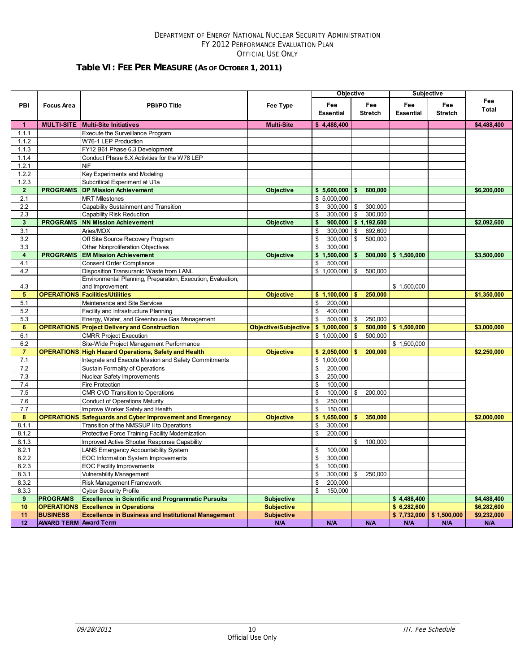## **Table VI: FEE PER MEASURE (AS OF OCTOBER 1, 2011)**

|                         |                              |                                                             | <b>Objective</b><br><b>Subjective</b> |                    |                        |                     |                |              |
|-------------------------|------------------------------|-------------------------------------------------------------|---------------------------------------|--------------------|------------------------|---------------------|----------------|--------------|
| PBI                     | <b>Focus Area</b>            | <b>PBI/PO Title</b>                                         | Fee Type                              | Fee                | Fee                    | Fee                 | Fee            | <b>Fee</b>   |
|                         |                              |                                                             |                                       | <b>Essential</b>   | <b>Stretch</b>         | <b>Essential</b>    | <b>Stretch</b> | <b>Total</b> |
| $\mathbf{1}$            |                              | <b>MULTI-SITE</b> Multi-Site Initiatives                    | <b>Multi-Site</b>                     | \$4,488,400        |                        |                     |                | \$4,488,400  |
| 1.1.1                   |                              | <b>Execute the Surveillance Program</b>                     |                                       |                    |                        |                     |                |              |
| 1.1.2                   |                              | W76-1 LEP Production                                        |                                       |                    |                        |                     |                |              |
| 1.1.3                   |                              | FY12 B61 Phase 6.3 Development                              |                                       |                    |                        |                     |                |              |
| 1.1.4                   |                              | Conduct Phase 6.X Activities for the W78 LEP                |                                       |                    |                        |                     |                |              |
| 1.2.1                   |                              | <b>NIF</b>                                                  |                                       |                    |                        |                     |                |              |
| 1.2.2                   |                              | Key Experiments and Modeling                                |                                       |                    |                        |                     |                |              |
| 1.2.3                   |                              | Subcritical Experiment at U1a                               |                                       |                    |                        |                     |                |              |
| $\overline{2}$          |                              | <b>PROGRAMS DP Mission Achievement</b>                      | <b>Objective</b>                      | $$5,600,000$ \ \$  | 600,000                |                     |                | \$6,200,000  |
| 2.1                     |                              | <b>MRT Milestones</b>                                       |                                       | \$5,000,000        |                        |                     |                |              |
| 2.2                     |                              | Capability Sustainment and Transition                       |                                       | \$<br>300,000 \$   | 300,000                |                     |                |              |
| 2.3                     |                              | Capability Risk Reduction                                   |                                       | \$<br>300,000 \$   | 300,000                |                     |                |              |
| $\mathbf{3}$            | <b>PROGRAMS</b>              | <b>NN Mission Achievement</b>                               | <b>Objective</b>                      | \$                 | $900,000$ \$ 1,192,600 |                     |                | \$2,092,600  |
| 3.1                     |                              | Aries/MOX                                                   |                                       | \$<br>300,000      | 692,600<br><b>S</b>    |                     |                |              |
| 3.2                     |                              | Off Site Source Recovery Program                            |                                       | \$<br>300,000      | $\sqrt{3}$<br>500,000  |                     |                |              |
| 3.3                     |                              | <b>Other Nonproliferation Objectives</b>                    |                                       | \$<br>300,000      |                        |                     |                |              |
| $\overline{\mathbf{4}}$ | <b>PROGRAMS</b>              | <b>EM Mission Achievement</b>                               | <b>Objective</b>                      | $$1,500,000$ \ \$  |                        | 500,000 \$1,500,000 |                | \$3,500,000  |
| 4.1                     |                              | <b>Consent Order Compliance</b>                             |                                       | 500,000<br>\$      |                        |                     |                |              |
| 4.2                     |                              | Disposition Transuranic Waste from LANL                     |                                       | $$1,000,000$ \$    | 500,000                |                     |                |              |
|                         |                              | Environmental Planning, Preparation, Execution, Evaluation, |                                       |                    |                        |                     |                |              |
| 4.3                     |                              | and Improvement                                             |                                       |                    |                        | \$1,500,000         |                |              |
| $\sqrt{5}$              |                              | <b>OPERATIONS Facilities/Utilities</b>                      | <b>Objective</b>                      | $$1,100,000$ \ \$  | 250,000                |                     |                | \$1,350,000  |
| 5.1                     |                              | Maintenance and Site Services                               |                                       | \$<br>200,000      |                        |                     |                |              |
| 5.2                     |                              | <b>Facility and Infrastructure Planning</b>                 |                                       | \$<br>400,000      |                        |                     |                |              |
| 5.3                     |                              | Energy, Water, and Greenhouse Gas Management                |                                       | \$<br>500,000 \$   | 250,000                |                     |                |              |
| 6                       | <b>OPERATIONS</b>            | <b>Project Delivery and Construction</b>                    | <b>Objective/Subjective</b>           | \$1,000,000        | 500,000<br>\$          | \$1,500,000         |                | \$3,000,000  |
| 6.1                     |                              | <b>CMRR Project Execution</b>                               |                                       | \$1,000,000        | \$<br>500,000          |                     |                |              |
| 6.2                     |                              | Site-Wide Project Management Performance                    |                                       |                    |                        | \$1,500,000         |                |              |
| $\overline{7}$          |                              | <b>OPERATIONS High Hazard Operations, Safety and Health</b> | <b>Objective</b>                      | \$2,050,000        | 200,000<br><b>S</b>    |                     |                | \$2,250,000  |
| 7.1                     |                              | Integrate and Execute Mission and Safety Commitments        |                                       | \$1,000,000        |                        |                     |                |              |
| 7.2                     |                              | Sustain Formality of Operations                             |                                       | \$<br>200,000      |                        |                     |                |              |
| 7.3                     |                              | Nuclear Safety Improvements                                 |                                       | \$<br>250,000      |                        |                     |                |              |
| 7.4                     |                              | <b>Fire Protection</b>                                      |                                       | \$<br>100,000      |                        |                     |                |              |
| 7.5                     |                              | CMR CVD Transition to Operations                            |                                       | \$<br>$100,000$ \$ | 200,000                |                     |                |              |
| 7.6                     |                              | <b>Conduct of Operations Maturity</b>                       |                                       | \$<br>250,000      |                        |                     |                |              |
| 7.7                     |                              | Improve Worker Safety and Health                            |                                       | 150,000<br>\$      |                        |                     |                |              |
| $\bf{8}$                | <b>OPERATIONS</b>            | Safeguards and Cyber Improvement and Emergency              | <b>Objective</b>                      | $$1,650,000$ \ \$  | 350,000                |                     |                | \$2,000,000  |
| 8.1.1                   |                              | Transition of the NMSSUP II to Operations                   |                                       | \$<br>300,000      |                        |                     |                |              |
| 8.1.2                   |                              | Protective Force Training Facility Modernization            |                                       | \$<br>200,000      |                        |                     |                |              |
| 8.1.3                   |                              | <b>Improved Active Shooter Response Capability</b>          |                                       |                    | 100,000<br>\$          |                     |                |              |
| 8.2.1                   |                              | LANS Emergency Accountability System                        |                                       | 100,000<br>\$      |                        |                     |                |              |
| 8.2.2                   |                              | EOC Information System Improvements                         |                                       | \$<br>300,000      |                        |                     |                |              |
| 8.2.3                   |                              | <b>EOC Facility Improvements</b>                            |                                       | \$<br>100,000      |                        |                     |                |              |
| 8.3.1                   |                              | <b>Vulnerability Management</b>                             |                                       | \$<br>300,000 \$   | 250,000                |                     |                |              |
| 8.3.2                   |                              | Risk Management Framework                                   |                                       | \$<br>200,000      |                        |                     |                |              |
| 8.3.3                   |                              | <b>Cyber Security Profile</b>                               |                                       | \$<br>150,000      |                        |                     |                |              |
| 9                       | <b>PROGRAMS</b>              | <b>Excellence in Scientific and Programmatic Pursuits</b>   | <b>Subjective</b>                     |                    |                        | \$4,488,400         |                | \$4,488,400  |
| 10                      | <b>OPERATIONS</b>            | <b>Excellence in Operations</b>                             | <b>Subjective</b>                     |                    |                        | \$6,282,600         |                | \$6,282,600  |
| 11                      | <b>BUSINESS</b>              | <b>Excellence in Business and Institutional Management</b>  | <b>Subjective</b>                     |                    |                        | \$7,732,000         | \$1,500,000    | \$9,232,000  |
| $\overline{12}$         | <b>AWARD TERM Award Term</b> |                                                             | N/A                                   | N/A                | N/A                    | N/A                 | N/A            | N/A          |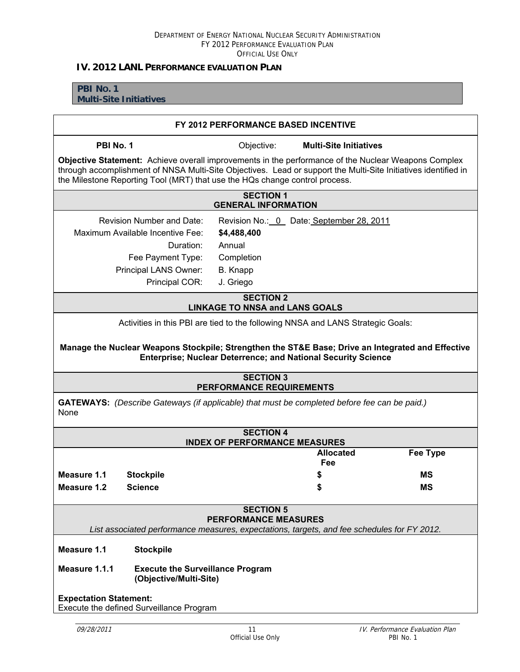### **IV. 2012 LANL PERFORMANCE EVALUATION PLAN**

| PBI No. 1<br><b>Multi-Site Initiatives</b>                                                                                                                                                                                                                                                                  |                                                                                 |  |  |  |
|-------------------------------------------------------------------------------------------------------------------------------------------------------------------------------------------------------------------------------------------------------------------------------------------------------------|---------------------------------------------------------------------------------|--|--|--|
|                                                                                                                                                                                                                                                                                                             |                                                                                 |  |  |  |
| FY 2012 PERFORMANCE BASED INCENTIVE                                                                                                                                                                                                                                                                         |                                                                                 |  |  |  |
| PBI No. 1                                                                                                                                                                                                                                                                                                   | Objective:<br><b>Multi-Site Initiatives</b>                                     |  |  |  |
| <b>Objective Statement:</b> Achieve overall improvements in the performance of the Nuclear Weapons Complex<br>through accomplishment of NNSA Multi-Site Objectives. Lead or support the Multi-Site Initiatives identified in<br>the Milestone Reporting Tool (MRT) that use the HQs change control process. |                                                                                 |  |  |  |
| <b>SECTION 1</b><br><b>GENERAL INFORMATION</b>                                                                                                                                                                                                                                                              |                                                                                 |  |  |  |
| Revision Number and Date:                                                                                                                                                                                                                                                                                   | Revision No.: 0 Date: September 28, 2011                                        |  |  |  |
| Maximum Available Incentive Fee:                                                                                                                                                                                                                                                                            | \$4,488,400                                                                     |  |  |  |
| Duration:                                                                                                                                                                                                                                                                                                   | Annual                                                                          |  |  |  |
| Fee Payment Type:                                                                                                                                                                                                                                                                                           | Completion                                                                      |  |  |  |
| Principal LANS Owner:                                                                                                                                                                                                                                                                                       | B. Knapp                                                                        |  |  |  |
| Principal COR:                                                                                                                                                                                                                                                                                              | J. Griego                                                                       |  |  |  |
|                                                                                                                                                                                                                                                                                                             | <b>SECTION 2</b><br><b>LINKAGE TO NNSA and LANS GOALS</b>                       |  |  |  |
|                                                                                                                                                                                                                                                                                                             | Activities in this PBI are tied to the following NNSA and LANS Strategic Goals: |  |  |  |

#### **Manage the Nuclear Weapons Stockpile; Strengthen the ST&E Base; Drive an Integrated and Effective Enterprise; Nuclear Deterrence; and National Security Science**

#### **SECTION 3 PERFORMANCE REQUIREMENTS**

**GATEWAYS:** *(Describe Gateways (if applicable) that must be completed before fee can be paid.)*  None

|               |                  | <b>SECTION 4</b>                                                                            |                 |
|---------------|------------------|---------------------------------------------------------------------------------------------|-----------------|
|               |                  | <b>INDEX OF PERFORMANCE MEASURES</b>                                                        |                 |
|               |                  | <b>Allocated</b>                                                                            | <b>Fee Type</b> |
|               |                  | <b>Fee</b>                                                                                  |                 |
| Measure 1.1   | <b>Stockpile</b> | \$                                                                                          | МS              |
| Measure 1.2   | <b>Science</b>   | \$                                                                                          | МS              |
|               |                  |                                                                                             |                 |
|               |                  | <b>SECTION 5</b>                                                                            |                 |
|               |                  | <b>PERFORMANCE MEASURES</b>                                                                 |                 |
|               |                  | List associated performance measures, expectations, targets, and fee schedules for FY 2012. |                 |
|               |                  |                                                                                             |                 |
| Measure 1.1   | <b>Stockpile</b> |                                                                                             |                 |
|               |                  |                                                                                             |                 |
| Measure 1.1.1 |                  | <b>Execute the Surveillance Program</b>                                                     |                 |

 **(Objective/Multi-Site)** 

**Expectation Statement:** Execute the defined Surveillance Program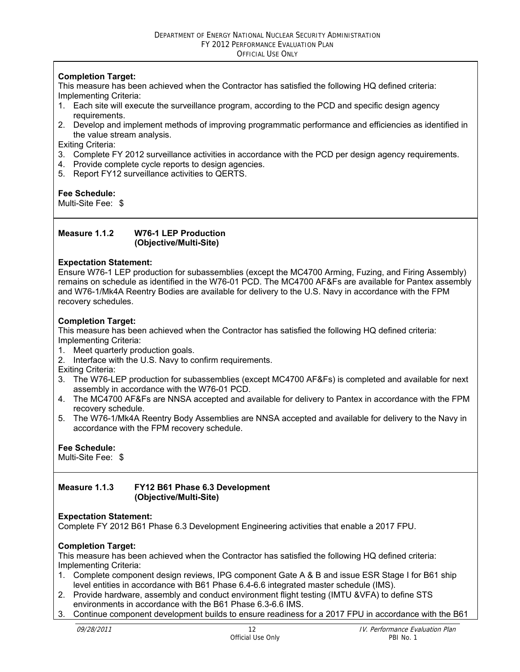#### **Completion Target:**

This measure has been achieved when the Contractor has satisfied the following HQ defined criteria: Implementing Criteria:

- 1. Each site will execute the surveillance program, according to the PCD and specific design agency requirements.
- 2. Develop and implement methods of improving programmatic performance and efficiencies as identified in the value stream analysis.

Exiting Criteria:

- 3. Complete FY 2012 surveillance activities in accordance with the PCD per design agency requirements.
- 4. Provide complete cycle reports to design agencies.
- 5. Report FY12 surveillance activities to QERTS.

#### **Fee Schedule:**

Multi-Site Fee: \$

#### **Measure 1.1.2 W76-1 LEP Production (Objective/Multi-Site)**

#### **Expectation Statement:**

Ensure W76-1 LEP production for subassemblies (except the MC4700 Arming, Fuzing, and Firing Assembly) remains on schedule as identified in the W76-01 PCD. The MC4700 AF&Fs are available for Pantex assembly and W76-1/Mk4A Reentry Bodies are available for delivery to the U.S. Navy in accordance with the FPM recovery schedules.

#### **Completion Target:**

This measure has been achieved when the Contractor has satisfied the following HQ defined criteria: Implementing Criteria:

- 1. Meet quarterly production goals.
- 2. Interface with the U.S. Navy to confirm requirements.

Exiting Criteria:

- 3. The W76-LEP production for subassemblies (except MC4700 AF&Fs) is completed and available for next assembly in accordance with the W76-01 PCD.
- 4. The MC4700 AF&Fs are NNSA accepted and available for delivery to Pantex in accordance with the FPM recovery schedule.
- 5. The W76-1/Mk4A Reentry Body Assemblies are NNSA accepted and available for delivery to the Navy in accordance with the FPM recovery schedule.

### **Fee Schedule:**

Multi-Site Fee: \$

#### **Measure 1.1.3 FY12 B61 Phase 6.3 Development (Objective/Multi-Site)**

#### **Expectation Statement:**

Complete FY 2012 B61 Phase 6.3 Development Engineering activities that enable a 2017 FPU.

#### **Completion Target:**

This measure has been achieved when the Contractor has satisfied the following HQ defined criteria: Implementing Criteria:

- 1. Complete component design reviews, IPG component Gate A & B and issue ESR Stage I for B61 ship level entities in accordance with B61 Phase 6.4-6.6 integrated master schedule (IMS).
- 2. Provide hardware, assembly and conduct environment flight testing (IMTU &VFA) to define STS environments in accordance with the B61 Phase 6.3-6.6 IMS.
- 3. Continue component development builds to ensure readiness for a 2017 FPU in accordance with the B61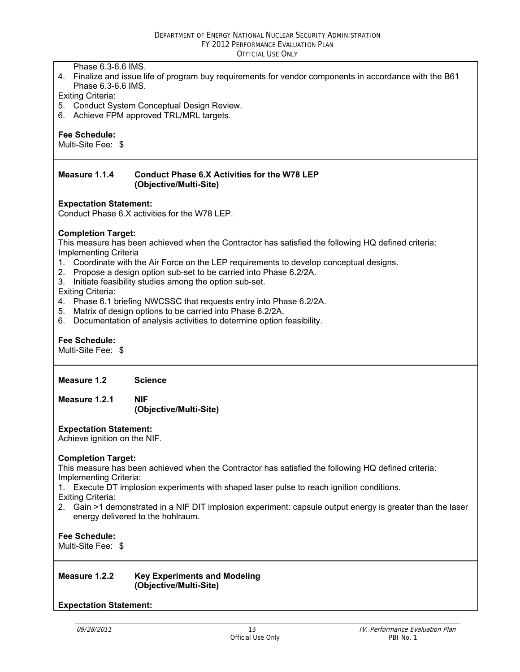Phase 6.3-6.6 IMS.

- 4. Finalize and issue life of program buy requirements for vendor components in accordance with the B61 Phase 6.3-6.6 IMS.
- Exiting Criteria:
- 5. Conduct System Conceptual Design Review.
- 6. Achieve FPM approved TRL/MRL targets.

#### **Fee Schedule:**

Multi-Site Fee: \$

#### **Measure 1.1.4 Conduct Phase 6.X Activities for the W78 LEP (Objective/Multi-Site)**

#### **Expectation Statement:**

Conduct Phase 6.X activities for the W78 LEP.

#### **Completion Target:**

This measure has been achieved when the Contractor has satisfied the following HQ defined criteria: Implementing Criteria

- 1. Coordinate with the Air Force on the LEP requirements to develop conceptual designs.
- 2. Propose a design option sub-set to be carried into Phase 6.2/2A.
- 3. Initiate feasibility studies among the option sub-set.

#### Exiting Criteria:

- 4. Phase 6.1 briefing NWCSSC that requests entry into Phase 6.2/2A.
- 5. Matrix of design options to be carried into Phase 6.2/2A.
- 6. Documentation of analysis activities to determine option feasibility.

#### **Fee Schedule:**

Multi-Site Fee: \$

**Measure 1.2 Science** 

**Measure 1.2.1 NIF (Objective/Multi-Site)** 

#### **Expectation Statement:**

Achieve ignition on the NIF.

#### **Completion Target:**

This measure has been achieved when the Contractor has satisfied the following HQ defined criteria: Implementing Criteria:

1. Execute DT implosion experiments with shaped laser pulse to reach ignition conditions. Exiting Criteria:

2. Gain >1 demonstrated in a NIF DIT implosion experiment: capsule output energy is greater than the laser energy delivered to the hohlraum.

#### **Fee Schedule:**

Multi-Site Fee: \$

#### **Measure 1.2.2 Key Experiments and Modeling (Objective/Multi-Site)**

#### **Expectation Statement:**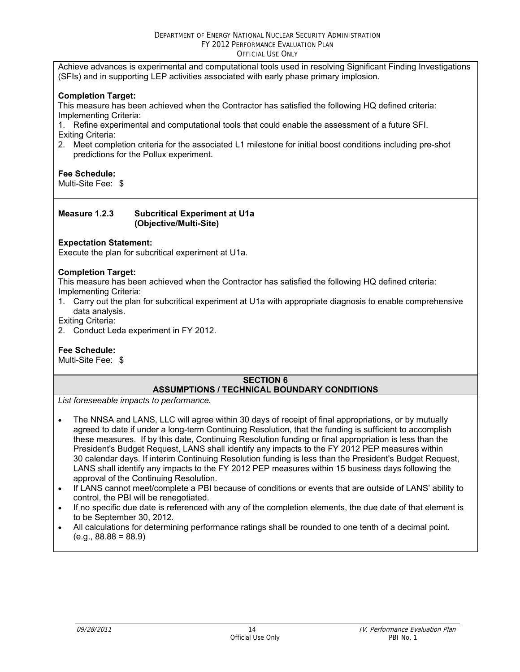Achieve advances is experimental and computational tools used in resolving Significant Finding Investigations (SFIs) and in supporting LEP activities associated with early phase primary implosion.

#### **Completion Target:**

This measure has been achieved when the Contractor has satisfied the following HQ defined criteria: Implementing Criteria:

- 1. Refine experimental and computational tools that could enable the assessment of a future SFI. Exiting Criteria:
- 2. Meet completion criteria for the associated L1 milestone for initial boost conditions including pre-shot predictions for the Pollux experiment.

#### **Fee Schedule:**

Multi-Site Fee: \$

#### **Measure 1.2.3 Subcritical Experiment at U1a (Objective/Multi-Site)**

#### **Expectation Statement:**

Execute the plan for subcritical experiment at U1a.

#### **Completion Target:**

This measure has been achieved when the Contractor has satisfied the following HQ defined criteria: Implementing Criteria:

- 1. Carry out the plan for subcritical experiment at U1a with appropriate diagnosis to enable comprehensive data analysis.
- Exiting Criteria:
- 2. Conduct Leda experiment in FY 2012.

#### **Fee Schedule:**

Multi-Site Fee: \$

#### **SECTION 6 ASSUMPTIONS / TECHNICAL BOUNDARY CONDITIONS**

*List foreseeable impacts to performance.* 

- The NNSA and LANS, LLC will agree within 30 days of receipt of final appropriations, or by mutually agreed to date if under a long-term Continuing Resolution, that the funding is sufficient to accomplish these measures. If by this date, Continuing Resolution funding or final appropriation is less than the President's Budget Request, LANS shall identify any impacts to the FY 2012 PEP measures within 30 calendar days. If interim Continuing Resolution funding is less than the President's Budget Request, LANS shall identify any impacts to the FY 2012 PEP measures within 15 business days following the approval of the Continuing Resolution.
- If LANS cannot meet/complete a PBI because of conditions or events that are outside of LANS' ability to control, the PBI will be renegotiated.
- If no specific due date is referenced with any of the completion elements, the due date of that element is to be September 30, 2012.
- All calculations for determining performance ratings shall be rounded to one tenth of a decimal point.  $(e.g., 88.88 = 88.9)$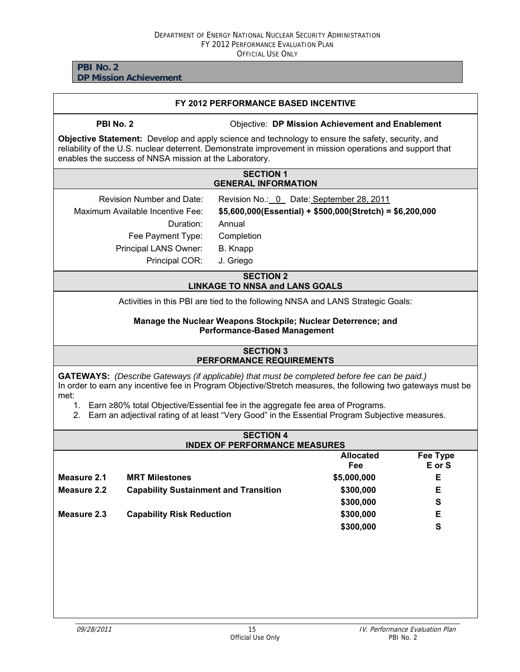#### **PBI NO. 2 DP Mission Achievement**

#### **FY 2012 PERFORMANCE BASED INCENTIVE**

**PBI No. 2** Objective: **DP Mission Achievement and Enablement** 

**Objective Statement:** Develop and apply science and technology to ensure the safety, security, and reliability of the U.S. nuclear deterrent. Demonstrate improvement in mission operations and support that enables the success of NNSA mission at the Laboratory.

#### **SECTION 1 GENERAL INFORMATION**

| Revision Number and Date:        | Revision No.: 0 Date: September 28, 2011                    |
|----------------------------------|-------------------------------------------------------------|
| Maximum Available Incentive Fee: | $$5,600,000$ (Essential) + \$500,000(Stretch) = \$6,200,000 |
| Duration:                        | Annual                                                      |
| Fee Payment Type:                | Completion                                                  |
| Principal LANS Owner:            | B. Knapp                                                    |
| Principal COR:                   | J. Griego                                                   |

#### **SECTION 2 LINKAGE TO NNSA and LANS GOALS**

Activities in this PBI are tied to the following NNSA and LANS Strategic Goals:

#### **Manage the Nuclear Weapons Stockpile; Nuclear Deterrence; and Performance-Based Management**

### **SECTION 3 PERFORMANCE REQUIREMENTS**

**GATEWAYS:** *(Describe Gateways (if applicable) that must be completed before fee can be paid.)*  In order to earn any incentive fee in Program Objective/Stretch measures, the following two gateways must be met:

- 1. Earn ≥80% total Objective/Essential fee in the aggregate fee area of Programs.
- 2. Earn an adjectival rating of at least "Very Good" in the Essential Program Subjective measures.

|             | <b>SECTION 4</b>                             |                  |          |  |
|-------------|----------------------------------------------|------------------|----------|--|
|             | <b>INDEX OF PERFORMANCE MEASURES</b>         |                  |          |  |
|             |                                              | <b>Allocated</b> | Fee Type |  |
|             |                                              | <b>Fee</b>       | E or S   |  |
| Measure 2.1 | <b>MRT Milestones</b>                        | \$5,000,000      | Е        |  |
| Measure 2.2 | <b>Capability Sustainment and Transition</b> | \$300,000        | Е        |  |
|             |                                              | \$300,000        | S        |  |
| Measure 2.3 | <b>Capability Risk Reduction</b>             | \$300,000        | Е        |  |
|             |                                              | \$300,000        | S        |  |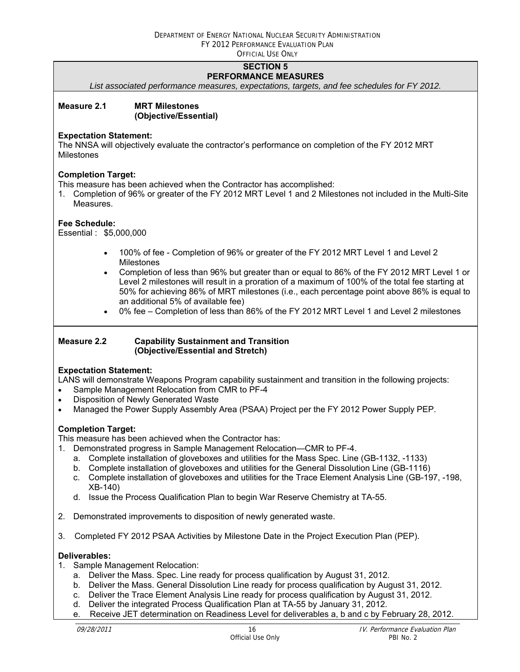**SECTION 5** 

## **PERFORMANCE MEASURES**

*List associated performance measures, expectations, targets, and fee schedules for FY 2012.* 

#### **Measure 2.1 MRT Milestones (Objective/Essential)**

#### **Expectation Statement:**

The NNSA will objectively evaluate the contractor's performance on completion of the FY 2012 MRT Milestones

#### **Completion Target:**

This measure has been achieved when the Contractor has accomplished:

1. Completion of 96% or greater of the FY 2012 MRT Level 1 and 2 Milestones not included in the Multi-Site Measures.

#### **Fee Schedule:**

Essential : \$5,000,000

- 100% of fee Completion of 96% or greater of the FY 2012 MRT Level 1 and Level 2 Milestones
- Completion of less than 96% but greater than or equal to 86% of the FY 2012 MRT Level 1 or Level 2 milestones will result in a proration of a maximum of 100% of the total fee starting at 50% for achieving 86% of MRT milestones (i.e., each percentage point above 86% is equal to an additional 5% of available fee)
- 0% fee Completion of less than 86% of the FY 2012 MRT Level 1 and Level 2 milestones

#### **Measure 2.2 Capability Sustainment and Transition (Objective/Essential and Stretch)**

#### **Expectation Statement:**

LANS will demonstrate Weapons Program capability sustainment and transition in the following projects: • Sample Management Relocation from CMR to PF-4

- Disposition of Newly Generated Waste
- Managed the Power Supply Assembly Area (PSAA) Project per the FY 2012 Power Supply PEP.

#### **Completion Target:**

This measure has been achieved when the Contractor has:

- 1. Demonstrated progress in Sample Management Relocation—CMR to PF-4.
	- a. Complete installation of gloveboxes and utilities for the Mass Spec. Line (GB-1132, -1133)
	- b. Complete installation of gloveboxes and utilities for the General Dissolution Line (GB-1116)
	- c. Complete installation of gloveboxes and utilities for the Trace Element Analysis Line (GB-197, -198, XB-140)
	- d. Issue the Process Qualification Plan to begin War Reserve Chemistry at TA-55.
- 2. Demonstrated improvements to disposition of newly generated waste.
- 3. Completed FY 2012 PSAA Activities by Milestone Date in the Project Execution Plan (PEP).

#### **Deliverables:**

- 1. Sample Management Relocation:
	- a. Deliver the Mass. Spec. Line ready for process qualification by August 31, 2012.
	- b. Deliver the Mass. General Dissolution Line ready for process qualification by August 31, 2012.
	- c. Deliver the Trace Element Analysis Line ready for process qualification by August 31, 2012.
	- d. Deliver the integrated Process Qualification Plan at TA-55 by January 31, 2012.
	- e. Receive JET determination on Readiness Level for deliverables a, b and c by February 28, 2012.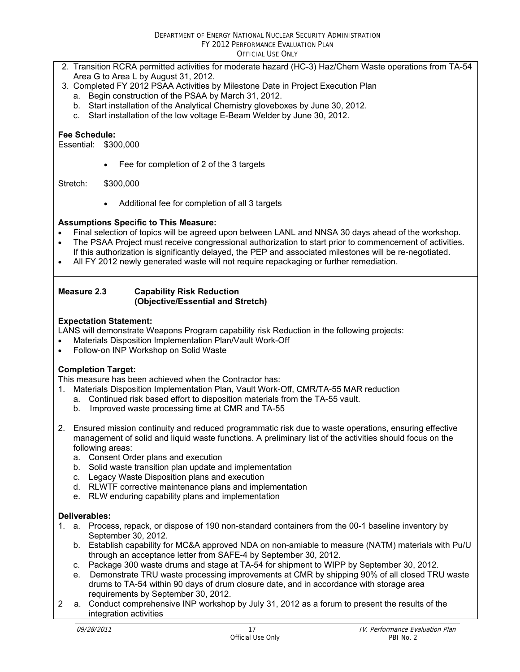- 2. Transition RCRA permitted activities for moderate hazard (HC-3) Haz/Chem Waste operations from TA-54 Area G to Area L by August 31, 2012.
- 3. Completed FY 2012 PSAA Activities by Milestone Date in Project Execution Plan
	- a. Begin construction of the PSAA by March 31, 2012.
	- b. Start installation of the Analytical Chemistry gloveboxes by June 30, 2012.
	- c. Start installation of the low voltage E-Beam Welder by June 30, 2012.

#### **Fee Schedule:**

Essential: \$300,000

- Fee for completion of 2 of the 3 targets
- Stretch: \$300,000
	- Additional fee for completion of all 3 targets

#### **Assumptions Specific to This Measure:**

- Final selection of topics will be agreed upon between LANL and NNSA 30 days ahead of the workshop.
- The PSAA Project must receive congressional authorization to start prior to commencement of activities. If this authorization is significantly delayed, the PEP and associated milestones will be re-negotiated.
- All FY 2012 newly generated waste will not require repackaging or further remediation.

#### **Measure 2.3 Capability Risk Reduction (Objective/Essential and Stretch)**

#### **Expectation Statement:**

LANS will demonstrate Weapons Program capability risk Reduction in the following projects:

- Materials Disposition Implementation Plan/Vault Work-Off
- Follow-on INP Workshop on Solid Waste

#### **Completion Target:**

This measure has been achieved when the Contractor has:

- 1. Materials Disposition Implementation Plan, Vault Work-Off, CMR/TA-55 MAR reduction
	- a. Continued risk based effort to disposition materials from the TA-55 vault.
	- b. Improved waste processing time at CMR and TA-55
- 2. Ensured mission continuity and reduced programmatic risk due to waste operations, ensuring effective management of solid and liquid waste functions. A preliminary list of the activities should focus on the following areas:
	- a. Consent Order plans and execution
	- b. Solid waste transition plan update and implementation
	- c. Legacy Waste Disposition plans and execution
	- d. RLWTF corrective maintenance plans and implementation
	- e. RLW enduring capability plans and implementation

#### **Deliverables:**

- 1. a. Process, repack, or dispose of 190 non-standard containers from the 00-1 baseline inventory by September 30, 2012.
	- b. Establish capability for MC&A approved NDA on non-amiable to measure (NATM) materials with Pu/U through an acceptance letter from SAFE-4 by September 30, 2012.
	- c. Package 300 waste drums and stage at TA-54 for shipment to WIPP by September 30, 2012.
	- e. Demonstrate TRU waste processing improvements at CMR by shipping 90% of all closed TRU waste drums to TA-54 within 90 days of drum closure date, and in accordance with storage area requirements by September 30, 2012.
- 2 a. Conduct comprehensive INP workshop by July 31, 2012 as a forum to present the results of the integration activities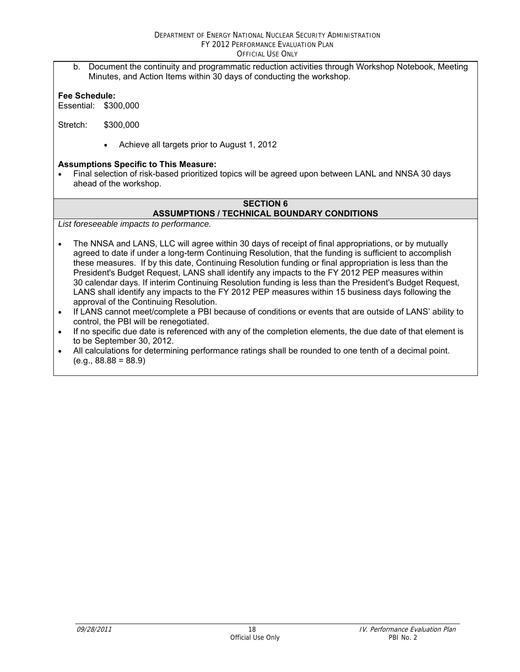b. Document the continuity and programmatic reduction activities through Workshop Notebook, Meeting Minutes, and Action Items within 30 days of conducting the workshop.

#### **Fee Schedule:**

Essential: \$300,000

Stretch: \$300,000

Achieve all targets prior to August 1, 2012

#### **Assumptions Specific to This Measure:**

 Final selection of risk-based prioritized topics will be agreed upon between LANL and NNSA 30 days ahead of the workshop.

#### **SECTION 6 ASSUMPTIONS / TECHNICAL BOUNDARY CONDITIONS**

*List foreseeable impacts to performance.* 

- The NNSA and LANS, LLC will agree within 30 days of receipt of final appropriations, or by mutually agreed to date if under a long-term Continuing Resolution, that the funding is sufficient to accomplish these measures. If by this date, Continuing Resolution funding or final appropriation is less than the President's Budget Request, LANS shall identify any impacts to the FY 2012 PEP measures within 30 calendar days. If interim Continuing Resolution funding is less than the President's Budget Request, LANS shall identify any impacts to the FY 2012 PEP measures within 15 business days following the approval of the Continuing Resolution.
- If LANS cannot meet/complete a PBI because of conditions or events that are outside of LANS' ability to control, the PBI will be renegotiated.
- If no specific due date is referenced with any of the completion elements, the due date of that element is to be September 30, 2012.
- All calculations for determining performance ratings shall be rounded to one tenth of a decimal point.  $(e.q., 88.88 = 88.9)$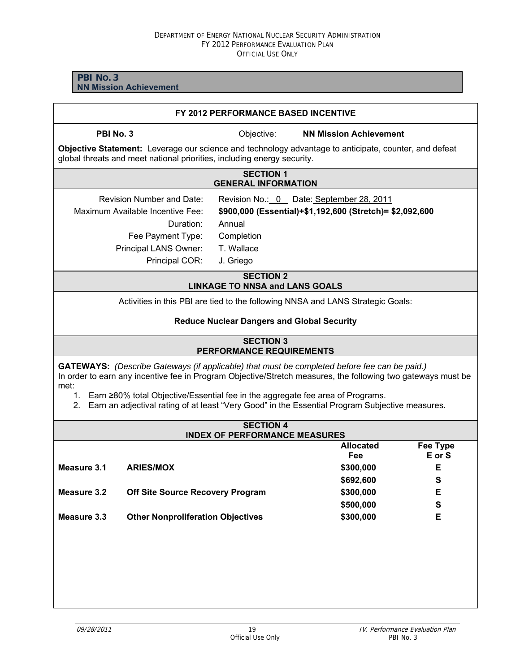#### **PBI NO. 3 NN Mission Achievement**

| FY 2012 PERFORMANCE BASED INCENTIVE                                                                                                                                              |            |                                                          |  |
|----------------------------------------------------------------------------------------------------------------------------------------------------------------------------------|------------|----------------------------------------------------------|--|
| PBI No. 3                                                                                                                                                                        | Objective: | <b>NN Mission Achievement</b>                            |  |
| Objective Statement: Leverage our science and technology advantage to anticipate, counter, and defeat<br>global threats and meet national priorities, including energy security. |            |                                                          |  |
| <b>SECTION 1</b><br><b>GENERAL INFORMATION</b>                                                                                                                                   |            |                                                          |  |
| Revision Number and Date:                                                                                                                                                        |            | Revision No.: 0 Date: September 28, 2011                 |  |
| Maximum Available Incentive Fee:                                                                                                                                                 |            | \$900,000 (Essential)+\$1,192,600 (Stretch)= \$2,092,600 |  |
| Duration:                                                                                                                                                                        | Annual     |                                                          |  |
| Fee Payment Type:                                                                                                                                                                | Completion |                                                          |  |
| Principal LANS Owner:                                                                                                                                                            | T. Wallace |                                                          |  |
| Principal COR:                                                                                                                                                                   | J. Griego  |                                                          |  |
| <b>SECTION 2</b><br><b>LINKAGE TO NNSA and LANS GOALS</b>                                                                                                                        |            |                                                          |  |

Activities in this PBI are tied to the following NNSA and LANS Strategic Goals:

#### **Reduce Nuclear Dangers and Global Security**

#### **SECTION 3 PERFORMANCE REQUIREMENTS**

**GATEWAYS:** *(Describe Gateways (if applicable) that must be completed before fee can be paid.)*  In order to earn any incentive fee in Program Objective/Stretch measures, the following two gateways must be met:

- 1. Earn ≥80% total Objective/Essential fee in the aggregate fee area of Programs.
- 2. Earn an adjectival rating of at least "Very Good" in the Essential Program Subjective measures.

| <b>SECTION 4</b><br><b>INDEX OF PERFORMANCE MEASURES</b> |                                          |                                |                           |
|----------------------------------------------------------|------------------------------------------|--------------------------------|---------------------------|
|                                                          |                                          | <b>Allocated</b><br><b>Fee</b> | <b>Fee Type</b><br>E or S |
| Measure 3.1                                              | <b>ARIES/MOX</b>                         | \$300,000                      | Е.                        |
|                                                          |                                          | \$692,600                      | S                         |
| Measure 3.2                                              | <b>Off Site Source Recovery Program</b>  | \$300,000                      | Е                         |
|                                                          |                                          | \$500,000                      | S                         |
| Measure 3.3                                              | <b>Other Nonproliferation Objectives</b> | \$300,000                      | Е                         |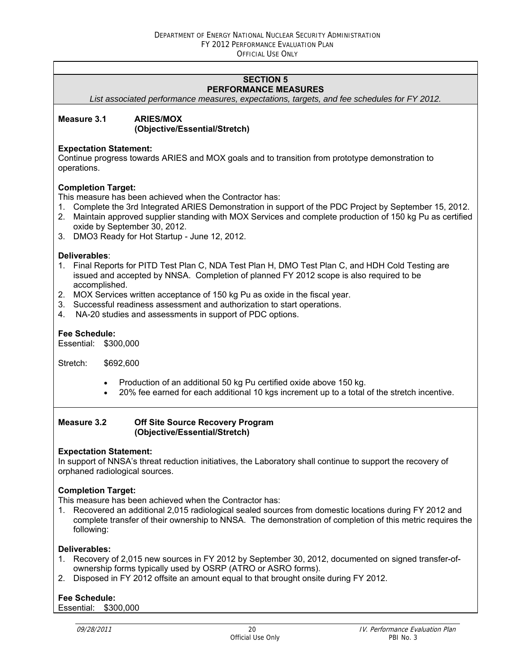#### **SECTION 5 PERFORMANCE MEASURES**

*List associated performance measures, expectations, targets, and fee schedules for FY 2012.* 

#### **Measure 3.1 ARIES/MOX (Objective/Essential/Stretch)**

#### **Expectation Statement:**

Continue progress towards ARIES and MOX goals and to transition from prototype demonstration to operations.

#### **Completion Target:**

This measure has been achieved when the Contractor has:

- 1. Complete the 3rd Integrated ARIES Demonstration in support of the PDC Project by September 15, 2012.
- 2. Maintain approved supplier standing with MOX Services and complete production of 150 kg Pu as certified oxide by September 30, 2012.
- 3. DMO3 Ready for Hot Startup June 12, 2012.

#### **Deliverables**:

- 1. Final Reports for PITD Test Plan C, NDA Test Plan H, DMO Test Plan C, and HDH Cold Testing are issued and accepted by NNSA. Completion of planned FY 2012 scope is also required to be accomplished.
- 2. MOX Services written acceptance of 150 kg Pu as oxide in the fiscal year.
- 3. Successful readiness assessment and authorization to start operations.
- 4. NA-20 studies and assessments in support of PDC options.

#### **Fee Schedule:**

Essential: \$300,000

#### Stretch: \$692,600

- Production of an additional 50 kg Pu certified oxide above 150 kg.
- 20% fee earned for each additional 10 kgs increment up to a total of the stretch incentive.

#### **Measure 3.2 Off Site Source Recovery Program (Objective/Essential/Stretch)**

#### **Expectation Statement:**

In support of NNSA's threat reduction initiatives, the Laboratory shall continue to support the recovery of orphaned radiological sources.

#### **Completion Target:**

This measure has been achieved when the Contractor has:

1. Recovered an additional 2,015 radiological sealed sources from domestic locations during FY 2012 and complete transfer of their ownership to NNSA. The demonstration of completion of this metric requires the following:

#### **Deliverables:**

- 1. Recovery of 2,015 new sources in FY 2012 by September 30, 2012, documented on signed transfer-ofownership forms typically used by OSRP (ATRO or ASRO forms).
- 2. Disposed in FY 2012 offsite an amount equal to that brought onsite during FY 2012.

#### **Fee Schedule:**

Essential: \$300,000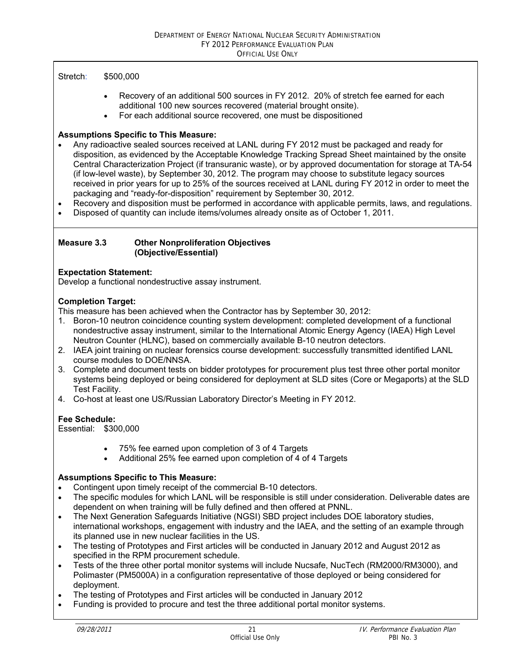#### Stretch: \$500,000

- Recovery of an additional 500 sources in FY 2012. 20% of stretch fee earned for each additional 100 new sources recovered (material brought onsite).
- For each additional source recovered, one must be dispositioned

#### **Assumptions Specific to This Measure:**

- Any radioactive sealed sources received at LANL during FY 2012 must be packaged and ready for disposition, as evidenced by the Acceptable Knowledge Tracking Spread Sheet maintained by the onsite Central Characterization Project (if transuranic waste), or by approved documentation for storage at TA-54 (if low-level waste), by September 30, 2012. The program may choose to substitute legacy sources received in prior years for up to 25% of the sources received at LANL during FY 2012 in order to meet the packaging and "ready-for-disposition" requirement by September 30, 2012.
- Recovery and disposition must be performed in accordance with applicable permits, laws, and regulations.
- Disposed of quantity can include items/volumes already onsite as of October 1, 2011.

#### **Measure 3.3 Other Nonproliferation Objectives (Objective/Essential)**

#### **Expectation Statement:**

Develop a functional nondestructive assay instrument.

#### **Completion Target:**

This measure has been achieved when the Contractor has by September 30, 2012:

- 1. Boron-10 neutron coincidence counting system development: completed development of a functional nondestructive assay instrument, similar to the International Atomic Energy Agency (IAEA) High Level Neutron Counter (HLNC), based on commercially available B-10 neutron detectors.
- 2. IAEA joint training on nuclear forensics course development: successfully transmitted identified LANL course modules to DOE/NNSA.
- 3. Complete and document tests on bidder prototypes for procurement plus test three other portal monitor systems being deployed or being considered for deployment at SLD sites (Core or Megaports) at the SLD Test Facility.
- 4. Co-host at least one US/Russian Laboratory Director's Meeting in FY 2012.

#### **Fee Schedule:**

Essential: \$300,000

- 75% fee earned upon completion of 3 of 4 Targets
- Additional 25% fee earned upon completion of 4 of 4 Targets

#### **Assumptions Specific to This Measure:**

- Contingent upon timely receipt of the commercial B-10 detectors.
- The specific modules for which LANL will be responsible is still under consideration. Deliverable dates are dependent on when training will be fully defined and then offered at PNNL.
- The Next Generation Safeguards Initiative (NGSI) SBD project includes DOE laboratory studies, international workshops, engagement with industry and the IAEA, and the setting of an example through its planned use in new nuclear facilities in the US.
- The testing of Prototypes and First articles will be conducted in January 2012 and August 2012 as specified in the RPM procurement schedule.
- Tests of the three other portal monitor systems will include Nucsafe, NucTech (RM2000/RM3000), and Polimaster (PM5000A) in a configuration representative of those deployed or being considered for deployment.
- The testing of Prototypes and First articles will be conducted in January 2012
- Funding is provided to procure and test the three additional portal monitor systems.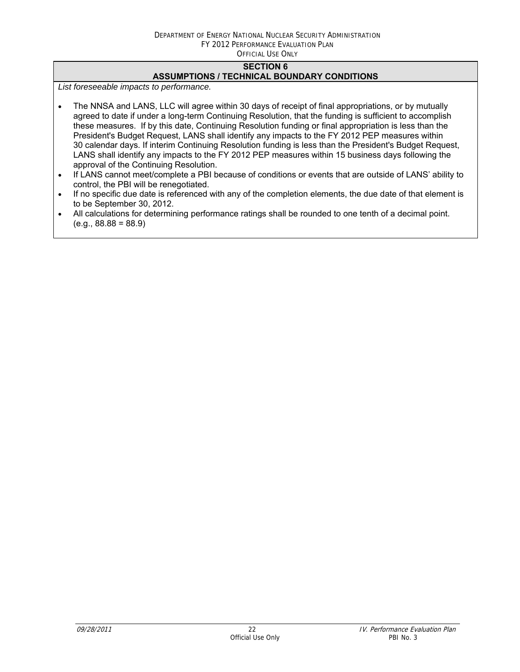# **SECTION 6**

### **ASSUMPTIONS / TECHNICAL BOUNDARY CONDITIONS**

*List foreseeable impacts to performance.* 

- The NNSA and LANS, LLC will agree within 30 days of receipt of final appropriations, or by mutually agreed to date if under a long-term Continuing Resolution, that the funding is sufficient to accomplish these measures. If by this date, Continuing Resolution funding or final appropriation is less than the President's Budget Request, LANS shall identify any impacts to the FY 2012 PEP measures within 30 calendar days. If interim Continuing Resolution funding is less than the President's Budget Request, LANS shall identify any impacts to the FY 2012 PEP measures within 15 business days following the approval of the Continuing Resolution.
- If LANS cannot meet/complete a PBI because of conditions or events that are outside of LANS' ability to control, the PBI will be renegotiated.
- If no specific due date is referenced with any of the completion elements, the due date of that element is to be September 30, 2012.
- All calculations for determining performance ratings shall be rounded to one tenth of a decimal point.  $(e.g., 88.88 = 88.9)$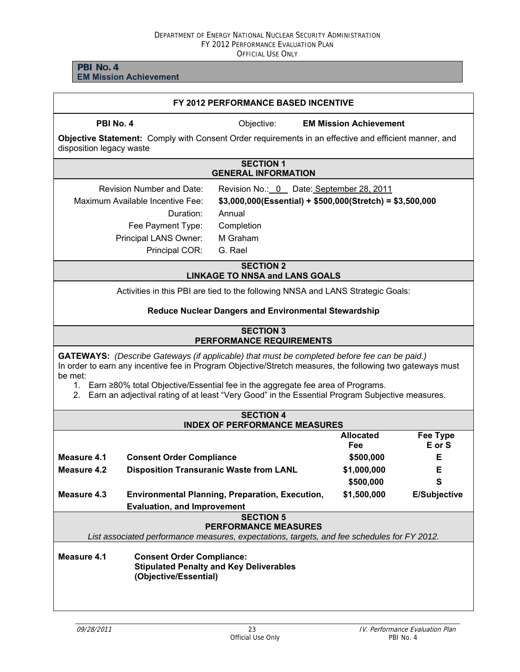### **PBI NO. 4 EM Mission Achievement**

| <b>FY 2012 PERFORMANCE BASED INCENTIVE</b>                                                                                                                                                                                                                                                                                                                                                                                            |                                                                                                                                   |                                                                                 |                               |                           |
|---------------------------------------------------------------------------------------------------------------------------------------------------------------------------------------------------------------------------------------------------------------------------------------------------------------------------------------------------------------------------------------------------------------------------------------|-----------------------------------------------------------------------------------------------------------------------------------|---------------------------------------------------------------------------------|-------------------------------|---------------------------|
| PBI No. 4                                                                                                                                                                                                                                                                                                                                                                                                                             |                                                                                                                                   | Objective:                                                                      | <b>EM Mission Achievement</b> |                           |
|                                                                                                                                                                                                                                                                                                                                                                                                                                       | Objective Statement: Comply with Consent Order requirements in an effective and efficient manner, and<br>disposition legacy waste |                                                                                 |                               |                           |
|                                                                                                                                                                                                                                                                                                                                                                                                                                       |                                                                                                                                   | <b>SECTION 1</b><br><b>GENERAL INFORMATION</b>                                  |                               |                           |
|                                                                                                                                                                                                                                                                                                                                                                                                                                       | Revision Number and Date:                                                                                                         | Revision No.: 0 Date: September 28, 2011                                        |                               |                           |
|                                                                                                                                                                                                                                                                                                                                                                                                                                       | Maximum Available Incentive Fee:                                                                                                  | $$3,000,000$ (Essential) + \$500,000(Stretch) = \$3,500,000                     |                               |                           |
|                                                                                                                                                                                                                                                                                                                                                                                                                                       | Duration:                                                                                                                         | Annual                                                                          |                               |                           |
|                                                                                                                                                                                                                                                                                                                                                                                                                                       | Fee Payment Type:                                                                                                                 | Completion                                                                      |                               |                           |
|                                                                                                                                                                                                                                                                                                                                                                                                                                       | Principal LANS Owner:                                                                                                             | M Graham                                                                        |                               |                           |
|                                                                                                                                                                                                                                                                                                                                                                                                                                       | Principal COR:                                                                                                                    | G. Rael                                                                         |                               |                           |
|                                                                                                                                                                                                                                                                                                                                                                                                                                       |                                                                                                                                   | <b>SECTION 2</b><br><b>LINKAGE TO NNSA and LANS GOALS</b>                       |                               |                           |
|                                                                                                                                                                                                                                                                                                                                                                                                                                       |                                                                                                                                   | Activities in this PBI are tied to the following NNSA and LANS Strategic Goals: |                               |                           |
|                                                                                                                                                                                                                                                                                                                                                                                                                                       |                                                                                                                                   |                                                                                 |                               |                           |
|                                                                                                                                                                                                                                                                                                                                                                                                                                       |                                                                                                                                   | <b>Reduce Nuclear Dangers and Environmental Stewardship</b>                     |                               |                           |
|                                                                                                                                                                                                                                                                                                                                                                                                                                       |                                                                                                                                   | <b>SECTION 3</b><br><b>PERFORMANCE REQUIREMENTS</b>                             |                               |                           |
| <b>GATEWAYS:</b> (Describe Gateways (if applicable) that must be completed before fee can be paid.)<br>In order to earn any incentive fee in Program Objective/Stretch measures, the following two gateways must<br>be met:<br>Earn ≥80% total Objective/Essential fee in the aggregate fee area of Programs.<br>$1_{\cdot}$<br>Earn an adjectival rating of at least "Very Good" in the Essential Program Subjective measures.<br>2. |                                                                                                                                   |                                                                                 |                               |                           |
| <b>SECTION 4</b><br><b>INDEX OF PERFORMANCE MEASURES</b>                                                                                                                                                                                                                                                                                                                                                                              |                                                                                                                                   |                                                                                 |                               |                           |
|                                                                                                                                                                                                                                                                                                                                                                                                                                       |                                                                                                                                   |                                                                                 | <b>Allocated</b><br>Fee       | <b>Fee Type</b><br>E or S |
| <b>Measure 4.1</b>                                                                                                                                                                                                                                                                                                                                                                                                                    | <b>Consent Order Compliance</b>                                                                                                   |                                                                                 | \$500,000                     | Е                         |
| <b>Measure 4.2</b>                                                                                                                                                                                                                                                                                                                                                                                                                    |                                                                                                                                   | <b>Disposition Transuranic Waste from LANL</b>                                  | \$1,000,000                   | F                         |
|                                                                                                                                                                                                                                                                                                                                                                                                                                       |                                                                                                                                   |                                                                                 | \$500,000                     | S                         |
| <b>Measure 4.3</b>                                                                                                                                                                                                                                                                                                                                                                                                                    |                                                                                                                                   | <b>Environmental Planning, Preparation, Execution,</b>                          | \$1,500,000                   | <b>E/Subjective</b>       |
|                                                                                                                                                                                                                                                                                                                                                                                                                                       | <b>Evaluation, and Improvement</b>                                                                                                |                                                                                 |                               |                           |
| <b>SECTION 5</b><br><b>PERFORMANCE MEASURES</b>                                                                                                                                                                                                                                                                                                                                                                                       |                                                                                                                                   |                                                                                 |                               |                           |
| List associated performance measures, expectations, targets, and fee schedules for FY 2012.                                                                                                                                                                                                                                                                                                                                           |                                                                                                                                   |                                                                                 |                               |                           |
| Measure 4.1                                                                                                                                                                                                                                                                                                                                                                                                                           | <b>Consent Order Compliance:</b><br>(Objective/Essential)                                                                         | <b>Stipulated Penalty and Key Deliverables</b>                                  |                               |                           |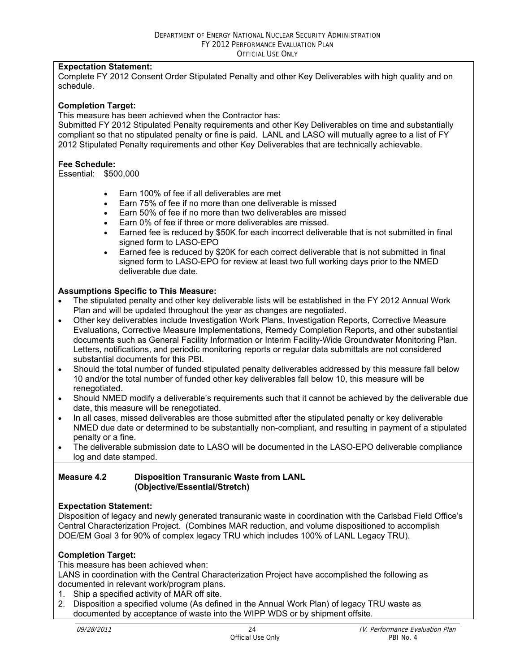#### **Expectation Statement:**

Complete FY 2012 Consent Order Stipulated Penalty and other Key Deliverables with high quality and on schedule.

#### **Completion Target:**

This measure has been achieved when the Contractor has:

Submitted FY 2012 Stipulated Penalty requirements and other Key Deliverables on time and substantially compliant so that no stipulated penalty or fine is paid. LANL and LASO will mutually agree to a list of FY 2012 Stipulated Penalty requirements and other Key Deliverables that are technically achievable.

#### **Fee Schedule:**

Essential: \$500,000

- Earn 100% of fee if all deliverables are met
- Earn 75% of fee if no more than one deliverable is missed
- Earn 50% of fee if no more than two deliverables are missed
- Earn 0% of fee if three or more deliverables are missed.
- Earned fee is reduced by \$50K for each incorrect deliverable that is not submitted in final signed form to LASO-EPO
- Earned fee is reduced by \$20K for each correct deliverable that is not submitted in final signed form to LASO-EPO for review at least two full working days prior to the NMED deliverable due date.

#### **Assumptions Specific to This Measure:**

- The stipulated penalty and other key deliverable lists will be established in the FY 2012 Annual Work Plan and will be updated throughout the year as changes are negotiated.
- Other key deliverables include Investigation Work Plans, Investigation Reports, Corrective Measure Evaluations, Corrective Measure Implementations, Remedy Completion Reports, and other substantial documents such as General Facility Information or Interim Facility-Wide Groundwater Monitoring Plan. Letters, notifications, and periodic monitoring reports or regular data submittals are not considered substantial documents for this PBI.
- Should the total number of funded stipulated penalty deliverables addressed by this measure fall below 10 and/or the total number of funded other key deliverables fall below 10, this measure will be renegotiated.
- Should NMED modify a deliverable's requirements such that it cannot be achieved by the deliverable due date, this measure will be renegotiated.
- In all cases, missed deliverables are those submitted after the stipulated penalty or key deliverable NMED due date or determined to be substantially non-compliant, and resulting in payment of a stipulated penalty or a fine.
- The deliverable submission date to LASO will be documented in the LASO-EPO deliverable compliance log and date stamped.

#### **Measure 4.2 Disposition Transuranic Waste from LANL (Objective/Essential/Stretch)**

#### **Expectation Statement:**

Disposition of legacy and newly generated transuranic waste in coordination with the Carlsbad Field Office's Central Characterization Project. (Combines MAR reduction, and volume dispositioned to accomplish DOE/EM Goal 3 for 90% of complex legacy TRU which includes 100% of LANL Legacy TRU).

#### **Completion Target:**

This measure has been achieved when:

LANS in coordination with the Central Characterization Project have accomplished the following as documented in relevant work/program plans.

- 1. Ship a specified activity of MAR off site.
- 2. Disposition a specified volume (As defined in the Annual Work Plan) of legacy TRU waste as documented by acceptance of waste into the WIPP WDS or by shipment offsite.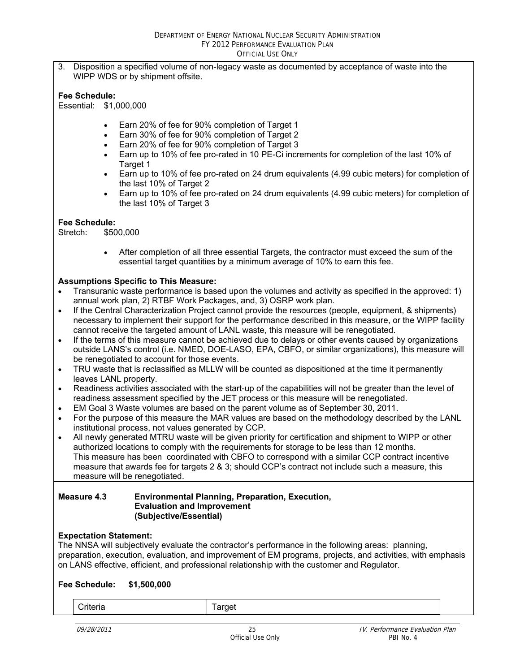3. Disposition a specified volume of non-legacy waste as documented by acceptance of waste into the WIPP WDS or by shipment offsite.

#### **Fee Schedule:**

Essential: \$1,000,000

- Earn 20% of fee for 90% completion of Target 1
- Earn 30% of fee for 90% completion of Target 2
- Earn 20% of fee for 90% completion of Target 3
- Earn up to 10% of fee pro-rated in 10 PE-Ci increments for completion of the last 10% of Target 1
- Earn up to 10% of fee pro-rated on 24 drum equivalents (4.99 cubic meters) for completion of the last 10% of Target 2
- Earn up to 10% of fee pro-rated on 24 drum equivalents (4.99 cubic meters) for completion of the last 10% of Target 3

#### **Fee Schedule:**

Stretch: \$500,000

 After completion of all three essential Targets, the contractor must exceed the sum of the essential target quantities by a minimum average of 10% to earn this fee.

#### **Assumptions Specific to This Measure:**

- Transuranic waste performance is based upon the volumes and activity as specified in the approved: 1) annual work plan, 2) RTBF Work Packages, and, 3) OSRP work plan.
- If the Central Characterization Project cannot provide the resources (people, equipment, & shipments) necessary to implement their support for the performance described in this measure, or the WIPP facility cannot receive the targeted amount of LANL waste, this measure will be renegotiated.
- If the terms of this measure cannot be achieved due to delays or other events caused by organizations outside LANS's control (i.e. NMED, DOE-LASO, EPA, CBFO, or similar organizations), this measure will be renegotiated to account for those events.
- TRU waste that is reclassified as MLLW will be counted as dispositioned at the time it permanently leaves LANL property.
- Readiness activities associated with the start-up of the capabilities will not be greater than the level of readiness assessment specified by the JET process or this measure will be renegotiated.
- EM Goal 3 Waste volumes are based on the parent volume as of September 30, 2011.
- For the purpose of this measure the MAR values are based on the methodology described by the LANL institutional process, not values generated by CCP.
- All newly generated MTRU waste will be given priority for certification and shipment to WIPP or other authorized locations to comply with the requirements for storage to be less than 12 months. This measure has been coordinated with CBFO to correspond with a similar CCP contract incentive measure that awards fee for targets 2 & 3; should CCP's contract not include such a measure, this measure will be renegotiated.

#### **Measure 4.3 Environmental Planning, Preparation, Execution, Evaluation and Improvement (Subjective/Essential)**

#### **Expectation Statement:**

The NNSA will subjectively evaluate the contractor's performance in the following areas: planning, preparation, execution, evaluation, and improvement of EM programs, projects, and activities, with emphasis on LANS effective, efficient, and professional relationship with the customer and Regulator.

#### **Fee Schedule: \$1,500,000**

Criteria | Target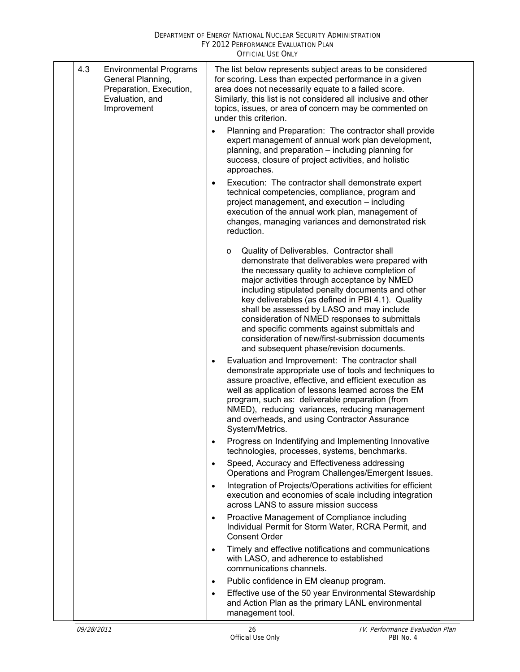| 4.3 | <b>Environmental Programs</b><br>General Planning,<br>Preparation, Execution,<br>Evaluation, and<br>Improvement | The list below represents subject areas to be considered<br>for scoring. Less than expected performance in a given<br>area does not necessarily equate to a failed score.<br>Similarly, this list is not considered all inclusive and other<br>topics, issues, or area of concern may be commented on<br>under this criterion.<br>Planning and Preparation: The contractor shall provide<br>$\bullet$<br>expert management of annual work plan development,<br>planning, and preparation - including planning for<br>success, closure of project activities, and holistic<br>approaches. |
|-----|-----------------------------------------------------------------------------------------------------------------|------------------------------------------------------------------------------------------------------------------------------------------------------------------------------------------------------------------------------------------------------------------------------------------------------------------------------------------------------------------------------------------------------------------------------------------------------------------------------------------------------------------------------------------------------------------------------------------|
|     |                                                                                                                 | Execution: The contractor shall demonstrate expert<br>$\bullet$<br>technical competencies, compliance, program and<br>project management, and execution - including<br>execution of the annual work plan, management of<br>changes, managing variances and demonstrated risk<br>reduction.                                                                                                                                                                                                                                                                                               |
|     |                                                                                                                 | Quality of Deliverables. Contractor shall<br>$\circ$<br>demonstrate that deliverables were prepared with<br>the necessary quality to achieve completion of<br>major activities through acceptance by NMED<br>including stipulated penalty documents and other<br>key deliverables (as defined in PBI 4.1). Quality<br>shall be assessed by LASO and may include<br>consideration of NMED responses to submittals<br>and specific comments against submittals and<br>consideration of new/first-submission documents<br>and subsequent phase/revision documents.                          |
|     |                                                                                                                 | Evaluation and Improvement: The contractor shall<br>$\bullet$<br>demonstrate appropriate use of tools and techniques to<br>assure proactive, effective, and efficient execution as<br>well as application of lessons learned across the EM<br>program, such as: deliverable preparation (from<br>NMED), reducing variances, reducing management<br>and overheads, and using Contractor Assurance<br>System/Metrics.                                                                                                                                                                      |
|     |                                                                                                                 | Progress on Indentifying and Implementing Innovative<br>technologies, processes, systems, benchmarks.                                                                                                                                                                                                                                                                                                                                                                                                                                                                                    |
|     |                                                                                                                 | Speed, Accuracy and Effectiveness addressing<br>$\bullet$<br>Operations and Program Challenges/Emergent Issues.                                                                                                                                                                                                                                                                                                                                                                                                                                                                          |
|     |                                                                                                                 | Integration of Projects/Operations activities for efficient<br>$\bullet$<br>execution and economies of scale including integration<br>across LANS to assure mission success                                                                                                                                                                                                                                                                                                                                                                                                              |
|     |                                                                                                                 | Proactive Management of Compliance including<br>$\bullet$<br>Individual Permit for Storm Water, RCRA Permit, and<br><b>Consent Order</b>                                                                                                                                                                                                                                                                                                                                                                                                                                                 |
|     |                                                                                                                 | Timely and effective notifications and communications<br>$\bullet$<br>with LASO, and adherence to established<br>communications channels.                                                                                                                                                                                                                                                                                                                                                                                                                                                |
|     |                                                                                                                 | Public confidence in EM cleanup program.<br>$\bullet$                                                                                                                                                                                                                                                                                                                                                                                                                                                                                                                                    |
|     |                                                                                                                 | Effective use of the 50 year Environmental Stewardship<br>$\bullet$<br>and Action Plan as the primary LANL environmental<br>management tool.                                                                                                                                                                                                                                                                                                                                                                                                                                             |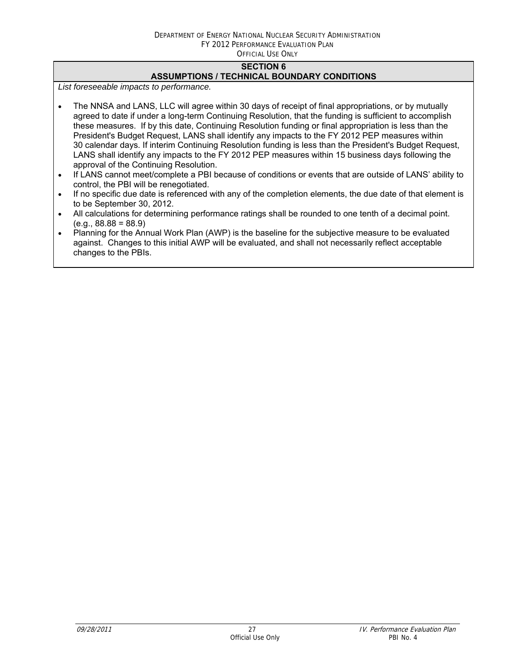# **SECTION 6**

### **ASSUMPTIONS / TECHNICAL BOUNDARY CONDITIONS**

*List foreseeable impacts to performance.* 

- The NNSA and LANS, LLC will agree within 30 days of receipt of final appropriations, or by mutually agreed to date if under a long-term Continuing Resolution, that the funding is sufficient to accomplish these measures. If by this date, Continuing Resolution funding or final appropriation is less than the President's Budget Request, LANS shall identify any impacts to the FY 2012 PEP measures within 30 calendar days. If interim Continuing Resolution funding is less than the President's Budget Request, LANS shall identify any impacts to the FY 2012 PEP measures within 15 business days following the approval of the Continuing Resolution.
- If LANS cannot meet/complete a PBI because of conditions or events that are outside of LANS' ability to control, the PBI will be renegotiated.
- If no specific due date is referenced with any of the completion elements, the due date of that element is to be September 30, 2012.
- All calculations for determining performance ratings shall be rounded to one tenth of a decimal point.  $(e.g., 88.88 = 88.9)$
- Planning for the Annual Work Plan (AWP) is the baseline for the subjective measure to be evaluated against. Changes to this initial AWP will be evaluated, and shall not necessarily reflect acceptable changes to the PBIs.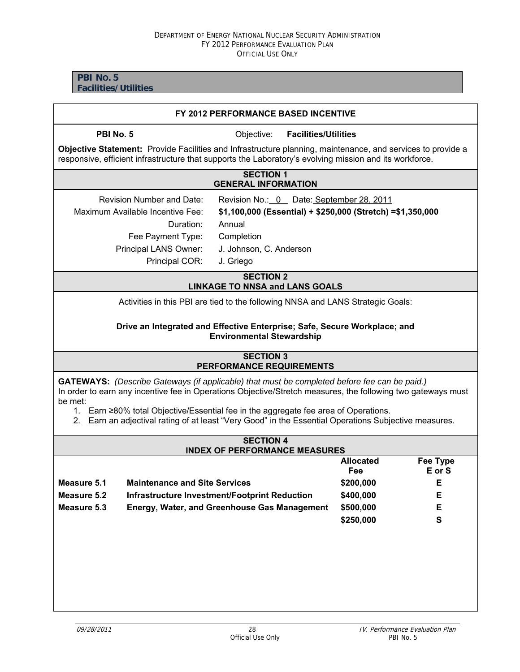# **PBI NO. 5 Facilities/Utilities FY 2012 PERFORMANCE BASED INCENTIVE**

**PBI No. 5** Objective: **Facilities/Utilities** 

**Objective Statement:** Provide Facilities and Infrastructure planning, maintenance, and services to provide a responsive, efficient infrastructure that supports the Laboratory's evolving mission and its workforce.

# **SECTION 1 GENERAL INFORMATION**  Revision Number and Date: Revision No.: 0 Date: September 28, 2011 Maximum Available Incentive Fee: **\$1,100,000 (Essential) + \$250,000 (Stretch) =\$1,350,000** Duration: Annual Fee Payment Type: Completion Principal LANS Owner: J. Johnson, C. Anderson Principal COR: J. Griego

#### **SECTION 2 LINKAGE TO NNSA and LANS GOALS**

Activities in this PBI are tied to the following NNSA and LANS Strategic Goals:

#### **Drive an Integrated and Effective Enterprise; Safe, Secure Workplace; and Environmental Stewardship**

#### **SECTION 3 PERFORMANCE REQUIREMENTS**

**GATEWAYS:** *(Describe Gateways (if applicable) that must be completed before fee can be paid.)*  In order to earn any incentive fee in Operations Objective/Stretch measures, the following two gateways must be met:

- 1. Earn ≥80% total Objective/Essential fee in the aggregate fee area of Operations.
- 2. Earn an adjectival rating of at least "Very Good" in the Essential Operations Subjective measures.

| <b>SECTION 4</b> |                                                     |                  |          |  |
|------------------|-----------------------------------------------------|------------------|----------|--|
|                  | <b>INDEX OF PERFORMANCE MEASURES</b>                |                  |          |  |
|                  |                                                     | <b>Allocated</b> | Fee Type |  |
|                  |                                                     | <b>Fee</b>       | E or S   |  |
| Measure 5.1      | <b>Maintenance and Site Services</b>                | \$200,000        | Е        |  |
| Measure 5.2      | Infrastructure Investment/Footprint Reduction       | \$400,000        | Е        |  |
| Measure 5.3      | <b>Energy, Water, and Greenhouse Gas Management</b> | \$500,000        | Е        |  |
|                  |                                                     | \$250,000        | S        |  |
|                  |                                                     |                  |          |  |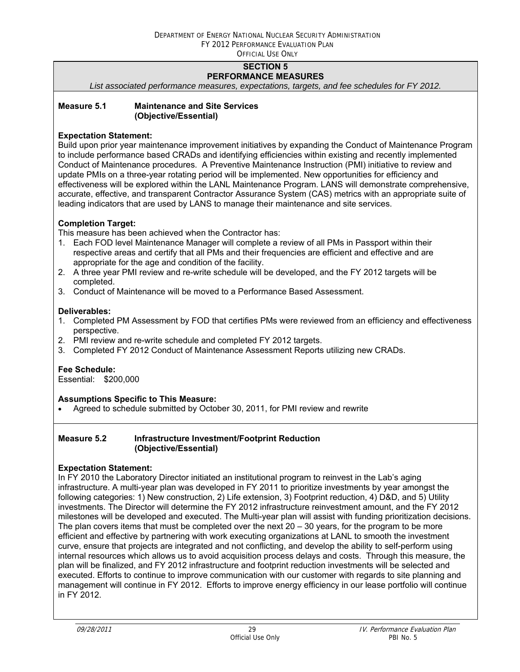**SECTION 5** 

# **PERFORMANCE MEASURES**

*List associated performance measures, expectations, targets, and fee schedules for FY 2012.* 

#### **Measure 5.1 Maintenance and Site Services (Objective/Essential)**

#### **Expectation Statement:**

Build upon prior year maintenance improvement initiatives by expanding the Conduct of Maintenance Program to include performance based CRADs and identifying efficiencies within existing and recently implemented Conduct of Maintenance procedures. A Preventive Maintenance Instruction (PMI) initiative to review and update PMIs on a three-year rotating period will be implemented. New opportunities for efficiency and effectiveness will be explored within the LANL Maintenance Program. LANS will demonstrate comprehensive, accurate, effective, and transparent Contractor Assurance System (CAS) metrics with an appropriate suite of leading indicators that are used by LANS to manage their maintenance and site services.

#### **Completion Target:**

This measure has been achieved when the Contractor has:

- 1. Each FOD level Maintenance Manager will complete a review of all PMs in Passport within their respective areas and certify that all PMs and their frequencies are efficient and effective and are appropriate for the age and condition of the facility.
- 2. A three year PMI review and re-write schedule will be developed, and the FY 2012 targets will be completed.
- 3. Conduct of Maintenance will be moved to a Performance Based Assessment.

#### **Deliverables:**

- 1. Completed PM Assessment by FOD that certifies PMs were reviewed from an efficiency and effectiveness perspective.
- 2. PMI review and re-write schedule and completed FY 2012 targets.
- 3. Completed FY 2012 Conduct of Maintenance Assessment Reports utilizing new CRADs.

#### **Fee Schedule:**

Essential: \$200,000

#### **Assumptions Specific to This Measure:**

Agreed to schedule submitted by October 30, 2011, for PMI review and rewrite

#### **Measure 5.2 Infrastructure Investment/Footprint Reduction (Objective/Essential)**

#### **Expectation Statement:**

In FY 2010 the Laboratory Director initiated an institutional program to reinvest in the Lab's aging infrastructure. A multi-year plan was developed in FY 2011 to prioritize investments by year amongst the following categories: 1) New construction, 2) Life extension, 3) Footprint reduction, 4) D&D, and 5) Utility investments. The Director will determine the FY 2012 infrastructure reinvestment amount, and the FY 2012 milestones will be developed and executed. The Multi-year plan will assist with funding prioritization decisions. The plan covers items that must be completed over the next  $20 - 30$  years, for the program to be more efficient and effective by partnering with work executing organizations at LANL to smooth the investment curve, ensure that projects are integrated and not conflicting, and develop the ability to self-perform using internal resources which allows us to avoid acquisition process delays and costs. Through this measure, the plan will be finalized, and FY 2012 infrastructure and footprint reduction investments will be selected and executed. Efforts to continue to improve communication with our customer with regards to site planning and management will continue in FY 2012. Efforts to improve energy efficiency in our lease portfolio will continue in FY 2012.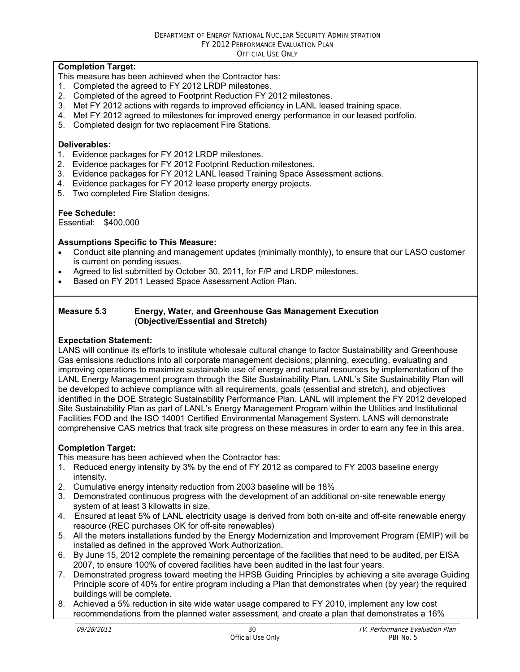#### **Completion Target:**

This measure has been achieved when the Contractor has:

- 1. Completed the agreed to FY 2012 LRDP milestones.
- 2. Completed of the agreed to Footprint Reduction FY 2012 milestones.
- 3. Met FY 2012 actions with regards to improved efficiency in LANL leased training space.
- 4. Met FY 2012 agreed to milestones for improved energy performance in our leased portfolio.
- 5. Completed design for two replacement Fire Stations.

#### **Deliverables:**

- 1. Evidence packages for FY 2012 LRDP milestones.
- 2. Evidence packages for FY 2012 Footprint Reduction milestones.
- 3. Evidence packages for FY 2012 LANL leased Training Space Assessment actions.
- 4. Evidence packages for FY 2012 lease property energy projects.
- 5. Two completed Fire Station designs.

#### **Fee Schedule:**

Essential: \$400,000

#### **Assumptions Specific to This Measure:**

- Conduct site planning and management updates (minimally monthly), to ensure that our LASO customer is current on pending issues.
- Agreed to list submitted by October 30, 2011, for F/P and LRDP milestones.
- Based on FY 2011 Leased Space Assessment Action Plan.

#### **Measure 5.3 Energy, Water, and Greenhouse Gas Management Execution (Objective/Essential and Stretch)**

#### **Expectation Statement:**

LANS will continue its efforts to institute wholesale cultural change to factor Sustainability and Greenhouse Gas emissions reductions into all corporate management decisions; planning, executing, evaluating and improving operations to maximize sustainable use of energy and natural resources by implementation of the LANL Energy Management program through the Site Sustainability Plan. LANL's Site Sustainability Plan will be developed to achieve compliance with all requirements, goals (essential and stretch), and objectives identified in the DOE Strategic Sustainability Performance Plan. LANL will implement the FY 2012 developed Site Sustainability Plan as part of LANL's Energy Management Program within the Utilities and Institutional Facilities FOD and the ISO 14001 Certified Environmental Management System. LANS will demonstrate comprehensive CAS metrics that track site progress on these measures in order to earn any fee in this area.

#### **Completion Target:**

This measure has been achieved when the Contractor has:

- 1. Reduced energy intensity by 3% by the end of FY 2012 as compared to FY 2003 baseline energy intensity.
- 2. Cumulative energy intensity reduction from 2003 baseline will be 18%
- 3. Demonstrated continuous progress with the development of an additional on-site renewable energy system of at least 3 kilowatts in size.
- 4. Ensured at least 5% of LANL electricity usage is derived from both on-site and off-site renewable energy resource (REC purchases OK for off-site renewables)
- 5. All the meters installations funded by the Energy Modernization and Improvement Program (EMIP) will be installed as defined in the approved Work Authorization.
- 6. By June 15, 2012 complete the remaining percentage of the facilities that need to be audited, per EISA 2007, to ensure 100% of covered facilities have been audited in the last four years.
- 7. Demonstrated progress toward meeting the HPSB Guiding Principles by achieving a site average Guiding Principle score of 40% for entire program including a Plan that demonstrates when (by year) the required buildings will be complete.
- 8. Achieved a 5% reduction in site wide water usage compared to FY 2010, implement any low cost recommendations from the planned water assessment, and create a plan that demonstrates a 16%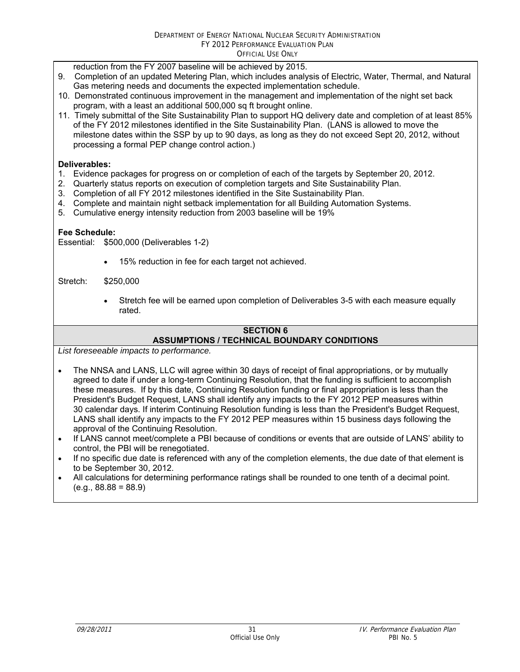reduction from the FY 2007 baseline will be achieved by 2015.

- 9. Completion of an updated Metering Plan, which includes analysis of Electric, Water, Thermal, and Natural Gas metering needs and documents the expected implementation schedule.
- 10. Demonstrated continuous improvement in the management and implementation of the night set back program, with a least an additional 500,000 sq ft brought online.
- 11. Timely submittal of the Site Sustainability Plan to support HQ delivery date and completion of at least 85% of the FY 2012 milestones identified in the Site Sustainability Plan. (LANS is allowed to move the milestone dates within the SSP by up to 90 days, as long as they do not exceed Sept 20, 2012, without processing a formal PEP change control action.)

#### **Deliverables:**

- 1. Evidence packages for progress on or completion of each of the targets by September 20, 2012.
- 2. Quarterly status reports on execution of completion targets and Site Sustainability Plan.
- 3. Completion of all FY 2012 milestones identified in the Site Sustainability Plan.
- 4. Complete and maintain night setback implementation for all Building Automation Systems.
- 5. Cumulative energy intensity reduction from 2003 baseline will be 19%

#### **Fee Schedule:**

Essential: \$500,000 (Deliverables 1-2)

15% reduction in fee for each target not achieved.

Stretch: \$250,000

 Stretch fee will be earned upon completion of Deliverables 3-5 with each measure equally rated.

#### **SECTION 6 ASSUMPTIONS / TECHNICAL BOUNDARY CONDITIONS**

*List foreseeable impacts to performance.* 

- The NNSA and LANS, LLC will agree within 30 days of receipt of final appropriations, or by mutually agreed to date if under a long-term Continuing Resolution, that the funding is sufficient to accomplish these measures. If by this date, Continuing Resolution funding or final appropriation is less than the President's Budget Request, LANS shall identify any impacts to the FY 2012 PEP measures within 30 calendar days. If interim Continuing Resolution funding is less than the President's Budget Request, LANS shall identify any impacts to the FY 2012 PEP measures within 15 business days following the approval of the Continuing Resolution.
- If LANS cannot meet/complete a PBI because of conditions or events that are outside of LANS' ability to control, the PBI will be renegotiated.
- If no specific due date is referenced with any of the completion elements, the due date of that element is to be September 30, 2012.
- All calculations for determining performance ratings shall be rounded to one tenth of a decimal point.  $(e.g., 88.88 = 88.9)$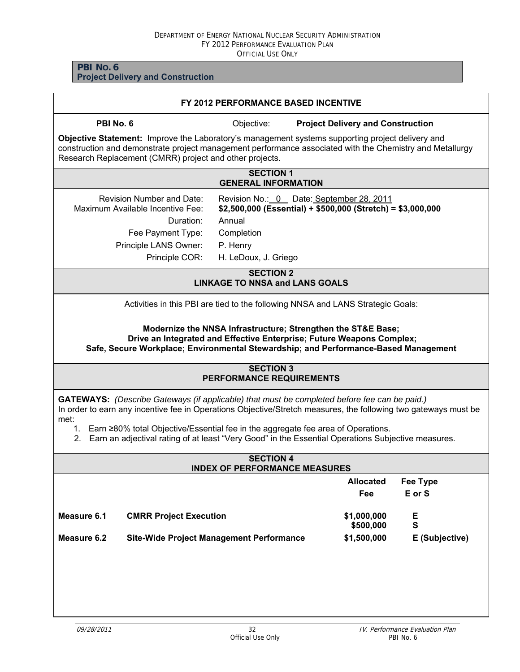#### **PBI NO. 6 Project Delivery and Construction**

#### **FY 2012 PERFORMANCE BASED INCENTIVE**

#### **PBI No. 6 CODE CONSTREED EXAMPLE PROJECT Project Delivery and Construction**

**Objective Statement:** Improve the Laboratory's management systems supporting project delivery and construction and demonstrate project management performance associated with the Chemistry and Metallurgy Research Replacement (CMRR) project and other projects.

| <b>SECTION 1</b><br><b>GENERAL INFORMATION</b>                |                                                                                                          |  |  |
|---------------------------------------------------------------|----------------------------------------------------------------------------------------------------------|--|--|
|                                                               |                                                                                                          |  |  |
| Revision Number and Date:<br>Maximum Available Incentive Fee: | Revision No.: 0 Date: September 28, 2011<br>$$2,500,000$ (Essential) + \$500,000 (Stretch) = \$3,000,000 |  |  |
| Duration:                                                     | Annual                                                                                                   |  |  |
| Fee Payment Type:                                             | Completion                                                                                               |  |  |
| Principle LANS Owner:                                         | P. Henry                                                                                                 |  |  |
| Principle COR:                                                | H. LeDoux, J. Griego                                                                                     |  |  |
| <b>SECTION 2</b>                                              |                                                                                                          |  |  |

## **LINKAGE TO NNSA and LANS GOALS**

Activities in this PBI are tied to the following NNSA and LANS Strategic Goals:

#### **Modernize the NNSA Infrastructure; Strengthen the ST&E Base; Drive an Integrated and Effective Enterprise; Future Weapons Complex; Safe, Secure Workplace; Environmental Stewardship; and Performance-Based Management**

#### **SECTION 3 PERFORMANCE REQUIREMENTS**

**GATEWAYS:** *(Describe Gateways (if applicable) that must be completed before fee can be paid.)*  In order to earn any incentive fee in Operations Objective/Stretch measures, the following two gateways must be met:

1. Earn ≥80% total Objective/Essential fee in the aggregate fee area of Operations.

2. Earn an adjectival rating of at least "Very Good" in the Essential Operations Subjective measures.

| <b>SECTION 4</b><br><b>INDEX OF PERFORMANCE MEASURES</b> |                                                 |                          |                |
|----------------------------------------------------------|-------------------------------------------------|--------------------------|----------------|
|                                                          |                                                 |                          |                |
|                                                          |                                                 | <b>Allocated</b>         | Fee Type       |
|                                                          |                                                 | Fee                      | E or S         |
| Measure 6.1                                              | <b>CMRR Project Execution</b>                   | \$1,000,000<br>\$500,000 | Е<br>S         |
| Measure 6.2                                              | <b>Site-Wide Project Management Performance</b> | \$1,500,000              | E (Subjective) |
|                                                          |                                                 |                          |                |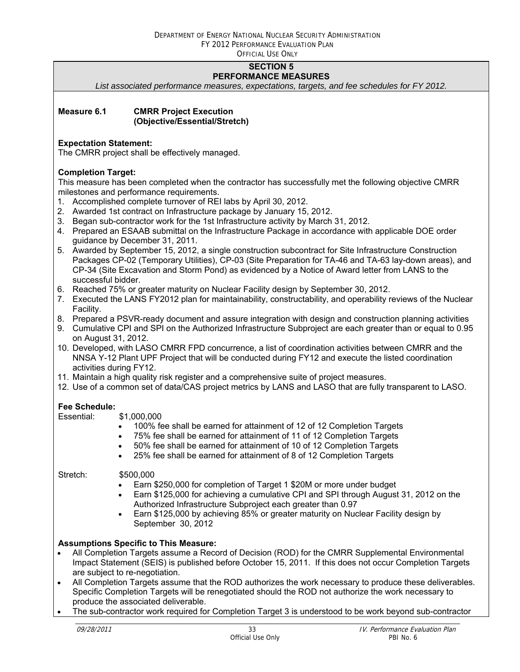**SECTION 5** 

# **PERFORMANCE MEASURES**

*List associated performance measures, expectations, targets, and fee schedules for FY 2012.* 

#### **Measure 6.1 CMRR Project Execution (Objective/Essential/Stretch)**

#### **Expectation Statement:**

The CMRR project shall be effectively managed.

#### **Completion Target:**

This measure has been completed when the contractor has successfully met the following objective CMRR milestones and performance requirements.

- 1. Accomplished complete turnover of REI labs by April 30, 2012.
- 2. Awarded 1st contract on Infrastructure package by January 15, 2012.
- 3. Began sub-contractor work for the 1st Infrastructure activity by March 31, 2012.
- 4. Prepared an ESAAB submittal on the Infrastructure Package in accordance with applicable DOE order guidance by December 31, 2011.
- 5. Awarded by September 15, 2012, a single construction subcontract for Site Infrastructure Construction Packages CP-02 (Temporary Utilities), CP-03 (Site Preparation for TA-46 and TA-63 lay-down areas), and CP-34 (Site Excavation and Storm Pond) as evidenced by a Notice of Award letter from LANS to the successful bidder.
- 6. Reached 75% or greater maturity on Nuclear Facility design by September 30, 2012.
- 7. Executed the LANS FY2012 plan for maintainability, constructability, and operability reviews of the Nuclear Facility.
- 8. Prepared a PSVR-ready document and assure integration with design and construction planning activities
- 9. Cumulative CPI and SPI on the Authorized Infrastructure Subproject are each greater than or equal to 0.95 on August 31, 2012.
- 10. Developed, with LASO CMRR FPD concurrence, a list of coordination activities between CMRR and the NNSA Y-12 Plant UPF Project that will be conducted during FY12 and execute the listed coordination activities during FY12.
- 11. Maintain a high quality risk register and a comprehensive suite of project measures.
- 12. Use of a common set of data/CAS project metrics by LANS and LASO that are fully transparent to LASO.

#### **Fee Schedule:**

Essential: \$1,000,000

- 100% fee shall be earned for attainment of 12 of 12 Completion Targets
- 75% fee shall be earned for attainment of 11 of 12 Completion Targets
- 50% fee shall be earned for attainment of 10 of 12 Completion Targets
- 25% fee shall be earned for attainment of 8 of 12 Completion Targets

Stretch: \$500,000

- Earn \$250,000 for completion of Target 1 \$20M or more under budget
- Earn \$125,000 for achieving a cumulative CPI and SPI through August 31, 2012 on the Authorized Infrastructure Subproject each greater than 0.97
- Earn \$125,000 by achieving 85% or greater maturity on Nuclear Facility design by September 30, 2012

#### **Assumptions Specific to This Measure:**

- All Completion Targets assume a Record of Decision (ROD) for the CMRR Supplemental Environmental Impact Statement (SEIS) is published before October 15, 2011. If this does not occur Completion Targets are subject to re-negotiation.
- All Completion Targets assume that the ROD authorizes the work necessary to produce these deliverables. Specific Completion Targets will be renegotiated should the ROD not authorize the work necessary to produce the associated deliverable.
- The sub-contractor work required for Completion Target 3 is understood to be work beyond sub-contractor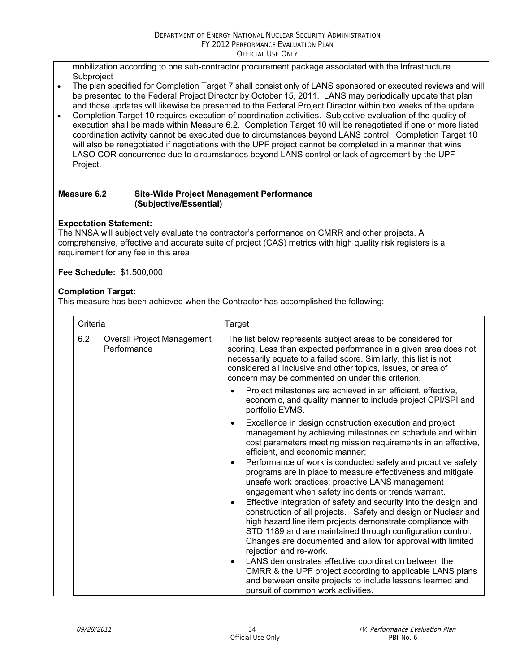mobilization according to one sub-contractor procurement package associated with the Infrastructure Subproject

- The plan specified for Completion Target 7 shall consist only of LANS sponsored or executed reviews and will be presented to the Federal Project Director by October 15, 2011. LANS may periodically update that plan and those updates will likewise be presented to the Federal Project Director within two weeks of the update.
- Completion Target 10 requires execution of coordination activities. Subjective evaluation of the quality of execution shall be made within Measure 6.2. Completion Target 10 will be renegotiated if one or more listed coordination activity cannot be executed due to circumstances beyond LANS control. Completion Target 10 will also be renegotiated if negotiations with the UPF project cannot be completed in a manner that wins LASO COR concurrence due to circumstances beyond LANS control or lack of agreement by the UPF Project.

# **Measure 6.2 Site-Wide Project Management Performance (Subjective/Essential)**

# **Expectation Statement:**

The NNSA will subjectively evaluate the contractor's performance on CMRR and other projects. A comprehensive, effective and accurate suite of project (CAS) metrics with high quality risk registers is a requirement for any fee in this area.

# **Fee Schedule:** \$1,500,000

# **Completion Target:**

This measure has been achieved when the Contractor has accomplished the following:

| Criteria                                                | Target                                                                                                                                                                                                                                                                                                                                                                                                                                                                                                                                                                                                                                                                                                                                                                                                                                    |
|---------------------------------------------------------|-------------------------------------------------------------------------------------------------------------------------------------------------------------------------------------------------------------------------------------------------------------------------------------------------------------------------------------------------------------------------------------------------------------------------------------------------------------------------------------------------------------------------------------------------------------------------------------------------------------------------------------------------------------------------------------------------------------------------------------------------------------------------------------------------------------------------------------------|
| 6.2<br><b>Overall Project Management</b><br>Performance | The list below represents subject areas to be considered for<br>scoring. Less than expected performance in a given area does not<br>necessarily equate to a failed score. Similarly, this list is not<br>considered all inclusive and other topics, issues, or area of<br>concern may be commented on under this criterion.                                                                                                                                                                                                                                                                                                                                                                                                                                                                                                               |
|                                                         | Project milestones are achieved in an efficient, effective,<br>economic, and quality manner to include project CPI/SPI and<br>portfolio EVMS.                                                                                                                                                                                                                                                                                                                                                                                                                                                                                                                                                                                                                                                                                             |
|                                                         | Excellence in design construction execution and project<br>management by achieving milestones on schedule and within<br>cost parameters meeting mission requirements in an effective,<br>efficient, and economic manner;<br>Performance of work is conducted safely and proactive safety<br>$\bullet$<br>programs are in place to measure effectiveness and mitigate<br>unsafe work practices; proactive LANS management<br>engagement when safety incidents or trends warrant.<br>Effective integration of safety and security into the design and<br>construction of all projects. Safety and design or Nuclear and<br>high hazard line item projects demonstrate compliance with<br>STD 1189 and are maintained through configuration control.<br>Changes are documented and allow for approval with limited<br>rejection and re-work. |
|                                                         | LANS demonstrates effective coordination between the<br>CMRR & the UPF project according to applicable LANS plans<br>and between onsite projects to include lessons learned and<br>pursuit of common work activities.                                                                                                                                                                                                                                                                                                                                                                                                                                                                                                                                                                                                                     |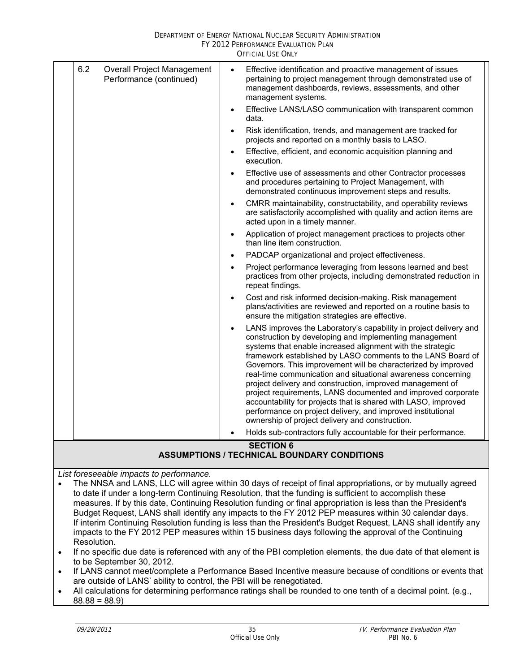| 6.2 | <b>Overall Project Management</b><br>Performance (continued) | Effective identification and proactive management of issues<br>$\bullet$<br>pertaining to project management through demonstrated use of<br>management dashboards, reviews, assessments, and other<br>management systems.                                                                                                                                                                                                                                                                                                                                                                                                                                                                                               |
|-----|--------------------------------------------------------------|-------------------------------------------------------------------------------------------------------------------------------------------------------------------------------------------------------------------------------------------------------------------------------------------------------------------------------------------------------------------------------------------------------------------------------------------------------------------------------------------------------------------------------------------------------------------------------------------------------------------------------------------------------------------------------------------------------------------------|
|     |                                                              | Effective LANS/LASO communication with transparent common<br>$\bullet$<br>data.                                                                                                                                                                                                                                                                                                                                                                                                                                                                                                                                                                                                                                         |
|     |                                                              | Risk identification, trends, and management are tracked for<br>$\bullet$<br>projects and reported on a monthly basis to LASO.                                                                                                                                                                                                                                                                                                                                                                                                                                                                                                                                                                                           |
|     |                                                              | Effective, efficient, and economic acquisition planning and<br>$\bullet$<br>execution.                                                                                                                                                                                                                                                                                                                                                                                                                                                                                                                                                                                                                                  |
|     |                                                              | Effective use of assessments and other Contractor processes<br>and procedures pertaining to Project Management, with<br>demonstrated continuous improvement steps and results.                                                                                                                                                                                                                                                                                                                                                                                                                                                                                                                                          |
|     |                                                              | CMRR maintainability, constructability, and operability reviews<br>$\bullet$<br>are satisfactorily accomplished with quality and action items are<br>acted upon in a timely manner.                                                                                                                                                                                                                                                                                                                                                                                                                                                                                                                                     |
|     |                                                              | Application of project management practices to projects other<br>$\bullet$<br>than line item construction.                                                                                                                                                                                                                                                                                                                                                                                                                                                                                                                                                                                                              |
|     |                                                              | PADCAP organizational and project effectiveness.<br>$\bullet$                                                                                                                                                                                                                                                                                                                                                                                                                                                                                                                                                                                                                                                           |
|     |                                                              | Project performance leveraging from lessons learned and best<br>$\bullet$<br>practices from other projects, including demonstrated reduction in<br>repeat findings.                                                                                                                                                                                                                                                                                                                                                                                                                                                                                                                                                     |
|     |                                                              | Cost and risk informed decision-making. Risk management<br>$\bullet$<br>plans/activities are reviewed and reported on a routine basis to<br>ensure the mitigation strategies are effective.                                                                                                                                                                                                                                                                                                                                                                                                                                                                                                                             |
|     |                                                              | LANS improves the Laboratory's capability in project delivery and<br>$\bullet$<br>construction by developing and implementing management<br>systems that enable increased alignment with the strategic<br>framework established by LASO comments to the LANS Board of<br>Governors. This improvement will be characterized by improved<br>real-time communication and situational awareness concerning<br>project delivery and construction, improved management of<br>project requirements, LANS documented and improved corporate<br>accountability for projects that is shared with LASO, improved<br>performance on project delivery, and improved institutional<br>ownership of project delivery and construction. |
|     |                                                              | Holds sub-contractors fully accountable for their performance.                                                                                                                                                                                                                                                                                                                                                                                                                                                                                                                                                                                                                                                          |
|     |                                                              | <b>SECTION 6</b>                                                                                                                                                                                                                                                                                                                                                                                                                                                                                                                                                                                                                                                                                                        |

# **ASSUMPTIONS / TECHNICAL BOUNDARY CONDITIONS**

*List foreseeable impacts to performance.* 

- The NNSA and LANS, LLC will agree within 30 days of receipt of final appropriations, or by mutually agreed to date if under a long-term Continuing Resolution, that the funding is sufficient to accomplish these measures. If by this date, Continuing Resolution funding or final appropriation is less than the President's Budget Request, LANS shall identify any impacts to the FY 2012 PEP measures within 30 calendar days. If interim Continuing Resolution funding is less than the President's Budget Request, LANS shall identify any impacts to the FY 2012 PEP measures within 15 business days following the approval of the Continuing Resolution.
- If no specific due date is referenced with any of the PBI completion elements, the due date of that element is to be September 30, 2012.
- If LANS cannot meet/complete a Performance Based Incentive measure because of conditions or events that are outside of LANS' ability to control, the PBI will be renegotiated.
- All calculations for determining performance ratings shall be rounded to one tenth of a decimal point. (e.g.,  $88.88 = 88.9$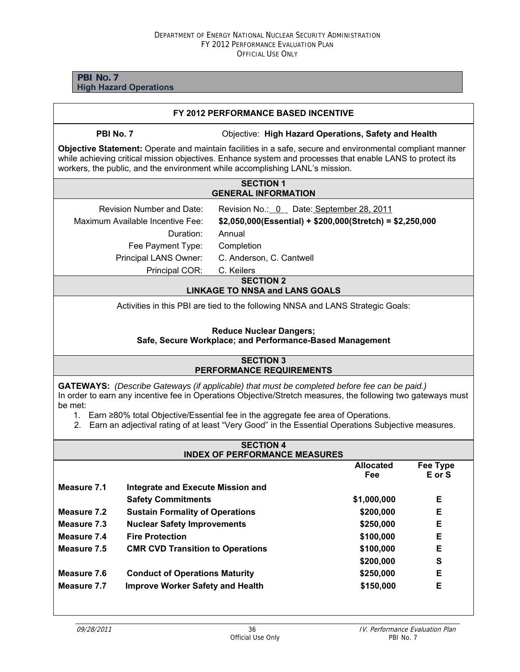#### **PBI NO. 7 High Hazard Operations**

#### **FY 2012 PERFORMANCE BASED INCENTIVE**

**PBI No. 7** Objective: **High Hazard Operations, Safety and Health** 

**Objective Statement:** Operate and maintain facilities in a safe, secure and environmental compliant manner while achieving critical mission objectives. Enhance system and processes that enable LANS to protect its workers, the public, and the environment while accomplishing LANL's mission.

|                                                               | <b>SECTION 1</b><br><b>GENERAL INFORMATION</b>                                                          |  |
|---------------------------------------------------------------|---------------------------------------------------------------------------------------------------------|--|
| Revision Number and Date:<br>Maximum Available Incentive Fee: | Revision No.: 0 Date: September 28, 2011<br>$$2,050,000$ (Essential) + \$200,000(Stretch) = \$2,250,000 |  |
| Duration:                                                     | Annual                                                                                                  |  |
| Fee Payment Type:                                             | Completion                                                                                              |  |
| Principal LANS Owner:                                         | C. Anderson, C. Cantwell                                                                                |  |
| Principal COR:                                                | C. Keilers                                                                                              |  |
| <b>SECTION 2</b><br><b>LINKAGE TO NNSA and LANS GOALS</b>     |                                                                                                         |  |

Activities in this PBI are tied to the following NNSA and LANS Strategic Goals:

# **Reduce Nuclear Dangers; Safe, Secure Workplace; and Performance-Based Management**

#### **SECTION 3 PERFORMANCE REQUIREMENTS**

**GATEWAYS:** *(Describe Gateways (if applicable) that must be completed before fee can be paid.)*  In order to earn any incentive fee in Operations Objective/Stretch measures, the following two gateways must be met:

- 1. Earn ≥80% total Objective/Essential fee in the aggregate fee area of Operations.
- 2. Earn an adjectival rating of at least "Very Good" in the Essential Operations Subjective measures.

|             | <b>SECTION 4</b>                         |                  |          |
|-------------|------------------------------------------|------------------|----------|
|             | <b>INDEX OF PERFORMANCE MEASURES</b>     |                  |          |
|             |                                          | <b>Allocated</b> | Fee Type |
|             |                                          | <b>Fee</b>       | E or S   |
| Measure 7.1 | <b>Integrate and Execute Mission and</b> |                  |          |
|             | <b>Safety Commitments</b>                | \$1,000,000      | Е        |
| Measure 7.2 | <b>Sustain Formality of Operations</b>   | \$200,000        | Е        |
| Measure 7.3 | <b>Nuclear Safety Improvements</b>       | \$250,000        | Е        |
| Measure 7.4 | <b>Fire Protection</b>                   | \$100,000        | Е        |
| Measure 7.5 | <b>CMR CVD Transition to Operations</b>  | \$100,000        | Е        |
|             |                                          | \$200,000        | S        |
| Measure 7.6 | <b>Conduct of Operations Maturity</b>    | \$250,000        | Е        |
| Measure 7.7 | <b>Improve Worker Safety and Health</b>  | \$150,000        | Е        |
|             |                                          |                  |          |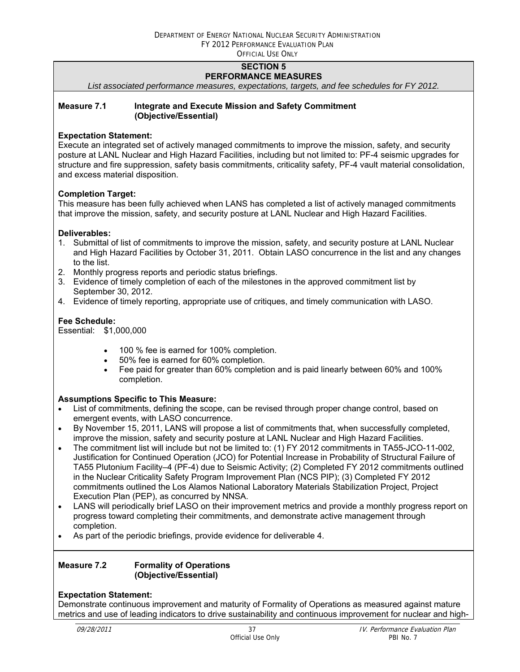#### **SECTION 5 PERFORMANCE MEASURES**

*List associated performance measures, expectations, targets, and fee schedules for FY 2012.* 

#### **Measure 7.1 Integrate and Execute Mission and Safety Commitment (Objective/Essential)**

#### **Expectation Statement:**

Execute an integrated set of actively managed commitments to improve the mission, safety, and security posture at LANL Nuclear and High Hazard Facilities, including but not limited to: PF-4 seismic upgrades for structure and fire suppression, safety basis commitments, criticality safety, PF-4 vault material consolidation, and excess material disposition.

#### **Completion Target:**

This measure has been fully achieved when LANS has completed a list of actively managed commitments that improve the mission, safety, and security posture at LANL Nuclear and High Hazard Facilities.

#### **Deliverables:**

- 1. Submittal of list of commitments to improve the mission, safety, and security posture at LANL Nuclear and High Hazard Facilities by October 31, 2011. Obtain LASO concurrence in the list and any changes to the list.
- 2. Monthly progress reports and periodic status briefings.
- 3. Evidence of timely completion of each of the milestones in the approved commitment list by September 30, 2012.
- 4. Evidence of timely reporting, appropriate use of critiques, and timely communication with LASO.

#### **Fee Schedule:**

Essential: \$1,000,000

- 100 % fee is earned for 100% completion.
- 50% fee is earned for 60% completion.
- Fee paid for greater than 60% completion and is paid linearly between 60% and 100% completion.

#### **Assumptions Specific to This Measure:**

- List of commitments, defining the scope, can be revised through proper change control, based on emergent events, with LASO concurrence.
- By November 15, 2011, LANS will propose a list of commitments that, when successfully completed, improve the mission, safety and security posture at LANL Nuclear and High Hazard Facilities.
- The commitment list will include but not be limited to: (1) FY 2012 commitments in TA55-JCO-11-002, Justification for Continued Operation (JCO) for Potential Increase in Probability of Structural Failure of TA55 Plutonium Facility–4 (PF-4) due to Seismic Activity; (2) Completed FY 2012 commitments outlined in the Nuclear Criticality Safety Program Improvement Plan (NCS PIP); (3) Completed FY 2012 commitments outlined the Los Alamos National Laboratory Materials Stabilization Project, Project Execution Plan (PEP), as concurred by NNSA.
- LANS will periodically brief LASO on their improvement metrics and provide a monthly progress report on progress toward completing their commitments, and demonstrate active management through completion.
- As part of the periodic briefings, provide evidence for deliverable 4.

#### **Measure 7.2 Formality of Operations (Objective/Essential)**

#### **Expectation Statement:**

Demonstrate continuous improvement and maturity of Formality of Operations as measured against mature metrics and use of leading indicators to drive sustainability and continuous improvement for nuclear and high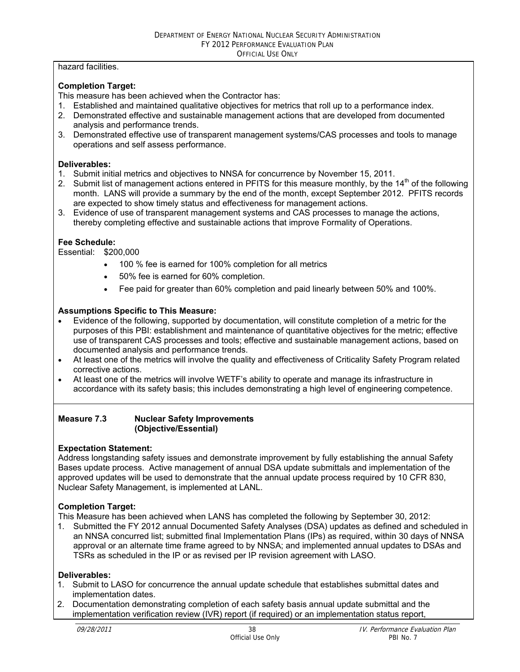hazard facilities.

### **Completion Target:**

This measure has been achieved when the Contractor has:

- 1. Established and maintained qualitative objectives for metrics that roll up to a performance index.
- 2. Demonstrated effective and sustainable management actions that are developed from documented analysis and performance trends.
- 3. Demonstrated effective use of transparent management systems/CAS processes and tools to manage operations and self assess performance.

#### **Deliverables:**

- 1. Submit initial metrics and objectives to NNSA for concurrence by November 15, 2011.
- 2. Submit list of management actions entered in PFITS for this measure monthly, by the 14<sup>th</sup> of the following month. LANS will provide a summary by the end of the month, except September 2012. PFITS records are expected to show timely status and effectiveness for management actions.
- 3. Evidence of use of transparent management systems and CAS processes to manage the actions, thereby completing effective and sustainable actions that improve Formality of Operations.

#### **Fee Schedule:**

Essential: \$200,000

- 100 % fee is earned for 100% completion for all metrics
- 50% fee is earned for 60% completion.
- Fee paid for greater than 60% completion and paid linearly between 50% and 100%.

#### **Assumptions Specific to This Measure:**

- Evidence of the following, supported by documentation, will constitute completion of a metric for the purposes of this PBI: establishment and maintenance of quantitative objectives for the metric; effective use of transparent CAS processes and tools; effective and sustainable management actions, based on documented analysis and performance trends.
- At least one of the metrics will involve the quality and effectiveness of Criticality Safety Program related corrective actions.
- At least one of the metrics will involve WETF's ability to operate and manage its infrastructure in accordance with its safety basis; this includes demonstrating a high level of engineering competence.

#### **Measure 7.3 Nuclear Safety Improvements (Objective/Essential)**

#### **Expectation Statement:**

Address longstanding safety issues and demonstrate improvement by fully establishing the annual Safety Bases update process. Active management of annual DSA update submittals and implementation of the approved updates will be used to demonstrate that the annual update process required by 10 CFR 830, Nuclear Safety Management, is implemented at LANL.

#### **Completion Target:**

This Measure has been achieved when LANS has completed the following by September 30, 2012:

1. Submitted the FY 2012 annual Documented Safety Analyses (DSA) updates as defined and scheduled in an NNSA concurred list; submitted final Implementation Plans (IPs) as required, within 30 days of NNSA approval or an alternate time frame agreed to by NNSA; and implemented annual updates to DSAs and TSRs as scheduled in the IP or as revised per IP revision agreement with LASO.

#### **Deliverables:**

- 1. Submit to LASO for concurrence the annual update schedule that establishes submittal dates and implementation dates.
- 2. Documentation demonstrating completion of each safety basis annual update submittal and the implementation verification review (IVR) report (if required) or an implementation status report,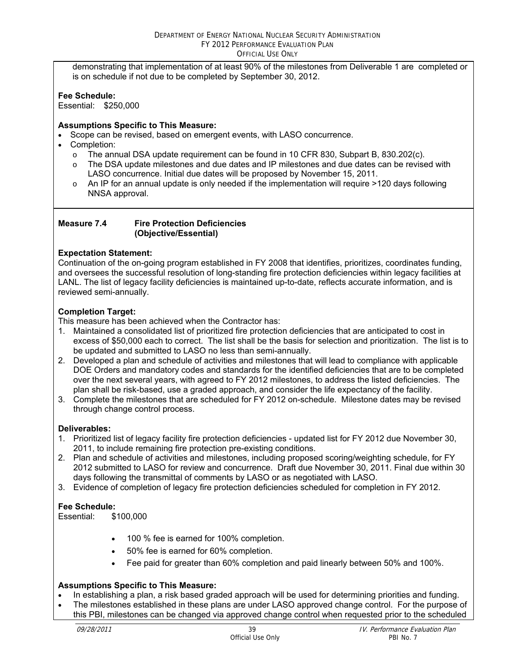demonstrating that implementation of at least 90% of the milestones from Deliverable 1 are completed or is on schedule if not due to be completed by September 30, 2012.

#### **Fee Schedule:**

Essential: \$250,000

#### **Assumptions Specific to This Measure:**

- Scope can be revised, based on emergent events, with LASO concurrence.
- Completion:
	- o The annual DSA update requirement can be found in 10 CFR 830, Subpart B, 830.202(c).
	- o The DSA update milestones and due dates and IP milestones and due dates can be revised with LASO concurrence. Initial due dates will be proposed by November 15, 2011.
	- $\circ$  An IP for an annual update is only needed if the implementation will require  $>120$  days following NNSA approval.

#### **Measure 7.4 Fire Protection Deficiencies (Objective/Essential)**

#### **Expectation Statement:**

Continuation of the on-going program established in FY 2008 that identifies, prioritizes, coordinates funding, and oversees the successful resolution of long-standing fire protection deficiencies within legacy facilities at LANL. The list of legacy facility deficiencies is maintained up-to-date, reflects accurate information, and is reviewed semi-annually.

#### **Completion Target:**

This measure has been achieved when the Contractor has:

- 1. Maintained a consolidated list of prioritized fire protection deficiencies that are anticipated to cost in excess of \$50,000 each to correct. The list shall be the basis for selection and prioritization. The list is to be updated and submitted to LASO no less than semi-annually.
- 2. Developed a plan and schedule of activities and milestones that will lead to compliance with applicable DOE Orders and mandatory codes and standards for the identified deficiencies that are to be completed over the next several years, with agreed to FY 2012 milestones, to address the listed deficiencies. The plan shall be risk-based, use a graded approach, and consider the life expectancy of the facility.
- 3. Complete the milestones that are scheduled for FY 2012 on-schedule. Milestone dates may be revised through change control process.

#### **Deliverables:**

- 1. Prioritized list of legacy facility fire protection deficiencies updated list for FY 2012 due November 30, 2011, to include remaining fire protection pre-existing conditions.
- 2. Plan and schedule of activities and milestones, including proposed scoring/weighting schedule, for FY 2012 submitted to LASO for review and concurrence. Draft due November 30, 2011. Final due within 30 days following the transmittal of comments by LASO or as negotiated with LASO.
- 3. Evidence of completion of legacy fire protection deficiencies scheduled for completion in FY 2012.

#### **Fee Schedule:**

Essential: \$100,000

- 100 % fee is earned for 100% completion.
- 50% fee is earned for 60% completion.
- Fee paid for greater than 60% completion and paid linearly between 50% and 100%.

#### **Assumptions Specific to This Measure:**

- In establishing a plan, a risk based graded approach will be used for determining priorities and funding.
- The milestones established in these plans are under LASO approved change control. For the purpose of this PBI, milestones can be changed via approved change control when requested prior to the scheduled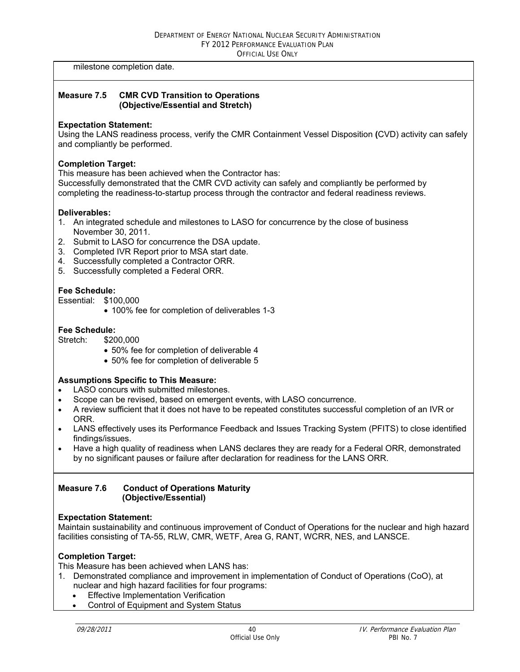milestone completion date.

#### **Measure 7.5 CMR CVD Transition to Operations (Objective/Essential and Stretch)**

#### **Expectation Statement:**

Using the LANS readiness process, verify the CMR Containment Vessel Disposition **(**CVD) activity can safely and compliantly be performed.

#### **Completion Target:**

This measure has been achieved when the Contractor has: Successfully demonstrated that the CMR CVD activity can safely and compliantly be performed by

completing the readiness-to-startup process through the contractor and federal readiness reviews.

#### **Deliverables:**

- 1. An integrated schedule and milestones to LASO for concurrence by the close of business November 30, 2011.
- 2. Submit to LASO for concurrence the DSA update.
- 3. Completed IVR Report prior to MSA start date.
- 4. Successfully completed a Contractor ORR.
- 5. Successfully completed a Federal ORR.

#### **Fee Schedule:**

Essential: \$100,000

• 100% fee for completion of deliverables 1-3

#### **Fee Schedule:**

Stretch: \$200,000

- 50% fee for completion of deliverable 4
- 50% fee for completion of deliverable 5

#### **Assumptions Specific to This Measure:**

- LASO concurs with submitted milestones.
- Scope can be revised, based on emergent events, with LASO concurrence.
- A review sufficient that it does not have to be repeated constitutes successful completion of an IVR or ORR.
- LANS effectively uses its Performance Feedback and Issues Tracking System (PFITS) to close identified findings/issues.
- Have a high quality of readiness when LANS declares they are ready for a Federal ORR, demonstrated by no significant pauses or failure after declaration for readiness for the LANS ORR.

#### **Measure 7.6 Conduct of Operations Maturity (Objective/Essential)**

#### **Expectation Statement:**

Maintain sustainability and continuous improvement of Conduct of Operations for the nuclear and high hazard facilities consisting of TA-55, RLW, CMR, WETF, Area G, RANT, WCRR, NES, and LANSCE.

#### **Completion Target:**

This Measure has been achieved when LANS has:

- 1. Demonstrated compliance and improvement in implementation of Conduct of Operations (CoO), at nuclear and high hazard facilities for four programs:
	- Effective Implementation Verification
	- Control of Equipment and System Status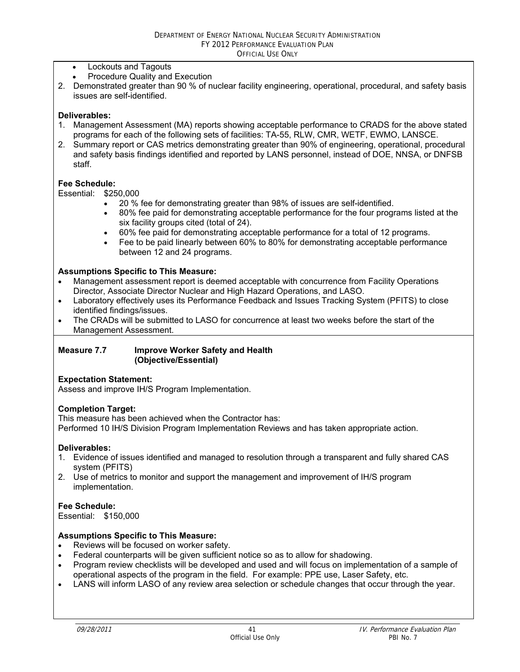- Lockouts and Tagouts
- Procedure Quality and Execution
- 2. Demonstrated greater than 90 % of nuclear facility engineering, operational, procedural, and safety basis issues are self-identified.

#### **Deliverables:**

- 1. Management Assessment (MA) reports showing acceptable performance to CRADS for the above stated programs for each of the following sets of facilities: TA-55, RLW, CMR, WETF, EWMO, LANSCE.
- 2. Summary report or CAS metrics demonstrating greater than 90% of engineering, operational, procedural and safety basis findings identified and reported by LANS personnel, instead of DOE, NNSA, or DNFSB staff.

#### **Fee Schedule:**

Essential: \$250,000

- 20 % fee for demonstrating greater than 98% of issues are self-identified.
- 80% fee paid for demonstrating acceptable performance for the four programs listed at the six facility groups cited (total of 24).
- 60% fee paid for demonstrating acceptable performance for a total of 12 programs.
- Fee to be paid linearly between 60% to 80% for demonstrating acceptable performance between 12 and 24 programs.

#### **Assumptions Specific to This Measure:**

- Management assessment report is deemed acceptable with concurrence from Facility Operations Director, Associate Director Nuclear and High Hazard Operations, and LASO.
- Laboratory effectively uses its Performance Feedback and Issues Tracking System (PFITS) to close identified findings/issues.
- The CRADs will be submitted to LASO for concurrence at least two weeks before the start of the Management Assessment.

#### **Measure 7.7 Improve Worker Safety and Health (Objective/Essential)**

#### **Expectation Statement:**

Assess and improve IH/S Program Implementation.

#### **Completion Target:**

This measure has been achieved when the Contractor has: Performed 10 IH/S Division Program Implementation Reviews and has taken appropriate action.

#### **Deliverables:**

- 1. Evidence of issues identified and managed to resolution through a transparent and fully shared CAS system (PFITS)
- 2. Use of metrics to monitor and support the management and improvement of IH/S program implementation.

#### **Fee Schedule:**

Essential: \$150,000

#### **Assumptions Specific to This Measure:**

- Reviews will be focused on worker safety.
- Federal counterparts will be given sufficient notice so as to allow for shadowing.
- Program review checklists will be developed and used and will focus on implementation of a sample of operational aspects of the program in the field. For example: PPE use, Laser Safety, etc.
- LANS will inform LASO of any review area selection or schedule changes that occur through the year.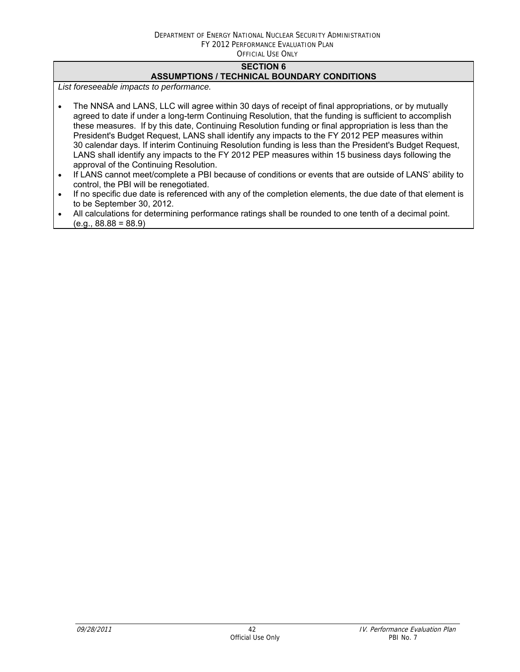#### DEPARTMENT OF ENERGY NATIONAL NUCLEAR SECURITY ADMINISTRATION FY 2012 PERFORMANCE EVALUATION PLAN OFFICIAL USE ONLY

# **SECTION 6**

# **ASSUMPTIONS / TECHNICAL BOUNDARY CONDITIONS**

*List foreseeable impacts to performance.* 

- The NNSA and LANS, LLC will agree within 30 days of receipt of final appropriations, or by mutually agreed to date if under a long-term Continuing Resolution, that the funding is sufficient to accomplish these measures. If by this date, Continuing Resolution funding or final appropriation is less than the President's Budget Request, LANS shall identify any impacts to the FY 2012 PEP measures within 30 calendar days. If interim Continuing Resolution funding is less than the President's Budget Request, LANS shall identify any impacts to the FY 2012 PEP measures within 15 business days following the approval of the Continuing Resolution.
- If LANS cannot meet/complete a PBI because of conditions or events that are outside of LANS' ability to control, the PBI will be renegotiated.
- If no specific due date is referenced with any of the completion elements, the due date of that element is to be September 30, 2012.
- All calculations for determining performance ratings shall be rounded to one tenth of a decimal point.  $(e.g., 88.88 = 88.9)$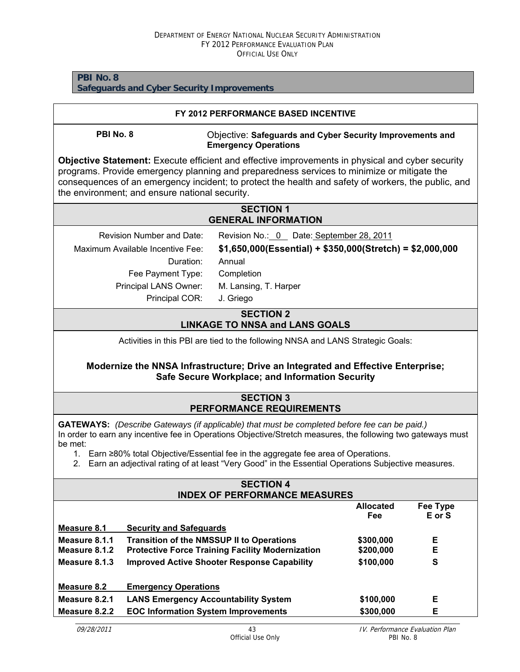# **PBI NO. 8**

**Safeguards and Cyber Security Improvements** 

#### **FY 2012 PERFORMANCE BASED INCENTIVE**

**PBI No. 8** Objective: **Safeguards and Cyber Security Improvements and Emergency Operations**

**Objective Statement:** Execute efficient and effective improvements in physical and cyber security programs. Provide emergency planning and preparedness services to minimize or mitigate the consequences of an emergency incident; to protect the health and safety of workers, the public, and the environment; and ensure national security.

# **SECTION 1 GENERAL INFORMATION**

| <b>Revision Number and Date:</b> | Revision No.: 0 Date: September 28, 2011                    |
|----------------------------------|-------------------------------------------------------------|
| Maximum Available Incentive Fee: | $$1,650,000$ (Essential) + \$350,000(Stretch) = \$2,000,000 |
| Duration:                        | Annual                                                      |
| Fee Payment Type:                | Completion                                                  |
| Principal LANS Owner:            | M. Lansing, T. Harper                                       |
| Principal COR:                   | J. Griego                                                   |

# **SECTION 2 LINKAGE TO NNSA and LANS GOALS**

Activities in this PBI are tied to the following NNSA and LANS Strategic Goals:

# **Modernize the NNSA Infrastructure; Drive an Integrated and Effective Enterprise; Safe Secure Workplace; and Information Security**

# **SECTION 3 PERFORMANCE REQUIREMENTS**

**GATEWAYS:** *(Describe Gateways (if applicable) that must be completed before fee can be paid.)*  In order to earn any incentive fee in Operations Objective/Stretch measures, the following two gateways must be met:

1. Earn ≥80% total Objective/Essential fee in the aggregate fee area of Operations.

2. Earn an adjectival rating of at least "Very Good" in the Essential Operations Subjective measures.

# **SECTION 4 INDEX OF PERFORMANCE MEASURES**

|                                |                                                                                                             | <b>Allocated</b><br>Fee | Fee Type<br>E or S |
|--------------------------------|-------------------------------------------------------------------------------------------------------------|-------------------------|--------------------|
| Measure 8.1                    | <b>Security and Safeguards</b>                                                                              |                         |                    |
| Measure 8.1.1<br>Measure 8.1.2 | <b>Transition of the NMSSUP II to Operations</b><br><b>Protective Force Training Facility Modernization</b> | \$300,000<br>\$200,000  | Е<br>E             |
| Measure 8.1.3                  | <b>Improved Active Shooter Response Capability</b>                                                          | \$100,000               | S                  |
| Measure 8.2                    | <b>Emergency Operations</b>                                                                                 |                         |                    |
| Measure 8.2.1                  | <b>LANS Emergency Accountability System</b>                                                                 | \$100,000               | Е                  |
| Measure 8.2.2                  | <b>EOC Information System Improvements</b>                                                                  | \$300,000               | Е                  |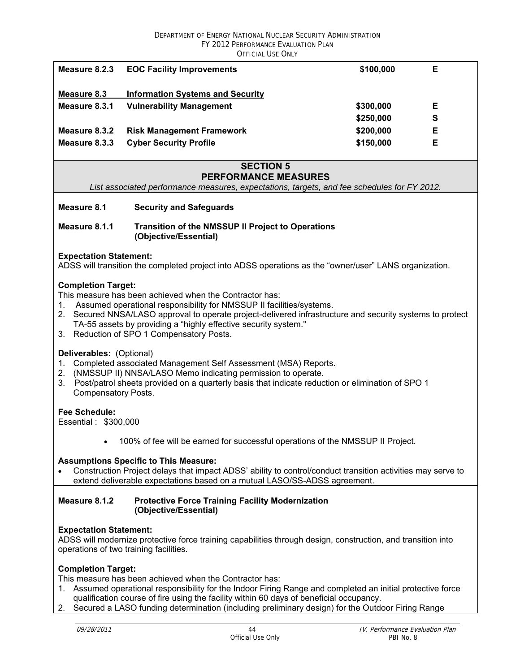| Measure 8.2.3 | <b>EOC Facility Improvements</b>        | \$100,000 | Е  |  |
|---------------|-----------------------------------------|-----------|----|--|
| Measure 8.3   | <b>Information Systems and Security</b> |           |    |  |
| Measure 8.3.1 | <b>Vulnerability Management</b>         | \$300,000 | E. |  |
|               |                                         | \$250,000 | S  |  |
| Measure 8.3.2 | <b>Risk Management Framework</b>        | \$200,000 | Е  |  |
| Measure 8.3.3 | <b>Cyber Security Profile</b>           | \$150,000 | Е  |  |
|               |                                         |           |    |  |

#### **SECTION 5 PERFORMANCE MEASURES**

*List associated performance measures, expectations, targets, and fee schedules for FY 2012.* 

# **Measure 8.1 Security and Safeguards**

#### **Measure 8.1.1 Transition of the NMSSUP II Project to Operations (Objective/Essential)**

#### **Expectation Statement:**

ADSS will transition the completed project into ADSS operations as the "owner/user" LANS organization.

#### **Completion Target:**

This measure has been achieved when the Contractor has:

- 1. Assumed operational responsibility for NMSSUP II facilities/systems.
- 2. Secured NNSA/LASO approval to operate project-delivered infrastructure and security systems to protect TA-55 assets by providing a "highly effective security system."
- 3. Reduction of SPO 1 Compensatory Posts.

#### **Deliverables:** (Optional)

- 1. Completed associated Management Self Assessment (MSA) Reports.
- 2. (NMSSUP II) NNSA/LASO Memo indicating permission to operate.
- 3. Post/patrol sheets provided on a quarterly basis that indicate reduction or elimination of SPO 1 Compensatory Posts.

#### **Fee Schedule:**

Essential : \$300,000

100% of fee will be earned for successful operations of the NMSSUP II Project.

#### **Assumptions Specific to This Measure:**

 Construction Project delays that impact ADSS' ability to control/conduct transition activities may serve to extend deliverable expectations based on a mutual LASO/SS-ADSS agreement.

#### **Measure 8.1.2 Protective Force Training Facility Modernization (Objective/Essential)**

#### **Expectation Statement:**

ADSS will modernize protective force training capabilities through design, construction, and transition into operations of two training facilities.

#### **Completion Target:**

This measure has been achieved when the Contractor has:

- 1. Assumed operational responsibility for the Indoor Firing Range and completed an initial protective force qualification course of fire using the facility within 60 days of beneficial occupancy.
- Secured a LASO funding determination (including preliminary design) for the Outdoor Firing Range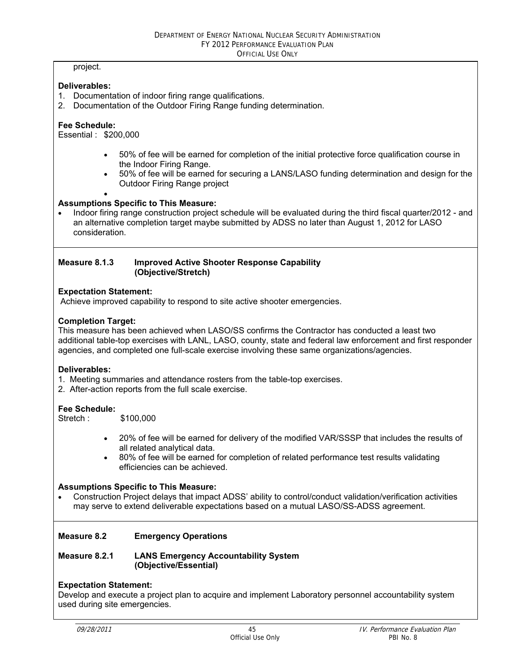#### project.

#### **Deliverables:**

- 1. Documentation of indoor firing range qualifications.
- 2. Documentation of the Outdoor Firing Range funding determination.

#### **Fee Schedule:**

Essential : \$200,000

- 50% of fee will be earned for completion of the initial protective force qualification course in the Indoor Firing Range.
- 50% of fee will be earned for securing a LANS/LASO funding determination and design for the Outdoor Firing Range project

#### $\bullet$ **Assumptions Specific to This Measure:**

 Indoor firing range construction project schedule will be evaluated during the third fiscal quarter/2012 - and an alternative completion target maybe submitted by ADSS no later than August 1, 2012 for LASO consideration.

#### **Measure 8.1.3 Improved Active Shooter Response Capability (Objective/Stretch)**

#### **Expectation Statement:**

Achieve improved capability to respond to site active shooter emergencies.

#### **Completion Target:**

This measure has been achieved when LASO/SS confirms the Contractor has conducted a least two additional table-top exercises with LANL, LASO, county, state and federal law enforcement and first responder agencies, and completed one full-scale exercise involving these same organizations/agencies.

#### **Deliverables:**

- 1. Meeting summaries and attendance rosters from the table-top exercises.
- 2. After-action reports from the full scale exercise.

#### **Fee Schedule:**

Stretch : \$100,000

- 20% of fee will be earned for delivery of the modified VAR/SSSP that includes the results of all related analytical data.
- 80% of fee will be earned for completion of related performance test results validating efficiencies can be achieved.

#### **Assumptions Specific to This Measure:**

 Construction Project delays that impact ADSS' ability to control/conduct validation/verification activities may serve to extend deliverable expectations based on a mutual LASO/SS-ADSS agreement.

#### **Measure 8.2 Emergency Operations**

#### **Measure 8.2.1 LANS Emergency Accountability System (Objective/Essential)**

#### **Expectation Statement:**

Develop and execute a project plan to acquire and implement Laboratory personnel accountability system used during site emergencies.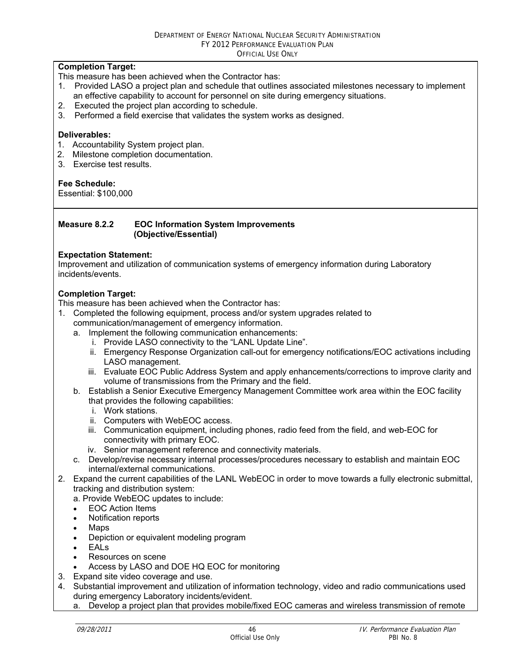#### **Completion Target:**

This measure has been achieved when the Contractor has:

- 1. Provided LASO a project plan and schedule that outlines associated milestones necessary to implement an effective capability to account for personnel on site during emergency situations.
- 2. Executed the project plan according to schedule.
- 3. Performed a field exercise that validates the system works as designed.

#### **Deliverables:**

- 1. Accountability System project plan.
- 2. Milestone completion documentation.
- 3. Exercise test results.

#### **Fee Schedule:**

Essential: \$100,000

#### **Measure 8.2.2 EOC Information System Improvements (Objective/Essential)**

#### **Expectation Statement:**

Improvement and utilization of communication systems of emergency information during Laboratory incidents/events.

#### **Completion Target:**

This measure has been achieved when the Contractor has:

- 1. Completed the following equipment, process and/or system upgrades related to communication/management of emergency information.
	- a. Implement the following communication enhancements:
		- i. Provide LASO connectivity to the "LANL Update Line".
		- ii. Emergency Response Organization call-out for emergency notifications/EOC activations including LASO management.
		- iii. Evaluate EOC Public Address System and apply enhancements/corrections to improve clarity and volume of transmissions from the Primary and the field.
	- b. Establish a Senior Executive Emergency Management Committee work area within the EOC facility that provides the following capabilities:
		- i. Work stations.
		- ii. Computers with WebEOC access.
		- iii. Communication equipment, including phones, radio feed from the field, and web-EOC for connectivity with primary EOC.
		- iv. Senior management reference and connectivity materials.
	- c. Develop/revise necessary internal processes/procedures necessary to establish and maintain EOC internal/external communications.
- 2. Expand the current capabilities of the LANL WebEOC in order to move towards a fully electronic submittal, tracking and distribution system:
	- a. Provide WebEOC updates to include:
	- EOC Action Items
	- Notification reports
	- Maps
	- Depiction or equivalent modeling program
	- EALs
	- Resources on scene
	- Access by LASO and DOE HQ EOC for monitoring
- 3. Expand site video coverage and use.
- 4. Substantial improvement and utilization of information technology, video and radio communications used during emergency Laboratory incidents/evident.
	- a. Develop a project plan that provides mobile/fixed EOC cameras and wireless transmission of remote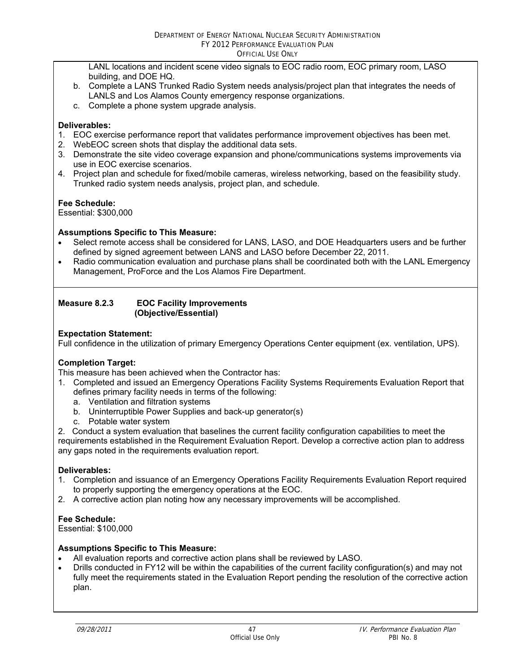LANL locations and incident scene video signals to EOC radio room, EOC primary room, LASO building, and DOE HQ.

- b. Complete a LANS Trunked Radio System needs analysis/project plan that integrates the needs of LANLS and Los Alamos County emergency response organizations.
- c. Complete a phone system upgrade analysis.

#### **Deliverables:**

- 1. EOC exercise performance report that validates performance improvement objectives has been met.
- 2. WebEOC screen shots that display the additional data sets.
- 3. Demonstrate the site video coverage expansion and phone/communications systems improvements via use in EOC exercise scenarios.
- 4. Project plan and schedule for fixed/mobile cameras, wireless networking, based on the feasibility study. Trunked radio system needs analysis, project plan, and schedule.

#### **Fee Schedule:**

Essential: \$300,000

#### **Assumptions Specific to This Measure:**

- Select remote access shall be considered for LANS, LASO, and DOE Headquarters users and be further defined by signed agreement between LANS and LASO before December 22, 2011.
- Radio communication evaluation and purchase plans shall be coordinated both with the LANL Emergency Management, ProForce and the Los Alamos Fire Department.

#### **Measure 8.2.3 EOC Facility Improvements (Objective/Essential)**

#### **Expectation Statement:**

Full confidence in the utilization of primary Emergency Operations Center equipment (ex. ventilation, UPS).

#### **Completion Target:**

This measure has been achieved when the Contractor has:

- 1. Completed and issued an Emergency Operations Facility Systems Requirements Evaluation Report that defines primary facility needs in terms of the following:
	- a. Ventilation and filtration systems
	- b. Uninterruptible Power Supplies and back-up generator(s)
	- c. Potable water system
- 2. Conduct a system evaluation that baselines the current facility configuration capabilities to meet the requirements established in the Requirement Evaluation Report. Develop a corrective action plan to address any gaps noted in the requirements evaluation report.

#### **Deliverables:**

- 1. Completion and issuance of an Emergency Operations Facility Requirements Evaluation Report required to properly supporting the emergency operations at the EOC.
- 2. A corrective action plan noting how any necessary improvements will be accomplished.

#### **Fee Schedule:**

Essential: \$100,000

#### **Assumptions Specific to This Measure:**

- All evaluation reports and corrective action plans shall be reviewed by LASO.
- Drills conducted in FY12 will be within the capabilities of the current facility configuration(s) and may not fully meet the requirements stated in the Evaluation Report pending the resolution of the corrective action plan.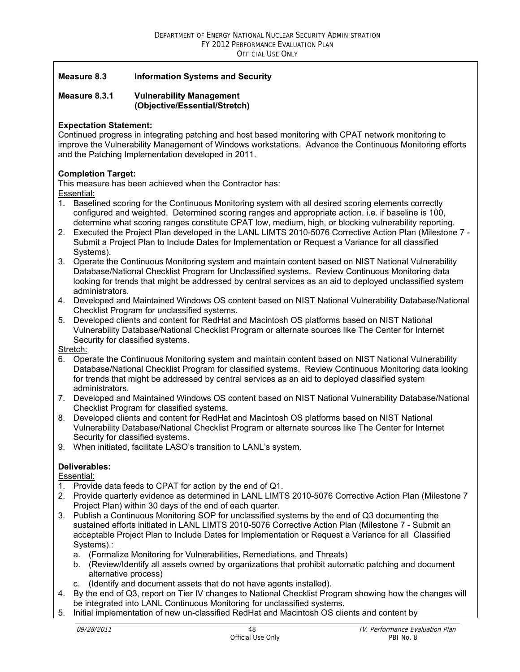#### **Measure 8.3 Information Systems and Security**

#### **Measure 8.3.1 Vulnerability Management (Objective/Essential/Stretch)**

#### **Expectation Statement:**

Continued progress in integrating patching and host based monitoring with CPAT network monitoring to improve the Vulnerability Management of Windows workstations. Advance the Continuous Monitoring efforts and the Patching Implementation developed in 2011.

#### **Completion Target:**

This measure has been achieved when the Contractor has:

Essential:

- 1. Baselined scoring for the Continuous Monitoring system with all desired scoring elements correctly configured and weighted. Determined scoring ranges and appropriate action. i.e. if baseline is 100, determine what scoring ranges constitute CPAT low, medium, high, or blocking vulnerability reporting.
- 2. Executed the Project Plan developed in the LANL LIMTS 2010-5076 Corrective Action Plan (Milestone 7 Submit a Project Plan to Include Dates for Implementation or Request a Variance for all classified Systems).
- 3. Operate the Continuous Monitoring system and maintain content based on NIST National Vulnerability Database/National Checklist Program for Unclassified systems. Review Continuous Monitoring data looking for trends that might be addressed by central services as an aid to deployed unclassified system administrators.
- 4. Developed and Maintained Windows OS content based on NIST National Vulnerability Database/National Checklist Program for unclassified systems.
- 5. Developed clients and content for RedHat and Macintosh OS platforms based on NIST National Vulnerability Database/National Checklist Program or alternate sources like The Center for Internet Security for classified systems.

Stretch:

- 6. Operate the Continuous Monitoring system and maintain content based on NIST National Vulnerability Database/National Checklist Program for classified systems. Review Continuous Monitoring data looking for trends that might be addressed by central services as an aid to deployed classified system administrators.
- 7. Developed and Maintained Windows OS content based on NIST National Vulnerability Database/National Checklist Program for classified systems.
- 8. Developed clients and content for RedHat and Macintosh OS platforms based on NIST National Vulnerability Database/National Checklist Program or alternate sources like The Center for Internet Security for classified systems.
- 9. When initiated, facilitate LASO's transition to LANL's system.

#### **Deliverables:**

Essential:

- 1. Provide data feeds to CPAT for action by the end of Q1.
- 2. Provide quarterly evidence as determined in LANL LIMTS 2010-5076 Corrective Action Plan (Milestone 7 Project Plan) within 30 days of the end of each quarter.
- 3. Publish a Continuous Monitoring SOP for unclassified systems by the end of Q3 documenting the sustained efforts initiated in LANL LIMTS 2010-5076 Corrective Action Plan (Milestone 7 - Submit an acceptable Project Plan to Include Dates for Implementation or Request a Variance for all Classified Systems).:
	- a. (Formalize Monitoring for Vulnerabilities, Remediations, and Threats)
	- b. (Review/Identify all assets owned by organizations that prohibit automatic patching and document alternative process)
	- c. (Identify and document assets that do not have agents installed).
- 4. By the end of Q3, report on Tier IV changes to National Checklist Program showing how the changes will be integrated into LANL Continuous Monitoring for unclassified systems.
- 5. Initial implementation of new un-classified RedHat and Macintosh OS clients and content by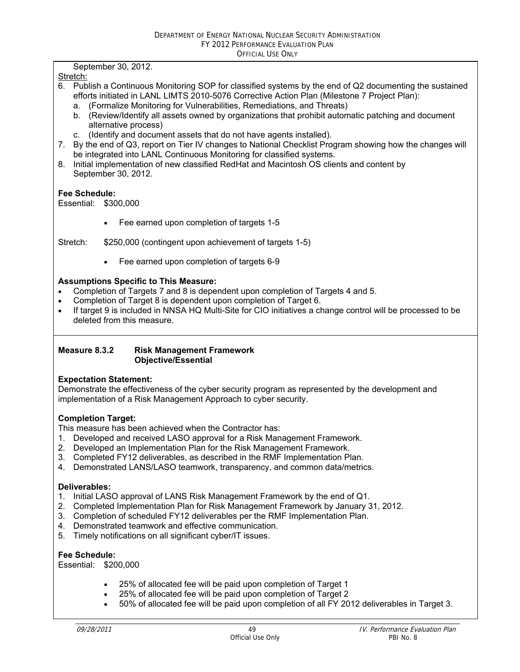#### September 30, 2012.

Stretch:

- 6. Publish a Continuous Monitoring SOP for classified systems by the end of Q2 documenting the sustained efforts initiated in LANL LIMTS 2010-5076 Corrective Action Plan (Milestone 7 Project Plan):
	- a. (Formalize Monitoring for Vulnerabilities, Remediations, and Threats)
	- b. (Review/Identify all assets owned by organizations that prohibit automatic patching and document alternative process)
	- c. (Identify and document assets that do not have agents installed).
- 7. By the end of Q3, report on Tier IV changes to National Checklist Program showing how the changes will be integrated into LANL Continuous Monitoring for classified systems.
- 8. Initial implementation of new classified RedHat and Macintosh OS clients and content by September 30, 2012.

#### **Fee Schedule:**

Essential: \$300,000

• Fee earned upon completion of targets 1-5

Stretch: \$250,000 (contingent upon achievement of targets 1-5)

• Fee earned upon completion of targets 6-9

#### **Assumptions Specific to This Measure:**

- Completion of Targets 7 and 8 is dependent upon completion of Targets 4 and 5.
- Completion of Target 8 is dependent upon completion of Target 6.
- If target 9 is included in NNSA HQ Multi-Site for CIO initiatives a change control will be processed to be deleted from this measure.

#### **Measure 8.3.2 Risk Management Framework Objective/Essential**

#### **Expectation Statement:**

Demonstrate the effectiveness of the cyber security program as represented by the development and implementation of a Risk Management Approach to cyber security.

#### **Completion Target:**

This measure has been achieved when the Contractor has:

- 1. Developed and received LASO approval for a Risk Management Framework.
- 2. Developed an Implementation Plan for the Risk Management Framework.
- 3. Completed FY12 deliverables, as described in the RMF Implementation Plan.
- 4. Demonstrated LANS/LASO teamwork, transparency, and common data/metrics.

#### **Deliverables:**

- 1. Initial LASO approval of LANS Risk Management Framework by the end of Q1.
- 2. Completed Implementation Plan for Risk Management Framework by January 31, 2012.
- 3. Completion of scheduled FY12 deliverables per the RMF Implementation Plan.
- 4. Demonstrated teamwork and effective communication.
- 5. Timely notifications on all significant cyber/IT issues.

#### **Fee Schedule:**

Essential: \$200,000

- 25% of allocated fee will be paid upon completion of Target 1
- 25% of allocated fee will be paid upon completion of Target 2
- 50% of allocated fee will be paid upon completion of all FY 2012 deliverables in Target 3.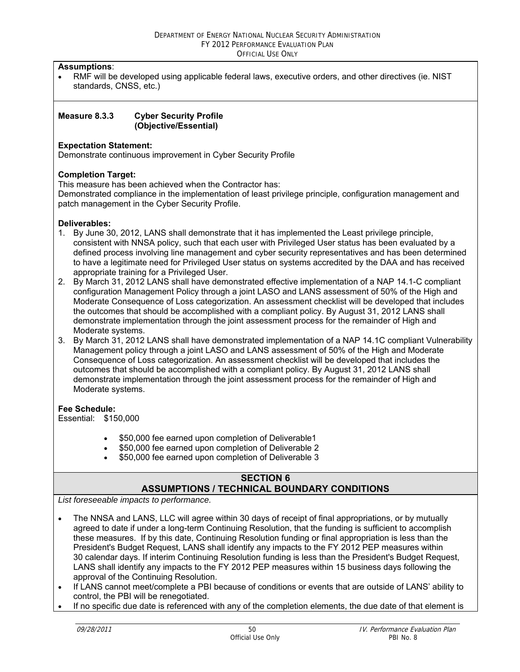#### **Assumptions**:

 RMF will be developed using applicable federal laws, executive orders, and other directives (ie. NIST standards, CNSS, etc.)

#### **Measure 8.3.3 Cyber Security Profile (Objective/Essential)**

#### **Expectation Statement:**

Demonstrate continuous improvement in Cyber Security Profile

#### **Completion Target:**

This measure has been achieved when the Contractor has:

Demonstrated compliance in the implementation of least privilege principle, configuration management and patch management in the Cyber Security Profile.

#### **Deliverables:**

- 1. By June 30, 2012, LANS shall demonstrate that it has implemented the Least privilege principle, consistent with NNSA policy, such that each user with Privileged User status has been evaluated by a defined process involving line management and cyber security representatives and has been determined to have a legitimate need for Privileged User status on systems accredited by the DAA and has received appropriate training for a Privileged User.
- 2. By March 31, 2012 LANS shall have demonstrated effective implementation of a NAP 14.1-C compliant configuration Management Policy through a joint LASO and LANS assessment of 50% of the High and Moderate Consequence of Loss categorization. An assessment checklist will be developed that includes the outcomes that should be accomplished with a compliant policy. By August 31, 2012 LANS shall demonstrate implementation through the joint assessment process for the remainder of High and Moderate systems.
- 3. By March 31, 2012 LANS shall have demonstrated implementation of a NAP 14.1C compliant Vulnerability Management policy through a joint LASO and LANS assessment of 50% of the High and Moderate Consequence of Loss categorization. An assessment checklist will be developed that includes the outcomes that should be accomplished with a compliant policy. By August 31, 2012 LANS shall demonstrate implementation through the joint assessment process for the remainder of High and Moderate systems.

#### **Fee Schedule:**

Essential: \$150,000

- \$50,000 fee earned upon completion of Deliverable1
- $\bullet$  \$50,000 fee earned upon completion of Deliverable 2
- \$50,000 fee earned upon completion of Deliverable 3

# **SECTION 6 ASSUMPTIONS / TECHNICAL BOUNDARY CONDITIONS**

*List foreseeable impacts to performance.*

- The NNSA and LANS, LLC will agree within 30 days of receipt of final appropriations, or by mutually agreed to date if under a long-term Continuing Resolution, that the funding is sufficient to accomplish these measures. If by this date, Continuing Resolution funding or final appropriation is less than the President's Budget Request, LANS shall identify any impacts to the FY 2012 PEP measures within 30 calendar days. If interim Continuing Resolution funding is less than the President's Budget Request, LANS shall identify any impacts to the FY 2012 PEP measures within 15 business days following the approval of the Continuing Resolution.
- If LANS cannot meet/complete a PBI because of conditions or events that are outside of LANS' ability to control, the PBI will be renegotiated.
- If no specific due date is referenced with any of the completion elements, the due date of that element is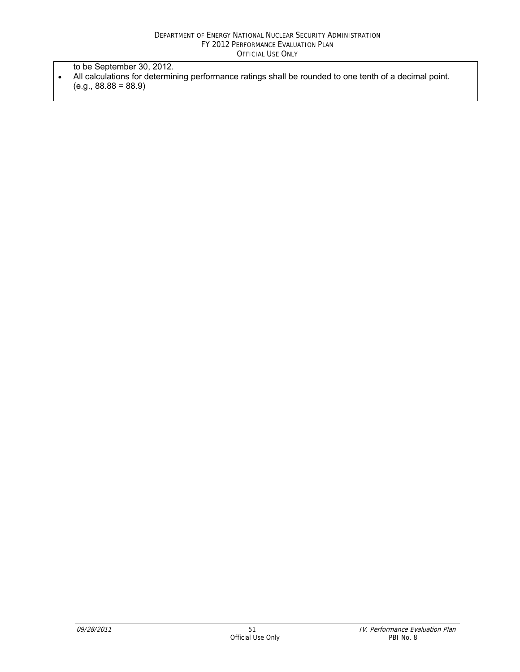to be September 30, 2012.

 All calculations for determining performance ratings shall be rounded to one tenth of a decimal point.  $(e.g., 88.88 = 88.9)$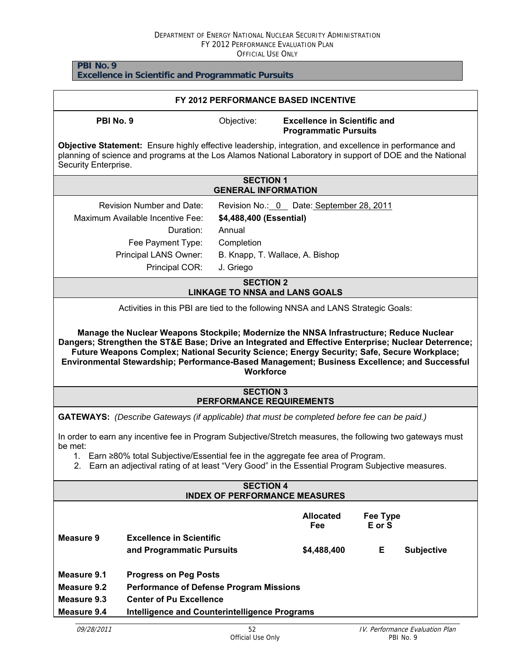**PBI NO. 9** 

#### **FY 2012 PERFORMANCE BASED INCENTIVE**

**PBI No. 9** Objective: **Excellence in Scientific and Programmatic Pursuits** 

**Objective Statement:** Ensure highly effective leadership, integration, and excellence in performance and planning of science and programs at the Los Alamos National Laboratory in support of DOE and the National Security Enterprise.

# **SECTION 1 GENERAL INFORMATION**  Revision Number and Date: Revision No.: 0 Date: September 28, 2011 Maximum Available Incentive Fee: **\$4,488,400 (Essential)**  Duration: Annual Fee Payment Type: Completion Principal LANS Owner: B. Knapp, T. Wallace, A. Bishop Principal COR: J. Griego **SECTION 2**

# **LINKAGE TO NNSA and LANS GOALS**

Activities in this PBI are tied to the following NNSA and LANS Strategic Goals:

**Manage the Nuclear Weapons Stockpile; Modernize the NNSA Infrastructure; Reduce Nuclear Dangers; Strengthen the ST&E Base; Drive an Integrated and Effective Enterprise; Nuclear Deterrence; Future Weapons Complex; National Security Science; Energy Security; Safe, Secure Workplace; Environmental Stewardship; Performance-Based Management; Business Excellence; and Successful Workforce** 

# **SECTION 3 PERFORMANCE REQUIREMENTS**

**GATEWAYS:** *(Describe Gateways (if applicable) that must be completed before fee can be paid.)* 

In order to earn any incentive fee in Program Subjective/Stretch measures, the following two gateways must be met:

- 1. Earn ≥80% total Subjective/Essential fee in the aggregate fee area of Program.
- 2. Earn an adjectival rating of at least "Very Good" in the Essential Program Subjective measures.

# **SECTION 4 INDEX OF PERFORMANCE MEASURES**

|             |                                                | <b>Allocated</b><br><b>Fee</b> | Fee Type<br>E or S |                   |
|-------------|------------------------------------------------|--------------------------------|--------------------|-------------------|
| Measure 9   | <b>Excellence in Scientific</b>                |                                |                    |                   |
|             | and Programmatic Pursuits                      | \$4,488,400                    | Е                  | <b>Subjective</b> |
| Measure 9.1 | <b>Progress on Peg Posts</b>                   |                                |                    |                   |
| Measure 9.2 | <b>Performance of Defense Program Missions</b> |                                |                    |                   |
| Measure 9.3 | <b>Center of Pu Excellence</b>                 |                                |                    |                   |
| Measure 9.4 | Intelligence and Counterintelligence Programs  |                                |                    |                   |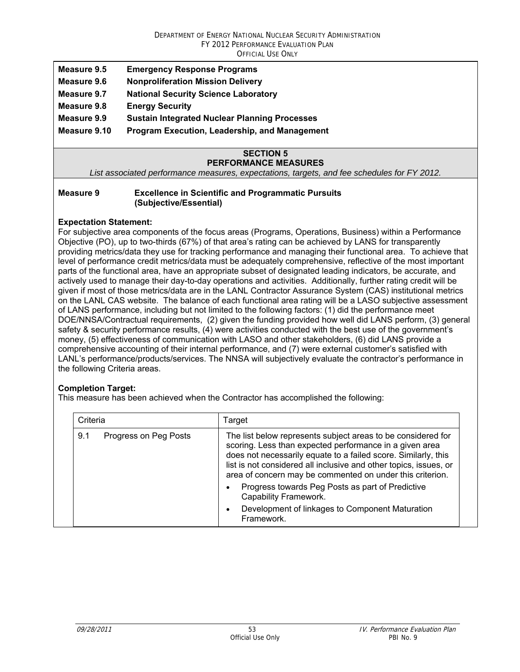- **Measure 9.5 Emergency Response Programs**
- **Measure 9.6 Nonproliferation Mission Delivery**
- **Measure 9.7 National Security Science Laboratory**
- **Measure 9.8 Energy Security**
- **Measure 9.9 Sustain Integrated Nuclear Planning Processes**
- **Measure 9.10 Program Execution, Leadership, and Management**

# **SECTION 5 PERFORMANCE MEASURES**

*List associated performance measures, expectations, targets, and fee schedules for FY 2012.* 

#### **Measure 9 Excellence in Scientific and Programmatic Pursuits (Subjective/Essential)**

#### **Expectation Statement:**

For subjective area components of the focus areas (Programs, Operations, Business) within a Performance Objective (PO), up to two-thirds (67%) of that area's rating can be achieved by LANS for transparently providing metrics/data they use for tracking performance and managing their functional area. To achieve that level of performance credit metrics/data must be adequately comprehensive, reflective of the most important parts of the functional area, have an appropriate subset of designated leading indicators, be accurate, and actively used to manage their day-to-day operations and activities. Additionally, further rating credit will be given if most of those metrics/data are in the LANL Contractor Assurance System (CAS) institutional metrics on the LANL CAS website. The balance of each functional area rating will be a LASO subjective assessment of LANS performance, including but not limited to the following factors: (1) did the performance meet DOE/NNSA/Contractual requirements, (2) given the funding provided how well did LANS perform, (3) general safety & security performance results, (4) were activities conducted with the best use of the government's money, (5) effectiveness of communication with LASO and other stakeholders, (6) did LANS provide a comprehensive accounting of their internal performance, and (7) were external customer's satisfied with LANL's performance/products/services. The NNSA will subjectively evaluate the contractor's performance in the following Criteria areas.

#### **Completion Target:**

This measure has been achieved when the Contractor has accomplished the following:

| Criteria |                       | Target                                                                                                                                                                                                                                                                                                                      |
|----------|-----------------------|-----------------------------------------------------------------------------------------------------------------------------------------------------------------------------------------------------------------------------------------------------------------------------------------------------------------------------|
| 9.1      | Progress on Peg Posts | The list below represents subject areas to be considered for<br>scoring. Less than expected performance in a given area<br>does not necessarily equate to a failed score. Similarly, this<br>list is not considered all inclusive and other topics, issues, or<br>area of concern may be commented on under this criterion. |
|          |                       | Progress towards Peg Posts as part of Predictive<br>$\bullet$<br>Capability Framework.                                                                                                                                                                                                                                      |
|          |                       | Development of linkages to Component Maturation<br>$\bullet$<br>Framework.                                                                                                                                                                                                                                                  |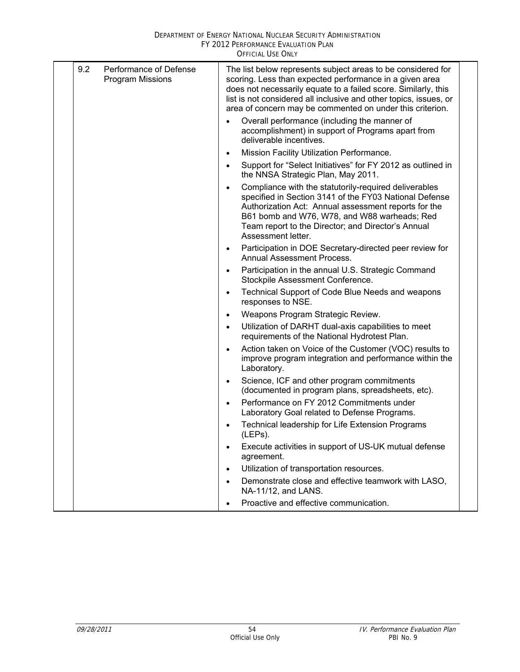| 9.2<br>Performance of Defense<br>The list below represents subject areas to be considered for<br>scoring. Less than expected performance in a given area<br>Program Missions<br>does not necessarily equate to a failed score. Similarly, this<br>list is not considered all inclusive and other topics, issues, or<br>area of concern may be commented on under this criterion.<br>Overall performance (including the manner of<br>$\bullet$<br>accomplishment) in support of Programs apart from<br>deliverable incentives.<br>Mission Facility Utilization Performance.<br>$\bullet$<br>Support for "Select Initiatives" for FY 2012 as outlined in<br>$\bullet$<br>the NNSA Strategic Plan, May 2011.<br>Compliance with the statutorily-required deliverables<br>$\bullet$<br>specified in Section 3141 of the FY03 National Defense<br>Authorization Act: Annual assessment reports for the<br>B61 bomb and W76, W78, and W88 warheads; Red<br>Team report to the Director; and Director's Annual<br>Assessment letter.<br>Participation in DOE Secretary-directed peer review for<br>$\bullet$<br>Annual Assessment Process.<br>Participation in the annual U.S. Strategic Command<br>$\bullet$<br>Stockpile Assessment Conference.<br>Technical Support of Code Blue Needs and weapons<br>$\bullet$<br>responses to NSE.<br>Weapons Program Strategic Review.<br>$\bullet$<br>Utilization of DARHT dual-axis capabilities to meet<br>$\bullet$<br>requirements of the National Hydrotest Plan.<br>Action taken on Voice of the Customer (VOC) results to<br>$\bullet$<br>improve program integration and performance within the<br>Laboratory.<br>Science, ICF and other program commitments<br>$\bullet$<br>(documented in program plans, spreadsheets, etc).<br>Performance on FY 2012 Commitments under<br>$\bullet$<br>Laboratory Goal related to Defense Programs.<br>Technical leadership for Life Extension Programs<br>$\bullet$<br>(LEPs).<br>Execute activities in support of US-UK mutual defense<br>$\bullet$<br>agreement.<br>Utilization of transportation resources.<br>$\bullet$<br>Demonstrate close and effective teamwork with LASO,<br>$\bullet$<br>NA-11/12, and LANS.<br>Proactive and effective communication. |  |  |
|-----------------------------------------------------------------------------------------------------------------------------------------------------------------------------------------------------------------------------------------------------------------------------------------------------------------------------------------------------------------------------------------------------------------------------------------------------------------------------------------------------------------------------------------------------------------------------------------------------------------------------------------------------------------------------------------------------------------------------------------------------------------------------------------------------------------------------------------------------------------------------------------------------------------------------------------------------------------------------------------------------------------------------------------------------------------------------------------------------------------------------------------------------------------------------------------------------------------------------------------------------------------------------------------------------------------------------------------------------------------------------------------------------------------------------------------------------------------------------------------------------------------------------------------------------------------------------------------------------------------------------------------------------------------------------------------------------------------------------------------------------------------------------------------------------------------------------------------------------------------------------------------------------------------------------------------------------------------------------------------------------------------------------------------------------------------------------------------------------------------------------------------------------------------------------------------------------------------------------------------------|--|--|
|                                                                                                                                                                                                                                                                                                                                                                                                                                                                                                                                                                                                                                                                                                                                                                                                                                                                                                                                                                                                                                                                                                                                                                                                                                                                                                                                                                                                                                                                                                                                                                                                                                                                                                                                                                                                                                                                                                                                                                                                                                                                                                                                                                                                                                               |  |  |
|                                                                                                                                                                                                                                                                                                                                                                                                                                                                                                                                                                                                                                                                                                                                                                                                                                                                                                                                                                                                                                                                                                                                                                                                                                                                                                                                                                                                                                                                                                                                                                                                                                                                                                                                                                                                                                                                                                                                                                                                                                                                                                                                                                                                                                               |  |  |
|                                                                                                                                                                                                                                                                                                                                                                                                                                                                                                                                                                                                                                                                                                                                                                                                                                                                                                                                                                                                                                                                                                                                                                                                                                                                                                                                                                                                                                                                                                                                                                                                                                                                                                                                                                                                                                                                                                                                                                                                                                                                                                                                                                                                                                               |  |  |
|                                                                                                                                                                                                                                                                                                                                                                                                                                                                                                                                                                                                                                                                                                                                                                                                                                                                                                                                                                                                                                                                                                                                                                                                                                                                                                                                                                                                                                                                                                                                                                                                                                                                                                                                                                                                                                                                                                                                                                                                                                                                                                                                                                                                                                               |  |  |
|                                                                                                                                                                                                                                                                                                                                                                                                                                                                                                                                                                                                                                                                                                                                                                                                                                                                                                                                                                                                                                                                                                                                                                                                                                                                                                                                                                                                                                                                                                                                                                                                                                                                                                                                                                                                                                                                                                                                                                                                                                                                                                                                                                                                                                               |  |  |
|                                                                                                                                                                                                                                                                                                                                                                                                                                                                                                                                                                                                                                                                                                                                                                                                                                                                                                                                                                                                                                                                                                                                                                                                                                                                                                                                                                                                                                                                                                                                                                                                                                                                                                                                                                                                                                                                                                                                                                                                                                                                                                                                                                                                                                               |  |  |
|                                                                                                                                                                                                                                                                                                                                                                                                                                                                                                                                                                                                                                                                                                                                                                                                                                                                                                                                                                                                                                                                                                                                                                                                                                                                                                                                                                                                                                                                                                                                                                                                                                                                                                                                                                                                                                                                                                                                                                                                                                                                                                                                                                                                                                               |  |  |
|                                                                                                                                                                                                                                                                                                                                                                                                                                                                                                                                                                                                                                                                                                                                                                                                                                                                                                                                                                                                                                                                                                                                                                                                                                                                                                                                                                                                                                                                                                                                                                                                                                                                                                                                                                                                                                                                                                                                                                                                                                                                                                                                                                                                                                               |  |  |
|                                                                                                                                                                                                                                                                                                                                                                                                                                                                                                                                                                                                                                                                                                                                                                                                                                                                                                                                                                                                                                                                                                                                                                                                                                                                                                                                                                                                                                                                                                                                                                                                                                                                                                                                                                                                                                                                                                                                                                                                                                                                                                                                                                                                                                               |  |  |
|                                                                                                                                                                                                                                                                                                                                                                                                                                                                                                                                                                                                                                                                                                                                                                                                                                                                                                                                                                                                                                                                                                                                                                                                                                                                                                                                                                                                                                                                                                                                                                                                                                                                                                                                                                                                                                                                                                                                                                                                                                                                                                                                                                                                                                               |  |  |
|                                                                                                                                                                                                                                                                                                                                                                                                                                                                                                                                                                                                                                                                                                                                                                                                                                                                                                                                                                                                                                                                                                                                                                                                                                                                                                                                                                                                                                                                                                                                                                                                                                                                                                                                                                                                                                                                                                                                                                                                                                                                                                                                                                                                                                               |  |  |
|                                                                                                                                                                                                                                                                                                                                                                                                                                                                                                                                                                                                                                                                                                                                                                                                                                                                                                                                                                                                                                                                                                                                                                                                                                                                                                                                                                                                                                                                                                                                                                                                                                                                                                                                                                                                                                                                                                                                                                                                                                                                                                                                                                                                                                               |  |  |
|                                                                                                                                                                                                                                                                                                                                                                                                                                                                                                                                                                                                                                                                                                                                                                                                                                                                                                                                                                                                                                                                                                                                                                                                                                                                                                                                                                                                                                                                                                                                                                                                                                                                                                                                                                                                                                                                                                                                                                                                                                                                                                                                                                                                                                               |  |  |
|                                                                                                                                                                                                                                                                                                                                                                                                                                                                                                                                                                                                                                                                                                                                                                                                                                                                                                                                                                                                                                                                                                                                                                                                                                                                                                                                                                                                                                                                                                                                                                                                                                                                                                                                                                                                                                                                                                                                                                                                                                                                                                                                                                                                                                               |  |  |
|                                                                                                                                                                                                                                                                                                                                                                                                                                                                                                                                                                                                                                                                                                                                                                                                                                                                                                                                                                                                                                                                                                                                                                                                                                                                                                                                                                                                                                                                                                                                                                                                                                                                                                                                                                                                                                                                                                                                                                                                                                                                                                                                                                                                                                               |  |  |
|                                                                                                                                                                                                                                                                                                                                                                                                                                                                                                                                                                                                                                                                                                                                                                                                                                                                                                                                                                                                                                                                                                                                                                                                                                                                                                                                                                                                                                                                                                                                                                                                                                                                                                                                                                                                                                                                                                                                                                                                                                                                                                                                                                                                                                               |  |  |
|                                                                                                                                                                                                                                                                                                                                                                                                                                                                                                                                                                                                                                                                                                                                                                                                                                                                                                                                                                                                                                                                                                                                                                                                                                                                                                                                                                                                                                                                                                                                                                                                                                                                                                                                                                                                                                                                                                                                                                                                                                                                                                                                                                                                                                               |  |  |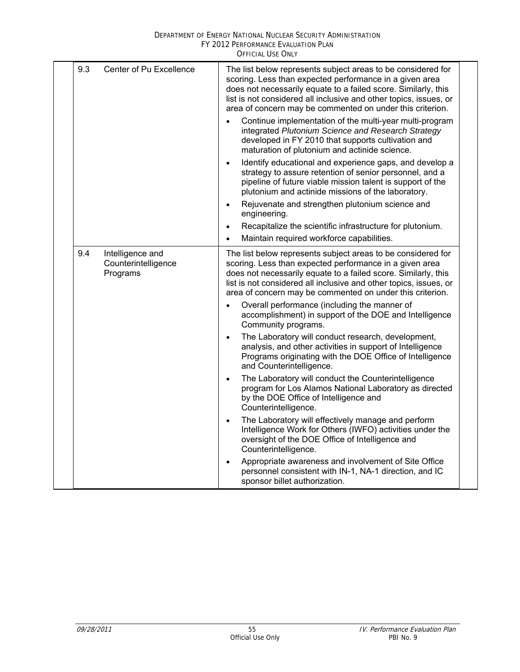| 9.3 | Center of Pu Excellence                             | The list below represents subject areas to be considered for<br>scoring. Less than expected performance in a given area<br>does not necessarily equate to a failed score. Similarly, this<br>list is not considered all inclusive and other topics, issues, or<br>area of concern may be commented on under this criterion.<br>Continue implementation of the multi-year multi-program<br>integrated Plutonium Science and Research Strategy<br>developed in FY 2010 that supports cultivation and<br>maturation of plutonium and actinide science.<br>Identify educational and experience gaps, and develop a<br>$\bullet$<br>strategy to assure retention of senior personnel, and a<br>pipeline of future viable mission talent is support of the<br>plutonium and actinide missions of the laboratory. |
|-----|-----------------------------------------------------|------------------------------------------------------------------------------------------------------------------------------------------------------------------------------------------------------------------------------------------------------------------------------------------------------------------------------------------------------------------------------------------------------------------------------------------------------------------------------------------------------------------------------------------------------------------------------------------------------------------------------------------------------------------------------------------------------------------------------------------------------------------------------------------------------------|
|     |                                                     | Rejuvenate and strengthen plutonium science and<br>$\bullet$<br>engineering.                                                                                                                                                                                                                                                                                                                                                                                                                                                                                                                                                                                                                                                                                                                               |
|     |                                                     | Recapitalize the scientific infrastructure for plutonium.<br>$\bullet$                                                                                                                                                                                                                                                                                                                                                                                                                                                                                                                                                                                                                                                                                                                                     |
|     |                                                     | Maintain required workforce capabilities.<br>$\bullet$                                                                                                                                                                                                                                                                                                                                                                                                                                                                                                                                                                                                                                                                                                                                                     |
| 9.4 | Intelligence and<br>Counterintelligence<br>Programs | The list below represents subject areas to be considered for<br>scoring. Less than expected performance in a given area<br>does not necessarily equate to a failed score. Similarly, this<br>list is not considered all inclusive and other topics, issues, or<br>area of concern may be commented on under this criterion.<br>Overall performance (including the manner of                                                                                                                                                                                                                                                                                                                                                                                                                                |
|     |                                                     | accomplishment) in support of the DOE and Intelligence<br>Community programs.                                                                                                                                                                                                                                                                                                                                                                                                                                                                                                                                                                                                                                                                                                                              |
|     |                                                     | The Laboratory will conduct research, development,<br>$\bullet$<br>analysis, and other activities in support of Intelligence<br>Programs originating with the DOE Office of Intelligence<br>and Counterintelligence.                                                                                                                                                                                                                                                                                                                                                                                                                                                                                                                                                                                       |
|     |                                                     | The Laboratory will conduct the Counterintelligence<br>$\bullet$<br>program for Los Alamos National Laboratory as directed<br>by the DOE Office of Intelligence and<br>Counterintelligence.                                                                                                                                                                                                                                                                                                                                                                                                                                                                                                                                                                                                                |
|     |                                                     | The Laboratory will effectively manage and perform<br>$\bullet$<br>Intelligence Work for Others (IWFO) activities under the<br>oversight of the DOE Office of Intelligence and<br>Counterintelligence.                                                                                                                                                                                                                                                                                                                                                                                                                                                                                                                                                                                                     |
|     |                                                     | Appropriate awareness and involvement of Site Office<br>$\bullet$<br>personnel consistent with IN-1, NA-1 direction, and IC<br>sponsor billet authorization.                                                                                                                                                                                                                                                                                                                                                                                                                                                                                                                                                                                                                                               |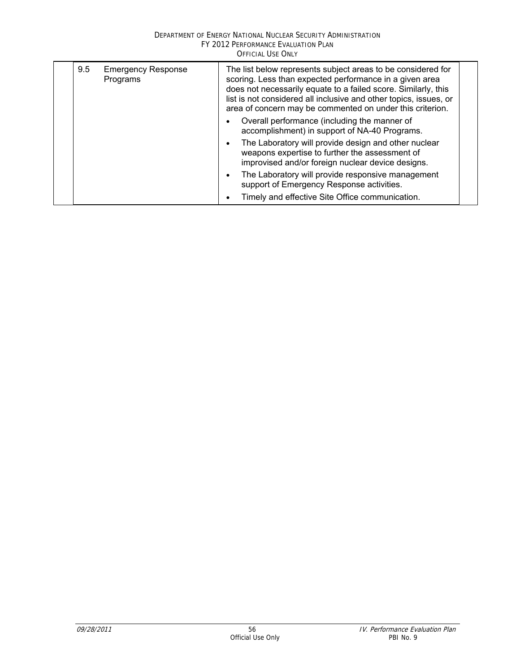| 9.5 | <b>Emergency Response</b><br>Programs | The list below represents subject areas to be considered for<br>scoring. Less than expected performance in a given area<br>does not necessarily equate to a failed score. Similarly, this<br>list is not considered all inclusive and other topics, issues, or<br>area of concern may be commented on under this criterion. |  |
|-----|---------------------------------------|-----------------------------------------------------------------------------------------------------------------------------------------------------------------------------------------------------------------------------------------------------------------------------------------------------------------------------|--|
|     |                                       | Overall performance (including the manner of<br>accomplishment) in support of NA-40 Programs.                                                                                                                                                                                                                               |  |
|     |                                       | The Laboratory will provide design and other nuclear<br>weapons expertise to further the assessment of<br>improvised and/or foreign nuclear device designs.                                                                                                                                                                 |  |
|     |                                       | The Laboratory will provide responsive management<br>$\bullet$<br>support of Emergency Response activities.                                                                                                                                                                                                                 |  |
|     |                                       | Timely and effective Site Office communication.                                                                                                                                                                                                                                                                             |  |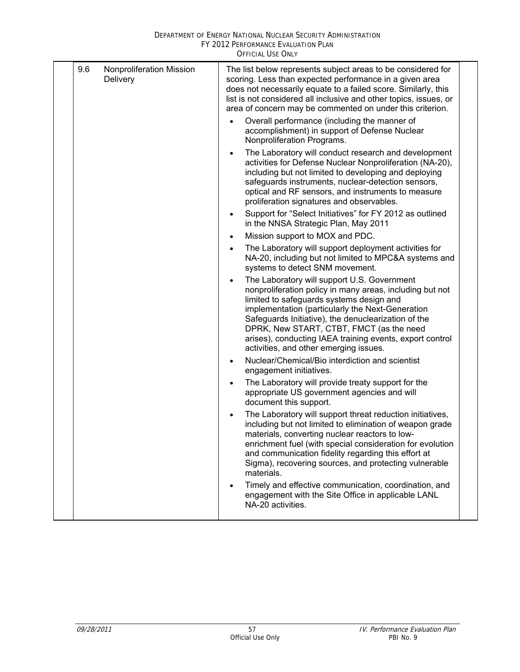| 9.6 | Nonproliferation Mission<br>Delivery | The list below represents subject areas to be considered for<br>scoring. Less than expected performance in a given area<br>does not necessarily equate to a failed score. Similarly, this<br>list is not considered all inclusive and other topics, issues, or<br>area of concern may be commented on under this criterion.<br>Overall performance (including the manner of<br>accomplishment) in support of Defense Nuclear<br>Nonproliferation Programs.<br>The Laboratory will conduct research and development<br>activities for Defense Nuclear Nonproliferation (NA-20),<br>including but not limited to developing and deploying<br>safeguards instruments, nuclear-detection sensors,<br>optical and RF sensors, and instruments to measure<br>proliferation signatures and observables.<br>Support for "Select Initiatives" for FY 2012 as outlined<br>in the NNSA Strategic Plan, May 2011<br>Mission support to MOX and PDC.<br>$\bullet$<br>The Laboratory will support deployment activities for<br>$\bullet$<br>NA-20, including but not limited to MPC&A systems and<br>systems to detect SNM movement.<br>The Laboratory will support U.S. Government<br>nonproliferation policy in many areas, including but not<br>limited to safeguards systems design and<br>implementation (particularly the Next-Generation<br>Safeguards Initiative), the denuclearization of the<br>DPRK, New START, CTBT, FMCT (as the need<br>arises), conducting IAEA training events, export control<br>activities, and other emerging issues.<br>Nuclear/Chemical/Bio interdiction and scientist<br>$\bullet$<br>engagement initiatives.<br>The Laboratory will provide treaty support for the<br>appropriate US government agencies and will<br>document this support.<br>The Laboratory will support threat reduction initiatives,<br>including but not limited to elimination of weapon grade<br>materials, converting nuclear reactors to low-<br>enrichment fuel (with special consideration for evolution<br>and communication fidelity regarding this effort at<br>Sigma), recovering sources, and protecting vulnerable<br>materials.<br>Timely and effective communication, coordination, and<br>$\bullet$<br>engagement with the Site Office in applicable LANL<br>NA-20 activities. |
|-----|--------------------------------------|---------------------------------------------------------------------------------------------------------------------------------------------------------------------------------------------------------------------------------------------------------------------------------------------------------------------------------------------------------------------------------------------------------------------------------------------------------------------------------------------------------------------------------------------------------------------------------------------------------------------------------------------------------------------------------------------------------------------------------------------------------------------------------------------------------------------------------------------------------------------------------------------------------------------------------------------------------------------------------------------------------------------------------------------------------------------------------------------------------------------------------------------------------------------------------------------------------------------------------------------------------------------------------------------------------------------------------------------------------------------------------------------------------------------------------------------------------------------------------------------------------------------------------------------------------------------------------------------------------------------------------------------------------------------------------------------------------------------------------------------------------------------------------------------------------------------------------------------------------------------------------------------------------------------------------------------------------------------------------------------------------------------------------------------------------------------------------------------------------------------------------------------------------------------------------------------------------------------------------------------------------------------------------------------|
|     |                                      |                                                                                                                                                                                                                                                                                                                                                                                                                                                                                                                                                                                                                                                                                                                                                                                                                                                                                                                                                                                                                                                                                                                                                                                                                                                                                                                                                                                                                                                                                                                                                                                                                                                                                                                                                                                                                                                                                                                                                                                                                                                                                                                                                                                                                                                                                             |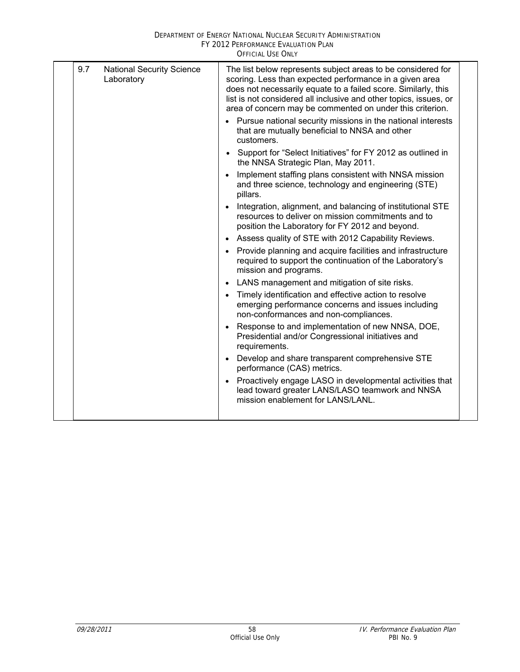| 9.7 | <b>National Security Science</b><br>Laboratory | The list below represents subject areas to be considered for<br>scoring. Less than expected performance in a given area<br>does not necessarily equate to a failed score. Similarly, this<br>list is not considered all inclusive and other topics, issues, or<br>area of concern may be commented on under this criterion.<br>• Pursue national security missions in the national interests<br>that are mutually beneficial to NNSA and other<br>customers.<br>Support for "Select Initiatives" for FY 2012 as outlined in<br>the NNSA Strategic Plan, May 2011.<br>Implement staffing plans consistent with NNSA mission<br>$\bullet$<br>and three science, technology and engineering (STE)<br>pillars.<br>Integration, alignment, and balancing of institutional STE<br>$\bullet$<br>resources to deliver on mission commitments and to<br>position the Laboratory for FY 2012 and beyond.<br>Assess quality of STE with 2012 Capability Reviews.<br>$\bullet$<br>• Provide planning and acquire facilities and infrastructure<br>required to support the continuation of the Laboratory's<br>mission and programs.<br>LANS management and mitigation of site risks.<br>$\bullet$<br>Timely identification and effective action to resolve<br>$\bullet$<br>emerging performance concerns and issues including<br>non-conformances and non-compliances.<br>Response to and implementation of new NNSA, DOE,<br>$\bullet$<br>Presidential and/or Congressional initiatives and<br>requirements.<br>Develop and share transparent comprehensive STE<br>$\bullet$<br>performance (CAS) metrics.<br>Proactively engage LASO in developmental activities that<br>$\bullet$<br>lead toward greater LANS/LASO teamwork and NNSA<br>mission enablement for LANS/LANL. |  |
|-----|------------------------------------------------|------------------------------------------------------------------------------------------------------------------------------------------------------------------------------------------------------------------------------------------------------------------------------------------------------------------------------------------------------------------------------------------------------------------------------------------------------------------------------------------------------------------------------------------------------------------------------------------------------------------------------------------------------------------------------------------------------------------------------------------------------------------------------------------------------------------------------------------------------------------------------------------------------------------------------------------------------------------------------------------------------------------------------------------------------------------------------------------------------------------------------------------------------------------------------------------------------------------------------------------------------------------------------------------------------------------------------------------------------------------------------------------------------------------------------------------------------------------------------------------------------------------------------------------------------------------------------------------------------------------------------------------------------------------------------------------------------------------------------------------------------------------|--|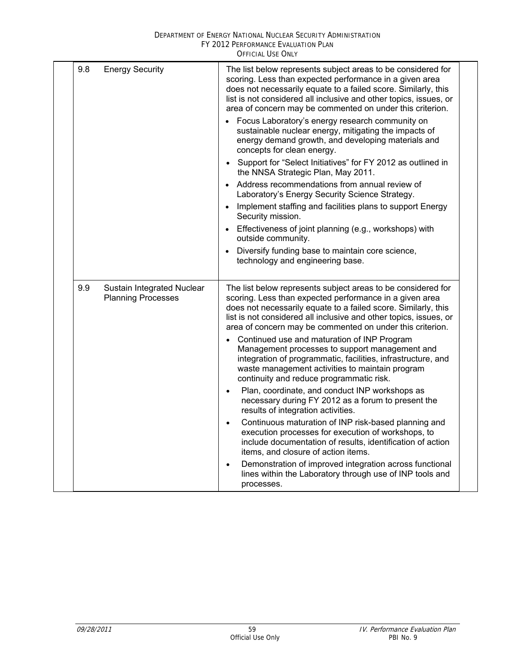| 9.8<br><b>Energy Security</b>                                  | The list below represents subject areas to be considered for<br>scoring. Less than expected performance in a given area<br>does not necessarily equate to a failed score. Similarly, this<br>list is not considered all inclusive and other topics, issues, or<br>area of concern may be commented on under this criterion.<br>• Focus Laboratory's energy research community on<br>sustainable nuclear energy, mitigating the impacts of<br>energy demand growth, and developing materials and<br>concepts for clean energy.<br>• Support for "Select Initiatives" for FY 2012 as outlined in<br>the NNSA Strategic Plan, May 2011.<br>• Address recommendations from annual review of<br>Laboratory's Energy Security Science Strategy.<br>• Implement staffing and facilities plans to support Energy<br>Security mission.<br>• Effectiveness of joint planning (e.g., workshops) with<br>outside community.<br>Diversify funding base to maintain core science,<br>$\bullet$<br>technology and engineering base.                                                                                                                       |
|----------------------------------------------------------------|--------------------------------------------------------------------------------------------------------------------------------------------------------------------------------------------------------------------------------------------------------------------------------------------------------------------------------------------------------------------------------------------------------------------------------------------------------------------------------------------------------------------------------------------------------------------------------------------------------------------------------------------------------------------------------------------------------------------------------------------------------------------------------------------------------------------------------------------------------------------------------------------------------------------------------------------------------------------------------------------------------------------------------------------------------------------------------------------------------------------------------------------|
| 9.9<br>Sustain Integrated Nuclear<br><b>Planning Processes</b> | The list below represents subject areas to be considered for<br>scoring. Less than expected performance in a given area<br>does not necessarily equate to a failed score. Similarly, this<br>list is not considered all inclusive and other topics, issues, or<br>area of concern may be commented on under this criterion.<br>• Continued use and maturation of INP Program<br>Management processes to support management and<br>integration of programmatic, facilities, infrastructure, and<br>waste management activities to maintain program<br>continuity and reduce programmatic risk.<br>Plan, coordinate, and conduct INP workshops as<br>$\bullet$<br>necessary during FY 2012 as a forum to present the<br>results of integration activities.<br>Continuous maturation of INP risk-based planning and<br>$\bullet$<br>execution processes for execution of workshops, to<br>include documentation of results, identification of action<br>items, and closure of action items.<br>Demonstration of improved integration across functional<br>$\bullet$<br>lines within the Laboratory through use of INP tools and<br>processes. |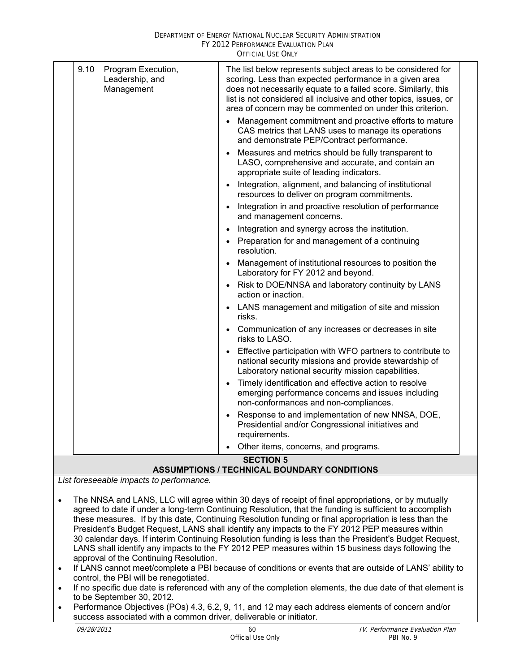| 9.10<br>Program Execution,<br>Leadership, and<br>Management | The list below represents subject areas to be considered for<br>scoring. Less than expected performance in a given area<br>does not necessarily equate to a failed score. Similarly, this<br>list is not considered all inclusive and other topics, issues, or |  |
|-------------------------------------------------------------|----------------------------------------------------------------------------------------------------------------------------------------------------------------------------------------------------------------------------------------------------------------|--|
|                                                             | area of concern may be commented on under this criterion.<br>Management commitment and proactive efforts to mature<br>CAS metrics that LANS uses to manage its operations<br>and demonstrate PEP/Contract performance.                                         |  |
|                                                             | Measures and metrics should be fully transparent to<br>$\bullet$<br>LASO, comprehensive and accurate, and contain an<br>appropriate suite of leading indicators.                                                                                               |  |
|                                                             | Integration, alignment, and balancing of institutional<br>resources to deliver on program commitments.                                                                                                                                                         |  |
|                                                             | Integration in and proactive resolution of performance<br>$\bullet$<br>and management concerns.                                                                                                                                                                |  |
|                                                             | Integration and synergy across the institution.<br>$\bullet$                                                                                                                                                                                                   |  |
|                                                             | Preparation for and management of a continuing<br>$\bullet$<br>resolution.                                                                                                                                                                                     |  |
|                                                             | Management of institutional resources to position the<br>$\bullet$<br>Laboratory for FY 2012 and beyond.                                                                                                                                                       |  |
|                                                             | Risk to DOE/NNSA and laboratory continuity by LANS<br>$\bullet$<br>action or inaction.                                                                                                                                                                         |  |
|                                                             | LANS management and mitigation of site and mission<br>$\bullet$<br>risks.                                                                                                                                                                                      |  |
|                                                             | Communication of any increases or decreases in site<br>$\bullet$<br>risks to LASO.                                                                                                                                                                             |  |
|                                                             | Effective participation with WFO partners to contribute to<br>$\bullet$<br>national security missions and provide stewardship of<br>Laboratory national security mission capabilities.                                                                         |  |
|                                                             | Timely identification and effective action to resolve<br>$\bullet$<br>emerging performance concerns and issues including<br>non-conformances and non-compliances.                                                                                              |  |
|                                                             | Response to and implementation of new NNSA, DOE,<br>$\bullet$<br>Presidential and/or Congressional initiatives and<br>requirements.                                                                                                                            |  |
|                                                             | Other items, concerns, and programs.<br>$\bullet$                                                                                                                                                                                                              |  |
|                                                             | <b>SECTION 5</b>                                                                                                                                                                                                                                               |  |

# **ASSUMPTIONS / TECHNICAL BOUNDARY CONDITIONS**

*List foreseeable impacts to performance.* 

- The NNSA and LANS, LLC will agree within 30 days of receipt of final appropriations, or by mutually agreed to date if under a long-term Continuing Resolution, that the funding is sufficient to accomplish these measures. If by this date, Continuing Resolution funding or final appropriation is less than the President's Budget Request, LANS shall identify any impacts to the FY 2012 PEP measures within 30 calendar days. If interim Continuing Resolution funding is less than the President's Budget Request, LANS shall identify any impacts to the FY 2012 PEP measures within 15 business days following the approval of the Continuing Resolution.
- If LANS cannot meet/complete a PBI because of conditions or events that are outside of LANS' ability to control, the PBI will be renegotiated.
- If no specific due date is referenced with any of the completion elements, the due date of that element is to be September 30, 2012.
- Performance Objectives (POs) 4.3, 6.2, 9, 11, and 12 may each address elements of concern and/or success associated with a common driver, deliverable or initiator.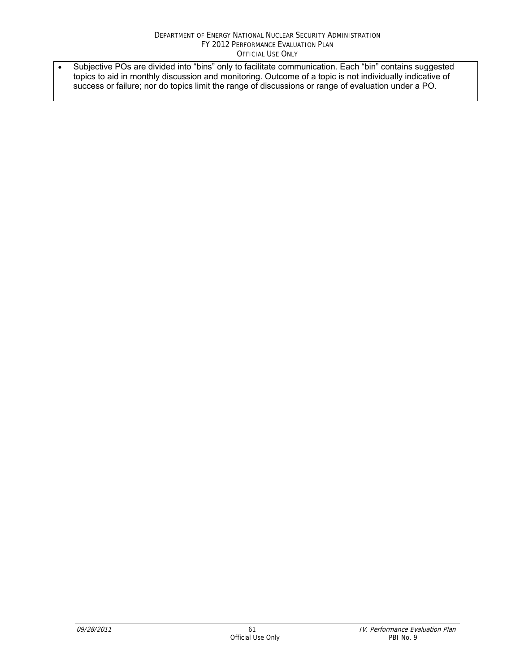• Subjective POs are divided into "bins" only to facilitate communication. Each "bin" contains suggested topics to aid in monthly discussion and monitoring. Outcome of a topic is not individually indicative of success or failure; nor do topics limit the range of discussions or range of evaluation under a PO.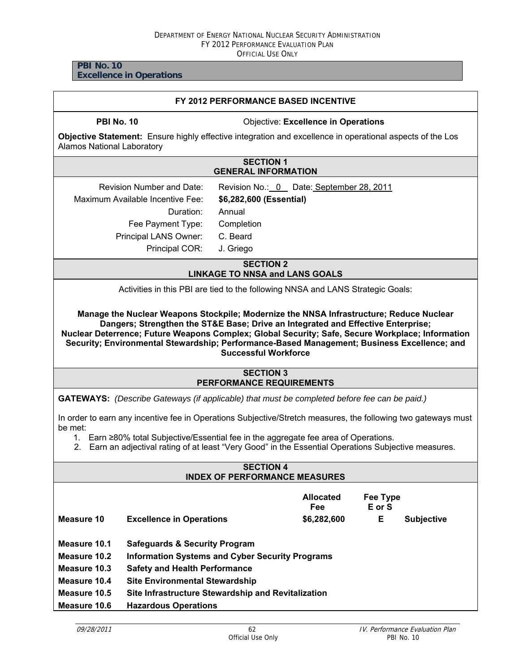#### **PBI NO. 10 Excellence in Operations**

| FY 2012 PERFORMANCE BASED INCENTIVE                                                                                                                                                                                                                                                                                                                                                                           |                                                                                                                  |  |  |  |  |  |  |
|---------------------------------------------------------------------------------------------------------------------------------------------------------------------------------------------------------------------------------------------------------------------------------------------------------------------------------------------------------------------------------------------------------------|------------------------------------------------------------------------------------------------------------------|--|--|--|--|--|--|
| <b>PBI No. 10</b><br><b>Objective: Excellence in Operations</b>                                                                                                                                                                                                                                                                                                                                               |                                                                                                                  |  |  |  |  |  |  |
| <b>Alamos National Laboratory</b>                                                                                                                                                                                                                                                                                                                                                                             | <b>Objective Statement:</b> Ensure highly effective integration and excellence in operational aspects of the Los |  |  |  |  |  |  |
|                                                                                                                                                                                                                                                                                                                                                                                                               | <b>SECTION 1</b><br><b>GENERAL INFORMATION</b>                                                                   |  |  |  |  |  |  |
| Revision Number and Date:                                                                                                                                                                                                                                                                                                                                                                                     | Revision No.: 0 Date: September 28, 2011                                                                         |  |  |  |  |  |  |
| Maximum Available Incentive Fee:                                                                                                                                                                                                                                                                                                                                                                              | \$6,282,600 (Essential)                                                                                          |  |  |  |  |  |  |
| Duration:                                                                                                                                                                                                                                                                                                                                                                                                     | Annual                                                                                                           |  |  |  |  |  |  |
| Fee Payment Type:                                                                                                                                                                                                                                                                                                                                                                                             | Completion                                                                                                       |  |  |  |  |  |  |
| Principal LANS Owner:                                                                                                                                                                                                                                                                                                                                                                                         | C. Beard                                                                                                         |  |  |  |  |  |  |
| Principal COR:                                                                                                                                                                                                                                                                                                                                                                                                | J. Griego                                                                                                        |  |  |  |  |  |  |
|                                                                                                                                                                                                                                                                                                                                                                                                               | <b>SECTION 2</b><br><b>LINKAGE TO NNSA and LANS GOALS</b>                                                        |  |  |  |  |  |  |
|                                                                                                                                                                                                                                                                                                                                                                                                               | Activities in this PBI are tied to the following NNSA and LANS Strategic Goals:                                  |  |  |  |  |  |  |
| Manage the Nuclear Weapons Stockpile; Modernize the NNSA Infrastructure; Reduce Nuclear<br>Dangers; Strengthen the ST&E Base; Drive an Integrated and Effective Enterprise;<br>Nuclear Deterrence; Future Weapons Complex; Global Security; Safe, Secure Workplace; Information<br>Security; Environmental Stewardship; Performance-Based Management; Business Excellence; and<br><b>Successful Workforce</b> |                                                                                                                  |  |  |  |  |  |  |
|                                                                                                                                                                                                                                                                                                                                                                                                               | <b>SECTION 3</b>                                                                                                 |  |  |  |  |  |  |
|                                                                                                                                                                                                                                                                                                                                                                                                               | <b>PERFORMANCE REQUIREMENTS</b>                                                                                  |  |  |  |  |  |  |
|                                                                                                                                                                                                                                                                                                                                                                                                               | <b>GATEWAYS:</b> (Describe Gateways (if applicable) that must be completed before fee can be paid.)              |  |  |  |  |  |  |
| be met:                                                                                                                                                                                                                                                                                                                                                                                                       | In order to earn any incentive fee in Operations Subjective/Stretch measures, the following two gateways must    |  |  |  |  |  |  |

1. Earn ≥80% total Subjective/Essential fee in the aggregate fee area of Operations.

2. Earn an adjectival rating of at least "Very Good" in the Essential Operations Subjective measures.

| <b>SECTION 4</b><br><b>INDEX OF PERFORMANCE MEASURES</b> |                                                        |                                |                    |                   |  |  |
|----------------------------------------------------------|--------------------------------------------------------|--------------------------------|--------------------|-------------------|--|--|
|                                                          |                                                        | <b>Allocated</b><br><b>Fee</b> | Fee Type<br>E or S |                   |  |  |
| Measure 10                                               | <b>Excellence in Operations</b>                        | \$6,282,600                    | Е                  | <b>Subjective</b> |  |  |
| Measure 10.1                                             | <b>Safeguards &amp; Security Program</b>               |                                |                    |                   |  |  |
| Measure 10.2                                             | <b>Information Systems and Cyber Security Programs</b> |                                |                    |                   |  |  |
| Measure 10.3                                             | <b>Safety and Health Performance</b>                   |                                |                    |                   |  |  |
| Measure 10.4                                             | <b>Site Environmental Stewardship</b>                  |                                |                    |                   |  |  |
| Measure 10.5                                             | Site Infrastructure Stewardship and Revitalization     |                                |                    |                   |  |  |
| Measure 10.6                                             | <b>Hazardous Operations</b>                            |                                |                    |                   |  |  |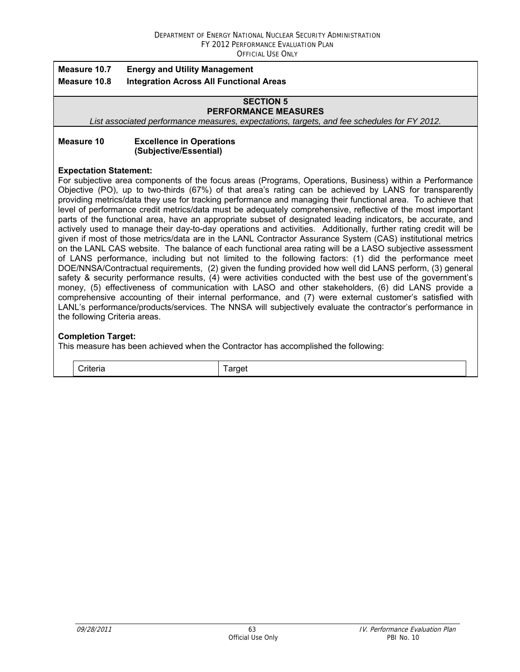**Measure 10.7 Energy and Utility Management Measure 10.8 Integration Across All Functional Areas** 

#### **SECTION 5 PERFORMANCE MEASURES**

*List associated performance measures, expectations, targets, and fee schedules for FY 2012.* 

# **Measure 10 Excellence in Operations (Subjective/Essential)**

#### **Expectation Statement:**

For subjective area components of the focus areas (Programs, Operations, Business) within a Performance Objective (PO), up to two-thirds (67%) of that area's rating can be achieved by LANS for transparently providing metrics/data they use for tracking performance and managing their functional area. To achieve that level of performance credit metrics/data must be adequately comprehensive, reflective of the most important parts of the functional area, have an appropriate subset of designated leading indicators, be accurate, and actively used to manage their day-to-day operations and activities. Additionally, further rating credit will be given if most of those metrics/data are in the LANL Contractor Assurance System (CAS) institutional metrics on the LANL CAS website. The balance of each functional area rating will be a LASO subjective assessment of LANS performance, including but not limited to the following factors: (1) did the performance meet DOE/NNSA/Contractual requirements, (2) given the funding provided how well did LANS perform, (3) general safety & security performance results, (4) were activities conducted with the best use of the government's money, (5) effectiveness of communication with LASO and other stakeholders, (6) did LANS provide a comprehensive accounting of their internal performance, and (7) were external customer's satisfied with LANL's performance/products/services. The NNSA will subjectively evaluate the contractor's performance in the following Criteria areas.

#### **Completion Target:**

This measure has been achieved when the Contractor has accomplished the following:

Criteria 70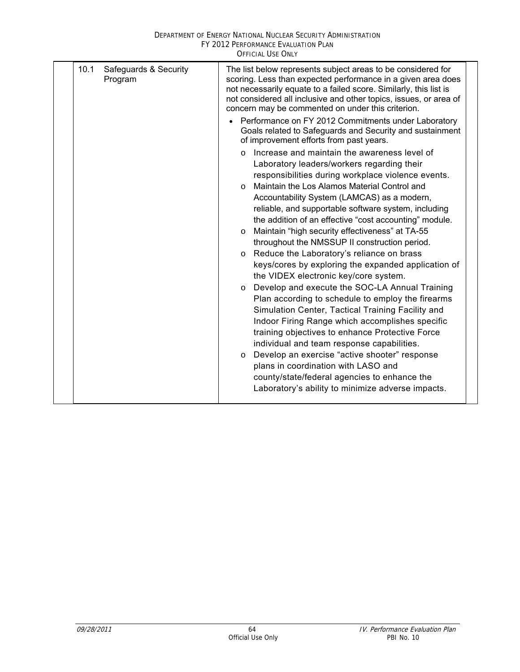| 10.1 | Safeguards & Security<br>Program | The list below represents subject areas to be considered for<br>scoring. Less than expected performance in a given area does<br>not necessarily equate to a failed score. Similarly, this list is<br>not considered all inclusive and other topics, issues, or area of<br>concern may be commented on under this criterion.<br>Performance on FY 2012 Commitments under Laboratory<br>Goals related to Safeguards and Security and sustainment<br>of improvement efforts from past years. |  |
|------|----------------------------------|-------------------------------------------------------------------------------------------------------------------------------------------------------------------------------------------------------------------------------------------------------------------------------------------------------------------------------------------------------------------------------------------------------------------------------------------------------------------------------------------|--|
|      |                                  | Increase and maintain the awareness level of<br>$\Omega$<br>Laboratory leaders/workers regarding their                                                                                                                                                                                                                                                                                                                                                                                    |  |
|      |                                  | responsibilities during workplace violence events.<br>Maintain the Los Alamos Material Control and<br>$\Omega$<br>Accountability System (LAMCAS) as a modern,<br>reliable, and supportable software system, including                                                                                                                                                                                                                                                                     |  |
|      |                                  | the addition of an effective "cost accounting" module.<br>Maintain "high security effectiveness" at TA-55<br>throughout the NMSSUP II construction period.                                                                                                                                                                                                                                                                                                                                |  |
|      |                                  | Reduce the Laboratory's reliance on brass<br>$\circ$<br>keys/cores by exploring the expanded application of<br>the VIDEX electronic key/core system.                                                                                                                                                                                                                                                                                                                                      |  |
|      |                                  | o Develop and execute the SOC-LA Annual Training<br>Plan according to schedule to employ the firearms<br>Simulation Center, Tactical Training Facility and<br>Indoor Firing Range which accomplishes specific<br>training objectives to enhance Protective Force<br>individual and team response capabilities.                                                                                                                                                                            |  |
|      |                                  | o Develop an exercise "active shooter" response<br>plans in coordination with LASO and<br>county/state/federal agencies to enhance the<br>Laboratory's ability to minimize adverse impacts.                                                                                                                                                                                                                                                                                               |  |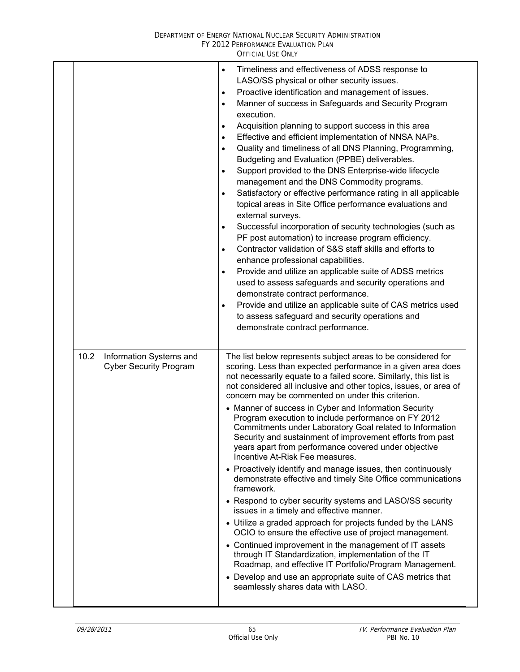|                                                                  | Timeliness and effectiveness of ADSS response to<br>$\bullet$<br>LASO/SS physical or other security issues.<br>Proactive identification and management of issues.<br>$\bullet$<br>Manner of success in Safeguards and Security Program<br>$\bullet$<br>execution.<br>Acquisition planning to support success in this area<br>$\bullet$<br>Effective and efficient implementation of NNSA NAPs.<br>$\bullet$<br>Quality and timeliness of all DNS Planning, Programming,<br>$\bullet$<br>Budgeting and Evaluation (PPBE) deliverables.<br>Support provided to the DNS Enterprise-wide lifecycle<br>$\bullet$<br>management and the DNS Commodity programs.<br>Satisfactory or effective performance rating in all applicable<br>$\bullet$<br>topical areas in Site Office performance evaluations and<br>external surveys.<br>Successful incorporation of security technologies (such as<br>$\bullet$<br>PF post automation) to increase program efficiency.<br>Contractor validation of S&S staff skills and efforts to<br>$\bullet$<br>enhance professional capabilities.<br>Provide and utilize an applicable suite of ADSS metrics<br>$\bullet$<br>used to assess safeguards and security operations and<br>demonstrate contract performance.<br>Provide and utilize an applicable suite of CAS metrics used<br>$\bullet$<br>to assess safeguard and security operations and<br>demonstrate contract performance. |
|------------------------------------------------------------------|----------------------------------------------------------------------------------------------------------------------------------------------------------------------------------------------------------------------------------------------------------------------------------------------------------------------------------------------------------------------------------------------------------------------------------------------------------------------------------------------------------------------------------------------------------------------------------------------------------------------------------------------------------------------------------------------------------------------------------------------------------------------------------------------------------------------------------------------------------------------------------------------------------------------------------------------------------------------------------------------------------------------------------------------------------------------------------------------------------------------------------------------------------------------------------------------------------------------------------------------------------------------------------------------------------------------------------------------------------------------------------------------------------------------|
| 10.2<br>Information Systems and<br><b>Cyber Security Program</b> | The list below represents subject areas to be considered for<br>scoring. Less than expected performance in a given area does<br>not necessarily equate to a failed score. Similarly, this list is<br>not considered all inclusive and other topics, issues, or area of<br>concern may be commented on under this criterion.<br>• Manner of success in Cyber and Information Security<br>Program execution to include performance on FY 2012<br>Commitments under Laboratory Goal related to Information<br>Security and sustainment of improvement efforts from past<br>years apart from performance covered under objective<br>Incentive At-Risk Fee measures.<br>• Proactively identify and manage issues, then continuously<br>demonstrate effective and timely Site Office communications<br>framework.<br>• Respond to cyber security systems and LASO/SS security<br>issues in a timely and effective manner.<br>• Utilize a graded approach for projects funded by the LANS<br>OCIO to ensure the effective use of project management.<br>• Continued improvement in the management of IT assets<br>through IT Standardization, implementation of the IT<br>Roadmap, and effective IT Portfolio/Program Management.<br>• Develop and use an appropriate suite of CAS metrics that<br>seamlessly shares data with LASO.                                                                                        |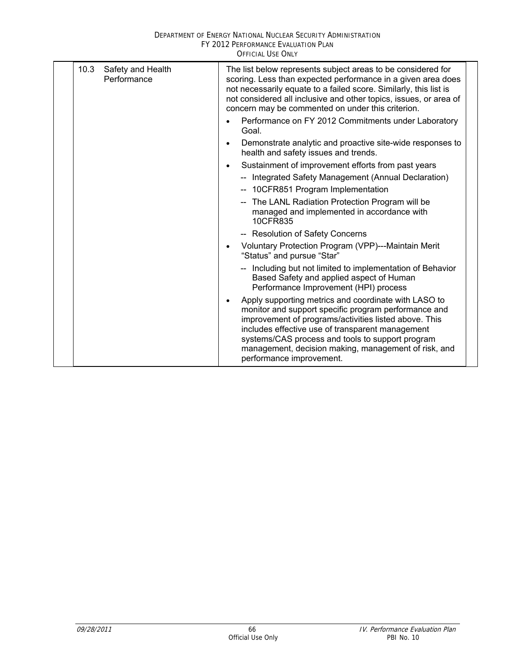| 10.3 | Safety and Health<br>Performance |           | The list below represents subject areas to be considered for<br>scoring. Less than expected performance in a given area does<br>not necessarily equate to a failed score. Similarly, this list is<br>not considered all inclusive and other topics, issues, or area of<br>concern may be commented on under this criterion.                                       |
|------|----------------------------------|-----------|-------------------------------------------------------------------------------------------------------------------------------------------------------------------------------------------------------------------------------------------------------------------------------------------------------------------------------------------------------------------|
|      |                                  |           | Performance on FY 2012 Commitments under Laboratory<br>Goal.                                                                                                                                                                                                                                                                                                      |
|      |                                  |           | Demonstrate analytic and proactive site-wide responses to<br>health and safety issues and trends.                                                                                                                                                                                                                                                                 |
|      |                                  | $\bullet$ | Sustainment of improvement efforts from past years                                                                                                                                                                                                                                                                                                                |
|      |                                  |           | -- Integrated Safety Management (Annual Declaration)                                                                                                                                                                                                                                                                                                              |
|      |                                  |           | -- 10CFR851 Program Implementation                                                                                                                                                                                                                                                                                                                                |
|      |                                  |           | The LANL Radiation Protection Program will be<br>managed and implemented in accordance with<br>10CFR835                                                                                                                                                                                                                                                           |
|      |                                  |           | -- Resolution of Safety Concerns                                                                                                                                                                                                                                                                                                                                  |
|      |                                  |           | Voluntary Protection Program (VPP)---Maintain Merit<br>"Status" and pursue "Star"                                                                                                                                                                                                                                                                                 |
|      |                                  |           | Including but not limited to implementation of Behavior<br>Based Safety and applied aspect of Human<br>Performance Improvement (HPI) process                                                                                                                                                                                                                      |
|      |                                  |           | Apply supporting metrics and coordinate with LASO to<br>monitor and support specific program performance and<br>improvement of programs/activities listed above. This<br>includes effective use of transparent management<br>systems/CAS process and tools to support program<br>management, decision making, management of risk, and<br>performance improvement. |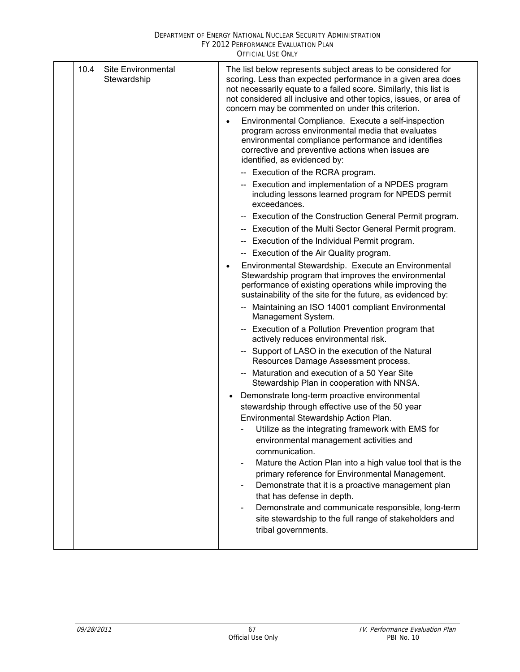| 10.4<br>Site Environmental<br>Stewardship | The list below represents subject areas to be considered for<br>scoring. Less than expected performance in a given area does<br>not necessarily equate to a failed score. Similarly, this list is<br>not considered all inclusive and other topics, issues, or area of<br>concern may be commented on under this criterion.                                                                                                                                                                                                                                                                                                |
|-------------------------------------------|----------------------------------------------------------------------------------------------------------------------------------------------------------------------------------------------------------------------------------------------------------------------------------------------------------------------------------------------------------------------------------------------------------------------------------------------------------------------------------------------------------------------------------------------------------------------------------------------------------------------------|
|                                           | Environmental Compliance. Execute a self-inspection<br>program across environmental media that evaluates<br>environmental compliance performance and identifies<br>corrective and preventive actions when issues are<br>identified, as evidenced by:                                                                                                                                                                                                                                                                                                                                                                       |
|                                           | -- Execution of the RCRA program.                                                                                                                                                                                                                                                                                                                                                                                                                                                                                                                                                                                          |
|                                           | -- Execution and implementation of a NPDES program<br>including lessons learned program for NPEDS permit<br>exceedances.                                                                                                                                                                                                                                                                                                                                                                                                                                                                                                   |
|                                           | -- Execution of the Construction General Permit program.                                                                                                                                                                                                                                                                                                                                                                                                                                                                                                                                                                   |
|                                           | -- Execution of the Multi Sector General Permit program.                                                                                                                                                                                                                                                                                                                                                                                                                                                                                                                                                                   |
|                                           | -- Execution of the Individual Permit program.                                                                                                                                                                                                                                                                                                                                                                                                                                                                                                                                                                             |
|                                           | -- Execution of the Air Quality program.                                                                                                                                                                                                                                                                                                                                                                                                                                                                                                                                                                                   |
|                                           | Environmental Stewardship. Execute an Environmental<br>$\bullet$<br>Stewardship program that improves the environmental<br>performance of existing operations while improving the<br>sustainability of the site for the future, as evidenced by:                                                                                                                                                                                                                                                                                                                                                                           |
|                                           | -- Maintaining an ISO 14001 compliant Environmental<br>Management System.                                                                                                                                                                                                                                                                                                                                                                                                                                                                                                                                                  |
|                                           | -- Execution of a Pollution Prevention program that<br>actively reduces environmental risk.                                                                                                                                                                                                                                                                                                                                                                                                                                                                                                                                |
|                                           | -- Support of LASO in the execution of the Natural<br>Resources Damage Assessment process.                                                                                                                                                                                                                                                                                                                                                                                                                                                                                                                                 |
|                                           | -- Maturation and execution of a 50 Year Site<br>Stewardship Plan in cooperation with NNSA.                                                                                                                                                                                                                                                                                                                                                                                                                                                                                                                                |
|                                           | Demonstrate long-term proactive environmental<br>$\bullet$<br>stewardship through effective use of the 50 year<br>Environmental Stewardship Action Plan.<br>Utilize as the integrating framework with EMS for<br>environmental management activities and<br>communication.<br>Mature the Action Plan into a high value tool that is the<br>-<br>primary reference for Environmental Management.<br>Demonstrate that it is a proactive management plan<br>that has defense in depth.<br>Demonstrate and communicate responsible, long-term<br>site stewardship to the full range of stakeholders and<br>tribal governments. |
|                                           |                                                                                                                                                                                                                                                                                                                                                                                                                                                                                                                                                                                                                            |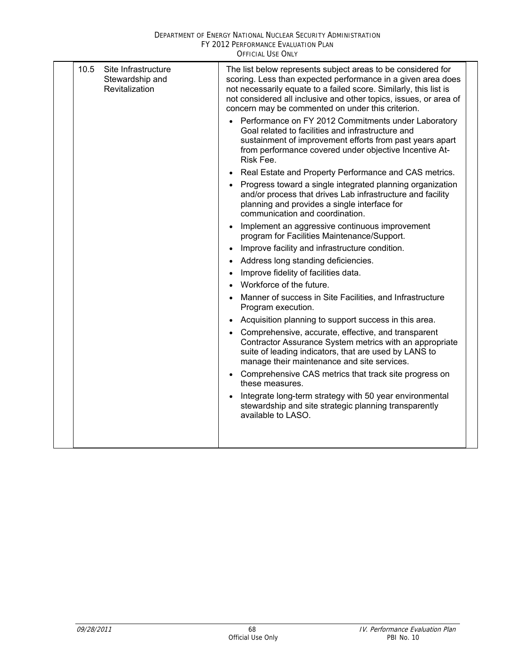| 10.5<br>Site Infrastructure<br>Stewardship and<br><b>Revitalization</b> | The list below represents subject areas to be considered for<br>scoring. Less than expected performance in a given area does<br>not necessarily equate to a failed score. Similarly, this list is<br>not considered all inclusive and other topics, issues, or area of<br>concern may be commented on under this criterion.<br>Performance on FY 2012 Commitments under Laboratory<br>$\bullet$<br>Goal related to facilities and infrastructure and<br>sustainment of improvement efforts from past years apart<br>from performance covered under objective Incentive At-<br>Risk Fee.<br>Real Estate and Property Performance and CAS metrics.<br>$\bullet$<br>Progress toward a single integrated planning organization<br>and/or process that drives Lab infrastructure and facility<br>planning and provides a single interface for<br>communication and coordination.<br>Implement an aggressive continuous improvement<br>program for Facilities Maintenance/Support.<br>Improve facility and infrastructure condition.<br>$\bullet$<br>Address long standing deficiencies.<br>$\bullet$<br>Improve fidelity of facilities data.<br>Workforce of the future.<br>Manner of success in Site Facilities, and Infrastructure<br>Program execution.<br>Acquisition planning to support success in this area.<br>Comprehensive, accurate, effective, and transparent<br>$\bullet$<br>Contractor Assurance System metrics with an appropriate<br>suite of leading indicators, that are used by LANS to<br>manage their maintenance and site services.<br>Comprehensive CAS metrics that track site progress on<br>$\bullet$<br>these measures.<br>Integrate long-term strategy with 50 year environmental<br>stewardship and site strategic planning transparently<br>available to LASO. |  |
|-------------------------------------------------------------------------|------------------------------------------------------------------------------------------------------------------------------------------------------------------------------------------------------------------------------------------------------------------------------------------------------------------------------------------------------------------------------------------------------------------------------------------------------------------------------------------------------------------------------------------------------------------------------------------------------------------------------------------------------------------------------------------------------------------------------------------------------------------------------------------------------------------------------------------------------------------------------------------------------------------------------------------------------------------------------------------------------------------------------------------------------------------------------------------------------------------------------------------------------------------------------------------------------------------------------------------------------------------------------------------------------------------------------------------------------------------------------------------------------------------------------------------------------------------------------------------------------------------------------------------------------------------------------------------------------------------------------------------------------------------------------------------------------------------------------------------------------------------------------------------|--|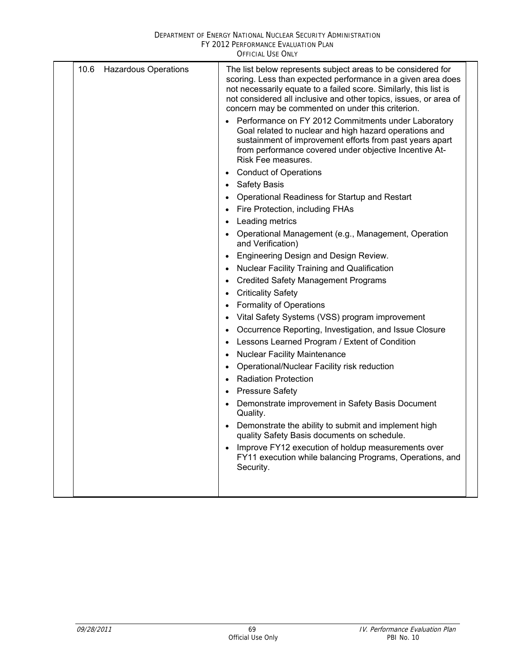| 10.6 | <b>Hazardous Operations</b> | The list below represents subject areas to be considered for<br>scoring. Less than expected performance in a given area does<br>not necessarily equate to a failed score. Similarly, this list is<br>not considered all inclusive and other topics, issues, or area of<br>concern may be commented on under this criterion.<br>• Performance on FY 2012 Commitments under Laboratory<br>Goal related to nuclear and high hazard operations and<br>sustainment of improvement efforts from past years apart<br>from performance covered under objective Incentive At-<br>Risk Fee measures.<br><b>Conduct of Operations</b><br>• Safety Basis<br>• Operational Readiness for Startup and Restart<br>• Fire Protection, including FHAs<br>• Leading metrics<br>• Operational Management (e.g., Management, Operation<br>and Verification)<br>• Engineering Design and Design Review.<br>• Nuclear Facility Training and Qualification<br>• Credited Safety Management Programs<br>• Criticality Safety<br><b>Formality of Operations</b><br>• Vital Safety Systems (VSS) program improvement<br>• Occurrence Reporting, Investigation, and Issue Closure<br>• Lessons Learned Program / Extent of Condition<br>• Nuclear Facility Maintenance<br>• Operational/Nuclear Facility risk reduction<br>• Radiation Protection<br><b>Pressure Safety</b><br>Demonstrate improvement in Safety Basis Document<br>Quality.<br>• Demonstrate the ability to submit and implement high<br>quality Safety Basis documents on schedule.<br>Improve FY12 execution of holdup measurements over<br>FY11 execution while balancing Programs, Operations, and<br>Security. |  |
|------|-----------------------------|----------------------------------------------------------------------------------------------------------------------------------------------------------------------------------------------------------------------------------------------------------------------------------------------------------------------------------------------------------------------------------------------------------------------------------------------------------------------------------------------------------------------------------------------------------------------------------------------------------------------------------------------------------------------------------------------------------------------------------------------------------------------------------------------------------------------------------------------------------------------------------------------------------------------------------------------------------------------------------------------------------------------------------------------------------------------------------------------------------------------------------------------------------------------------------------------------------------------------------------------------------------------------------------------------------------------------------------------------------------------------------------------------------------------------------------------------------------------------------------------------------------------------------------------------------------------------------------------------------------------------------------------------------|--|
|      |                             |                                                                                                                                                                                                                                                                                                                                                                                                                                                                                                                                                                                                                                                                                                                                                                                                                                                                                                                                                                                                                                                                                                                                                                                                                                                                                                                                                                                                                                                                                                                                                                                                                                                          |  |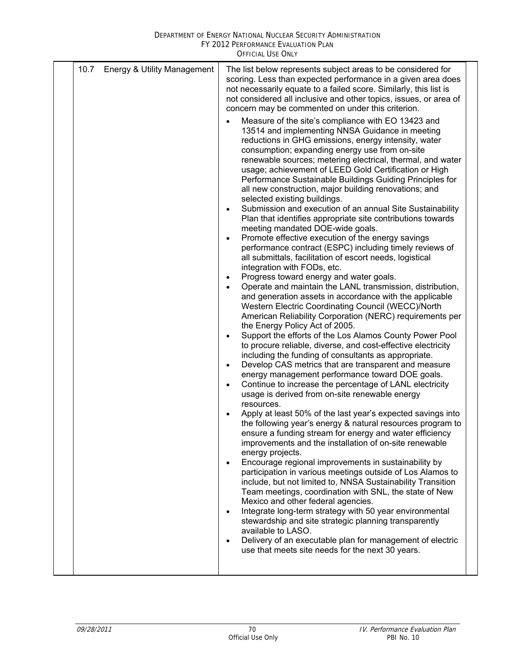| 10.7 | Energy & Utility Management | The list below represents subject areas to be considered for<br>scoring. Less than expected performance in a given area does<br>not necessarily equate to a failed score. Similarly, this list is<br>not considered all inclusive and other topics, issues, or area of<br>concern may be commented on under this criterion.<br>Measure of the site's compliance with EO 13423 and<br>13514 and implementing NNSA Guidance in meeting<br>reductions in GHG emissions, energy intensity, water<br>consumption; expanding energy use from on-site<br>renewable sources; metering electrical, thermal, and water<br>usage; achievement of LEED Gold Certification or High<br>Performance Sustainable Buildings Guiding Principles for<br>all new construction, major building renovations; and<br>selected existing buildings.<br>Submission and execution of an annual Site Sustainability<br>$\bullet$<br>Plan that identifies appropriate site contributions towards<br>meeting mandated DOE-wide goals.<br>Promote effective execution of the energy savings<br>$\bullet$<br>performance contract (ESPC) including timely reviews of<br>all submittals, facilitation of escort needs, logistical<br>integration with FODs, etc.<br>Progress toward energy and water goals.<br>Operate and maintain the LANL transmission, distribution,<br>and generation assets in accordance with the applicable<br>Western Electric Coordinating Council (WECC)/North<br>American Reliability Corporation (NERC) requirements per<br>the Energy Policy Act of 2005.<br>Support the efforts of the Los Alamos County Power Pool<br>$\bullet$<br>to procure reliable, diverse, and cost-effective electricity<br>including the funding of consultants as appropriate.<br>Develop CAS metrics that are transparent and measure<br>$\bullet$<br>energy management performance toward DOE goals.<br>Continue to increase the percentage of LANL electricity<br>usage is derived from on-site renewable energy<br>resources.<br>Apply at least 50% of the last year's expected savings into<br>the following year's energy & natural resources program to<br>ensure a funding stream for energy and water efficiency<br>improvements and the installation of on-site renewable<br>energy projects.<br>Encourage regional improvements in sustainability by<br>participation in various meetings outside of Los Alamos to<br>include, but not limited to, NNSA Sustainability Transition<br>Team meetings, coordination with SNL, the state of New<br>Mexico and other federal agencies.<br>Integrate long-term strategy with 50 year environmental<br>stewardship and site strategic planning transparently<br>available to LASO.<br>Delivery of an executable plan for management of electric<br>use that meets site needs for the next 30 years. |
|------|-----------------------------|---------------------------------------------------------------------------------------------------------------------------------------------------------------------------------------------------------------------------------------------------------------------------------------------------------------------------------------------------------------------------------------------------------------------------------------------------------------------------------------------------------------------------------------------------------------------------------------------------------------------------------------------------------------------------------------------------------------------------------------------------------------------------------------------------------------------------------------------------------------------------------------------------------------------------------------------------------------------------------------------------------------------------------------------------------------------------------------------------------------------------------------------------------------------------------------------------------------------------------------------------------------------------------------------------------------------------------------------------------------------------------------------------------------------------------------------------------------------------------------------------------------------------------------------------------------------------------------------------------------------------------------------------------------------------------------------------------------------------------------------------------------------------------------------------------------------------------------------------------------------------------------------------------------------------------------------------------------------------------------------------------------------------------------------------------------------------------------------------------------------------------------------------------------------------------------------------------------------------------------------------------------------------------------------------------------------------------------------------------------------------------------------------------------------------------------------------------------------------------------------------------------------------------------------------------------------------------------------------------------------------------------------------------------------------------------------------------------------------------------------------------------------------------------------------------------------------------|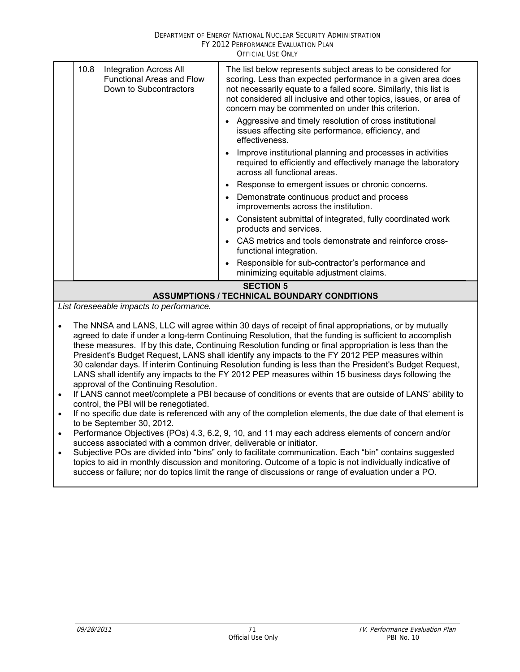| 10.8<br><b>Integration Across All</b><br><b>Functional Areas and Flow</b><br>Down to Subcontractors | The list below represents subject areas to be considered for<br>scoring. Less than expected performance in a given area does<br>not necessarily equate to a failed score. Similarly, this list is<br>not considered all inclusive and other topics, issues, or area of<br>concern may be commented on under this criterion. |  |  |  |  |
|-----------------------------------------------------------------------------------------------------|-----------------------------------------------------------------------------------------------------------------------------------------------------------------------------------------------------------------------------------------------------------------------------------------------------------------------------|--|--|--|--|
|                                                                                                     | • Aggressive and timely resolution of cross institutional<br>issues affecting site performance, efficiency, and<br>effectiveness.                                                                                                                                                                                           |  |  |  |  |
|                                                                                                     | Improve institutional planning and processes in activities<br>$\bullet$<br>required to efficiently and effectively manage the laboratory<br>across all functional areas.                                                                                                                                                    |  |  |  |  |
|                                                                                                     | Response to emergent issues or chronic concerns.<br>$\bullet$                                                                                                                                                                                                                                                               |  |  |  |  |
|                                                                                                     | Demonstrate continuous product and process<br>$\bullet$<br>improvements across the institution.                                                                                                                                                                                                                             |  |  |  |  |
|                                                                                                     | Consistent submittal of integrated, fully coordinated work<br>$\bullet$<br>products and services.                                                                                                                                                                                                                           |  |  |  |  |
|                                                                                                     | CAS metrics and tools demonstrate and reinforce cross-<br>$\bullet$<br>functional integration.                                                                                                                                                                                                                              |  |  |  |  |
|                                                                                                     | Responsible for sub-contractor's performance and<br>$\bullet$<br>minimizing equitable adjustment claims.                                                                                                                                                                                                                    |  |  |  |  |
|                                                                                                     | <b>SECTION 5</b>                                                                                                                                                                                                                                                                                                            |  |  |  |  |
| <b>ASSUMPTIONS / TECHNICAL BOUNDARY CONDITIONS</b>                                                  |                                                                                                                                                                                                                                                                                                                             |  |  |  |  |

*List foreseeable impacts to performance.* 

- The NNSA and LANS, LLC will agree within 30 days of receipt of final appropriations, or by mutually agreed to date if under a long-term Continuing Resolution, that the funding is sufficient to accomplish these measures. If by this date, Continuing Resolution funding or final appropriation is less than the President's Budget Request, LANS shall identify any impacts to the FY 2012 PEP measures within 30 calendar days. If interim Continuing Resolution funding is less than the President's Budget Request, LANS shall identify any impacts to the FY 2012 PEP measures within 15 business days following the approval of the Continuing Resolution.
- If LANS cannot meet/complete a PBI because of conditions or events that are outside of LANS' ability to control, the PBI will be renegotiated.
- If no specific due date is referenced with any of the completion elements, the due date of that element is to be September 30, 2012.
- Performance Objectives (POs) 4.3, 6.2, 9, 10, and 11 may each address elements of concern and/or success associated with a common driver, deliverable or initiator.
- Subjective POs are divided into "bins" only to facilitate communication. Each "bin" contains suggested topics to aid in monthly discussion and monitoring. Outcome of a topic is not individually indicative of success or failure; nor do topics limit the range of discussions or range of evaluation under a PO.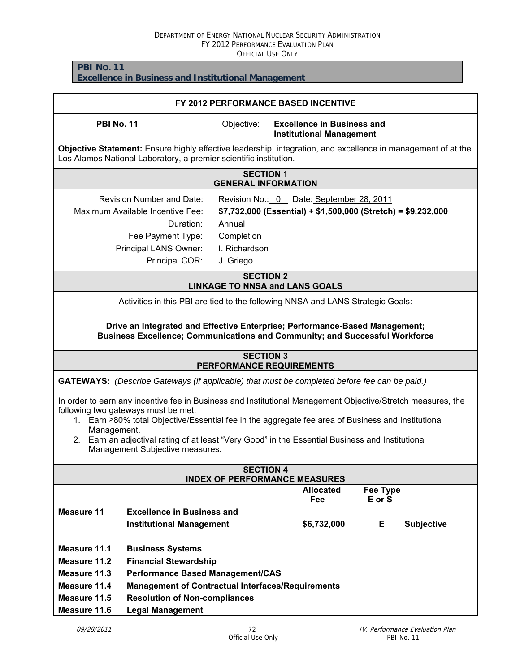**PBI NO. 11** 

### **Excellence in Business and Institutional Management**

#### **FY 2012 PERFORMANCE BASED INCENTIVE**

| <b>PBI No. 11</b> | Objective: | <b>Excellence in Business and</b> |
|-------------------|------------|-----------------------------------|
|                   |            | <b>Institutional Management</b>   |

**Objective Statement:** Ensure highly effective leadership, integration, and excellence in management of at the Los Alamos National Laboratory, a premier scientific institution.

|                                  | <b>SECTION 1</b><br><b>GENERAL INFORMATION</b>                 |  |
|----------------------------------|----------------------------------------------------------------|--|
| Revision Number and Date:        | Revision No.: 0 Date: September 28, 2011                       |  |
| Maximum Available Incentive Fee: | $$7,732,000$ (Essential) + \$1,500,000 (Stretch) = \$9,232,000 |  |
| Duration:                        | Annual                                                         |  |
| Fee Payment Type:                | Completion                                                     |  |
| Principal LANS Owner:            | I. Richardson                                                  |  |
| Principal COR:                   | J. Griego                                                      |  |
| <b>OFOTION A</b>                 |                                                                |  |

#### **SECTION 2 LINKAGE TO NNSA and LANS GOALS**

Activities in this PBI are tied to the following NNSA and LANS Strategic Goals:

### **Drive an Integrated and Effective Enterprise; Performance-Based Management; Business Excellence; Communications and Community; and Successful Workforce**

#### **SECTION 3 PERFORMANCE REQUIREMENTS**

**GATEWAYS:** *(Describe Gateways (if applicable) that must be completed before fee can be paid.)* 

In order to earn any incentive fee in Business and Institutional Management Objective/Stretch measures, the following two gateways must be met:

- 1. Earn ≥80% total Objective/Essential fee in the aggregate fee area of Business and Institutional Management.
- 2. Earn an adjectival rating of at least "Very Good" in the Essential Business and Institutional Management Subjective measures.

|              | <b>SECTION 4</b><br><b>INDEX OF PERFORMANCE MEASURES</b> |                         |                           |                   |
|--------------|----------------------------------------------------------|-------------------------|---------------------------|-------------------|
|              |                                                          | <b>Allocated</b><br>Fee | <b>Fee Type</b><br>E or S |                   |
| Measure 11   | <b>Excellence in Business and</b>                        |                         |                           |                   |
|              | <b>Institutional Management</b>                          | \$6,732,000             | Е                         | <b>Subjective</b> |
| Measure 11.1 | <b>Business Systems</b>                                  |                         |                           |                   |
| Measure 11.2 | <b>Financial Stewardship</b>                             |                         |                           |                   |
| Measure 11.3 | <b>Performance Based Management/CAS</b>                  |                         |                           |                   |
| Measure 11.4 | <b>Management of Contractual Interfaces/Requirements</b> |                         |                           |                   |
| Measure 11.5 | <b>Resolution of Non-compliances</b>                     |                         |                           |                   |
| Measure 11.6 | <b>Legal Management</b>                                  |                         |                           |                   |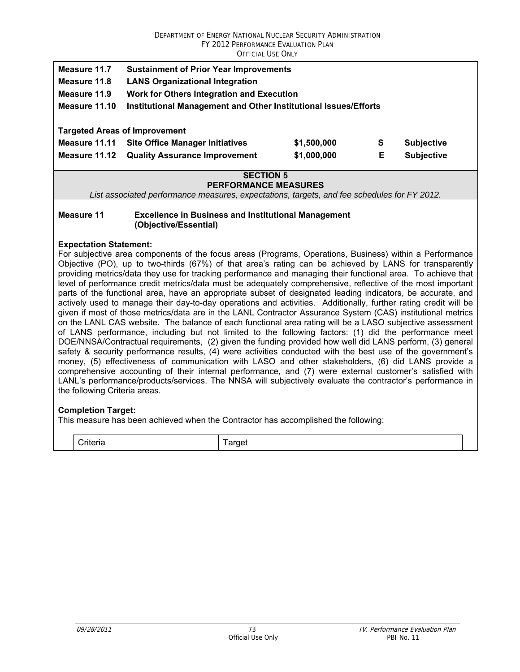| Measure 11.7                         | <b>Sustainment of Prior Year Improvements</b>                                               |             |   |                   |  |
|--------------------------------------|---------------------------------------------------------------------------------------------|-------------|---|-------------------|--|
| Measure 11.8                         | <b>LANS Organizational Integration</b>                                                      |             |   |                   |  |
| Measure 11.9                         | Work for Others Integration and Execution                                                   |             |   |                   |  |
| Measure 11.10                        | Institutional Management and Other Institutional Issues/Efforts                             |             |   |                   |  |
|                                      |                                                                                             |             |   |                   |  |
| <b>Targeted Areas of Improvement</b> |                                                                                             |             |   |                   |  |
| Measure 11.11                        | <b>Site Office Manager Initiatives</b>                                                      | \$1,500,000 | S | <b>Subjective</b> |  |
| Measure 11.12                        | <b>Quality Assurance Improvement</b>                                                        | \$1,000,000 | Е | <b>Subjective</b> |  |
|                                      | <b>SECTION 5</b>                                                                            |             |   |                   |  |
|                                      | <b>PERFORMANCE MEASURES</b>                                                                 |             |   |                   |  |
|                                      | List associated performance measures, expectations, targets, and fee schedules for FY 2012. |             |   |                   |  |
| Measure 11                           | <b>Excellence in Business and Institutional Management</b><br>(Objective/Essential)         |             |   |                   |  |

### **Expectation Statement:**

For subjective area components of the focus areas (Programs, Operations, Business) within a Performance Objective (PO), up to two-thirds (67%) of that area's rating can be achieved by LANS for transparently providing metrics/data they use for tracking performance and managing their functional area. To achieve that level of performance credit metrics/data must be adequately comprehensive, reflective of the most important parts of the functional area, have an appropriate subset of designated leading indicators, be accurate, and actively used to manage their day-to-day operations and activities. Additionally, further rating credit will be given if most of those metrics/data are in the LANL Contractor Assurance System (CAS) institutional metrics on the LANL CAS website. The balance of each functional area rating will be a LASO subjective assessment of LANS performance, including but not limited to the following factors: (1) did the performance meet DOE/NNSA/Contractual requirements, (2) given the funding provided how well did LANS perform, (3) general safety & security performance results, (4) were activities conducted with the best use of the government's money, (5) effectiveness of communication with LASO and other stakeholders, (6) did LANS provide a comprehensive accounting of their internal performance, and (7) were external customer's satisfied with LANL's performance/products/services. The NNSA will subjectively evaluate the contractor's performance in the following Criteria areas.

### **Completion Target:**

This measure has been achieved when the Contractor has accomplished the following:

Criteria | Target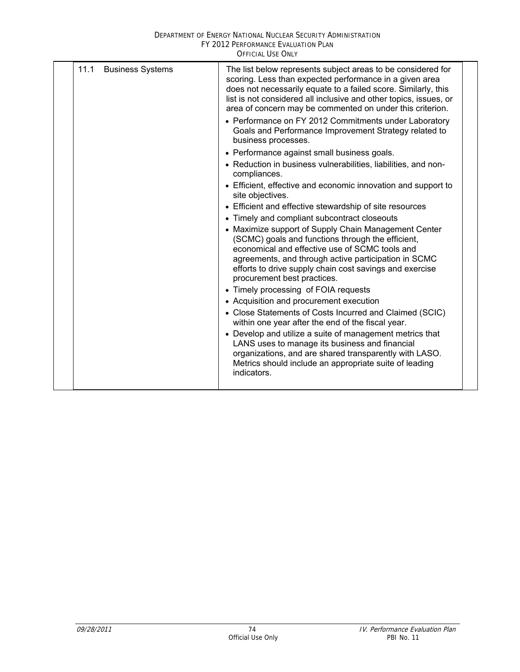|  | 11.1 Business Systems | The list below represents subject areas to be considered for<br>scoring. Less than expected performance in a given area<br>does not necessarily equate to a failed score. Similarly, this<br>list is not considered all inclusive and other topics, issues, or<br>area of concern may be commented on under this criterion.<br>• Performance on FY 2012 Commitments under Laboratory<br>Goals and Performance Improvement Strategy related to<br>business processes.<br>• Performance against small business goals.<br>• Reduction in business vulnerabilities, liabilities, and non-<br>compliances.<br>• Efficient, effective and economic innovation and support to<br>site objectives.<br>• Efficient and effective stewardship of site resources<br>• Timely and compliant subcontract closeouts<br>• Maximize support of Supply Chain Management Center<br>(SCMC) goals and functions through the efficient,<br>economical and effective use of SCMC tools and<br>agreements, and through active participation in SCMC<br>efforts to drive supply chain cost savings and exercise<br>procurement best practices.<br>• Timely processing of FOIA requests<br>• Acquisition and procurement execution<br>• Close Statements of Costs Incurred and Claimed (SCIC)<br>within one year after the end of the fiscal year.<br>• Develop and utilize a suite of management metrics that<br>LANS uses to manage its business and financial<br>organizations, and are shared transparently with LASO.<br>Metrics should include an appropriate suite of leading<br>indicators. |  |
|--|-----------------------|----------------------------------------------------------------------------------------------------------------------------------------------------------------------------------------------------------------------------------------------------------------------------------------------------------------------------------------------------------------------------------------------------------------------------------------------------------------------------------------------------------------------------------------------------------------------------------------------------------------------------------------------------------------------------------------------------------------------------------------------------------------------------------------------------------------------------------------------------------------------------------------------------------------------------------------------------------------------------------------------------------------------------------------------------------------------------------------------------------------------------------------------------------------------------------------------------------------------------------------------------------------------------------------------------------------------------------------------------------------------------------------------------------------------------------------------------------------------------------------------------------------------------------------------------------------------------|--|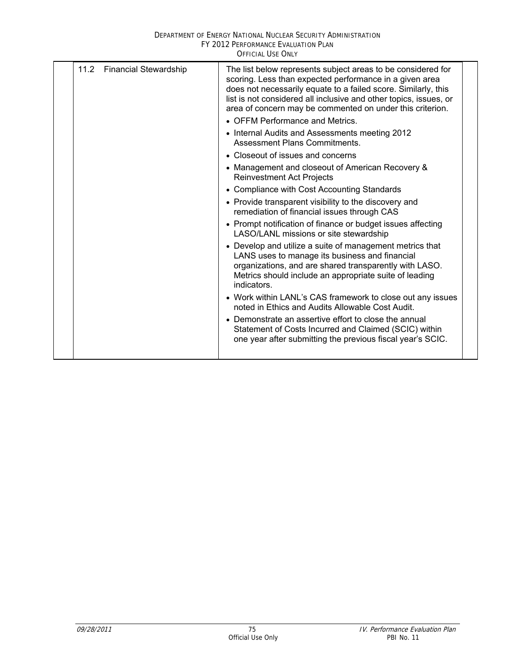|  | 11.2 Financial Stewardship | The list below represents subject areas to be considered for<br>scoring. Less than expected performance in a given area<br>does not necessarily equate to a failed score. Similarly, this<br>list is not considered all inclusive and other topics, issues, or<br>area of concern may be commented on under this criterion.<br>• OFFM Performance and Metrics.<br>• Internal Audits and Assessments meeting 2012<br>Assessment Plans Commitments.<br>• Closeout of issues and concerns<br>• Management and closeout of American Recovery &<br><b>Reinvestment Act Projects</b><br>• Compliance with Cost Accounting Standards<br>• Provide transparent visibility to the discovery and<br>remediation of financial issues through CAS<br>• Prompt notification of finance or budget issues affecting<br>LASO/LANL missions or site stewardship<br>• Develop and utilize a suite of management metrics that<br>LANS uses to manage its business and financial<br>organizations, and are shared transparently with LASO.<br>Metrics should include an appropriate suite of leading |  |
|--|----------------------------|----------------------------------------------------------------------------------------------------------------------------------------------------------------------------------------------------------------------------------------------------------------------------------------------------------------------------------------------------------------------------------------------------------------------------------------------------------------------------------------------------------------------------------------------------------------------------------------------------------------------------------------------------------------------------------------------------------------------------------------------------------------------------------------------------------------------------------------------------------------------------------------------------------------------------------------------------------------------------------------------------------------------------------------------------------------------------------|--|
|  |                            | indicators.<br>• Work within LANL's CAS framework to close out any issues                                                                                                                                                                                                                                                                                                                                                                                                                                                                                                                                                                                                                                                                                                                                                                                                                                                                                                                                                                                                        |  |
|  |                            | noted in Ethics and Audits Allowable Cost Audit.<br>• Demonstrate an assertive effort to close the annual                                                                                                                                                                                                                                                                                                                                                                                                                                                                                                                                                                                                                                                                                                                                                                                                                                                                                                                                                                        |  |
|  |                            | Statement of Costs Incurred and Claimed (SCIC) within<br>one year after submitting the previous fiscal year's SCIC.                                                                                                                                                                                                                                                                                                                                                                                                                                                                                                                                                                                                                                                                                                                                                                                                                                                                                                                                                              |  |
|  |                            |                                                                                                                                                                                                                                                                                                                                                                                                                                                                                                                                                                                                                                                                                                                                                                                                                                                                                                                                                                                                                                                                                  |  |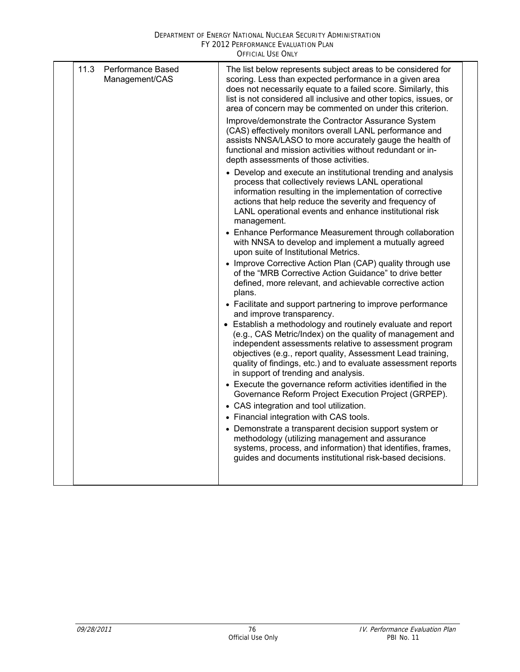| 11.3<br>Performance Based<br>Management/CAS | The list below represents subject areas to be considered for<br>scoring. Less than expected performance in a given area<br>does not necessarily equate to a failed score. Similarly, this<br>list is not considered all inclusive and other topics, issues, or<br>area of concern may be commented on under this criterion.                                |
|---------------------------------------------|------------------------------------------------------------------------------------------------------------------------------------------------------------------------------------------------------------------------------------------------------------------------------------------------------------------------------------------------------------|
|                                             | Improve/demonstrate the Contractor Assurance System<br>(CAS) effectively monitors overall LANL performance and<br>assists NNSA/LASO to more accurately gauge the health of<br>functional and mission activities without redundant or in-<br>depth assessments of those activities.                                                                         |
|                                             | • Develop and execute an institutional trending and analysis<br>process that collectively reviews LANL operational<br>information resulting in the implementation of corrective<br>actions that help reduce the severity and frequency of<br>LANL operational events and enhance institutional risk<br>management.                                         |
|                                             | • Enhance Performance Measurement through collaboration<br>with NNSA to develop and implement a mutually agreed<br>upon suite of Institutional Metrics.                                                                                                                                                                                                    |
|                                             | • Improve Corrective Action Plan (CAP) quality through use<br>of the "MRB Corrective Action Guidance" to drive better<br>defined, more relevant, and achievable corrective action<br>plans.                                                                                                                                                                |
|                                             | • Facilitate and support partnering to improve performance<br>and improve transparency.                                                                                                                                                                                                                                                                    |
|                                             | • Establish a methodology and routinely evaluate and report<br>(e.g., CAS Metric/Index) on the quality of management and<br>independent assessments relative to assessment program<br>objectives (e.g., report quality, Assessment Lead training,<br>quality of findings, etc.) and to evaluate assessment reports<br>in support of trending and analysis. |
|                                             | • Execute the governance reform activities identified in the<br>Governance Reform Project Execution Project (GRPEP).                                                                                                                                                                                                                                       |
|                                             | • CAS integration and tool utilization.<br>• Financial integration with CAS tools.                                                                                                                                                                                                                                                                         |
|                                             | • Demonstrate a transparent decision support system or<br>methodology (utilizing management and assurance<br>systems, process, and information) that identifies, frames,<br>guides and documents institutional risk-based decisions.                                                                                                                       |
|                                             |                                                                                                                                                                                                                                                                                                                                                            |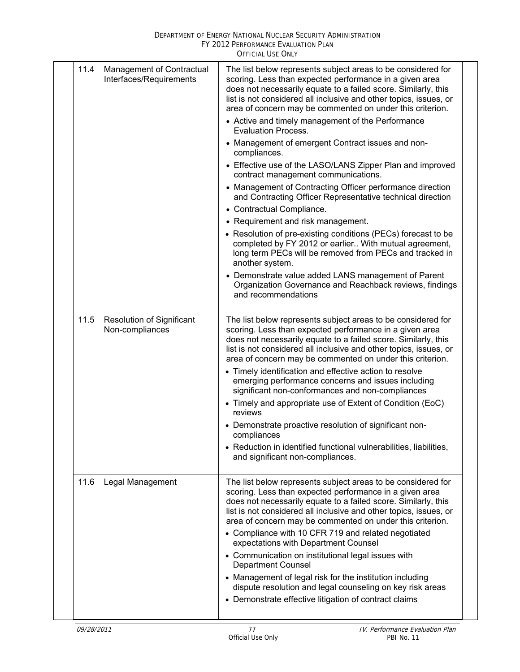| 11.4 | Management of Contractual<br>Interfaces/Requirements | The list below represents subject areas to be considered for<br>scoring. Less than expected performance in a given area<br>does not necessarily equate to a failed score. Similarly, this<br>list is not considered all inclusive and other topics, issues, or<br>area of concern may be commented on under this criterion.                                                                                                |
|------|------------------------------------------------------|----------------------------------------------------------------------------------------------------------------------------------------------------------------------------------------------------------------------------------------------------------------------------------------------------------------------------------------------------------------------------------------------------------------------------|
|      |                                                      | • Active and timely management of the Performance<br>Evaluation Process.                                                                                                                                                                                                                                                                                                                                                   |
|      |                                                      | • Management of emergent Contract issues and non-<br>compliances.                                                                                                                                                                                                                                                                                                                                                          |
|      |                                                      | • Effective use of the LASO/LANS Zipper Plan and improved<br>contract management communications.                                                                                                                                                                                                                                                                                                                           |
|      |                                                      | • Management of Contracting Officer performance direction<br>and Contracting Officer Representative technical direction                                                                                                                                                                                                                                                                                                    |
|      |                                                      | • Contractual Compliance.                                                                                                                                                                                                                                                                                                                                                                                                  |
|      |                                                      | • Requirement and risk management.                                                                                                                                                                                                                                                                                                                                                                                         |
|      |                                                      | • Resolution of pre-existing conditions (PECs) forecast to be<br>completed by FY 2012 or earlier With mutual agreement,<br>long term PECs will be removed from PECs and tracked in<br>another system.                                                                                                                                                                                                                      |
|      |                                                      | • Demonstrate value added LANS management of Parent<br>Organization Governance and Reachback reviews, findings<br>and recommendations                                                                                                                                                                                                                                                                                      |
| 11.5 | <b>Resolution of Significant</b><br>Non-compliances  | The list below represents subject areas to be considered for<br>scoring. Less than expected performance in a given area<br>does not necessarily equate to a failed score. Similarly, this<br>list is not considered all inclusive and other topics, issues, or<br>area of concern may be commented on under this criterion.                                                                                                |
|      |                                                      | • Timely identification and effective action to resolve<br>emerging performance concerns and issues including<br>significant non-conformances and non-compliances                                                                                                                                                                                                                                                          |
|      |                                                      | • Timely and appropriate use of Extent of Condition (EoC)<br>reviews                                                                                                                                                                                                                                                                                                                                                       |
|      |                                                      | • Demonstrate proactive resolution of significant non-<br>compliances                                                                                                                                                                                                                                                                                                                                                      |
|      |                                                      | • Reduction in identified functional vulnerabilities, liabilities,<br>and significant non-compliances.                                                                                                                                                                                                                                                                                                                     |
| 11.6 | Legal Management                                     | The list below represents subject areas to be considered for<br>scoring. Less than expected performance in a given area<br>does not necessarily equate to a failed score. Similarly, this<br>list is not considered all inclusive and other topics, issues, or<br>area of concern may be commented on under this criterion.<br>• Compliance with 10 CFR 719 and related negotiated<br>expectations with Department Counsel |
|      |                                                      | • Communication on institutional legal issues with<br><b>Department Counsel</b>                                                                                                                                                                                                                                                                                                                                            |
|      |                                                      | • Management of legal risk for the institution including<br>dispute resolution and legal counseling on key risk areas                                                                                                                                                                                                                                                                                                      |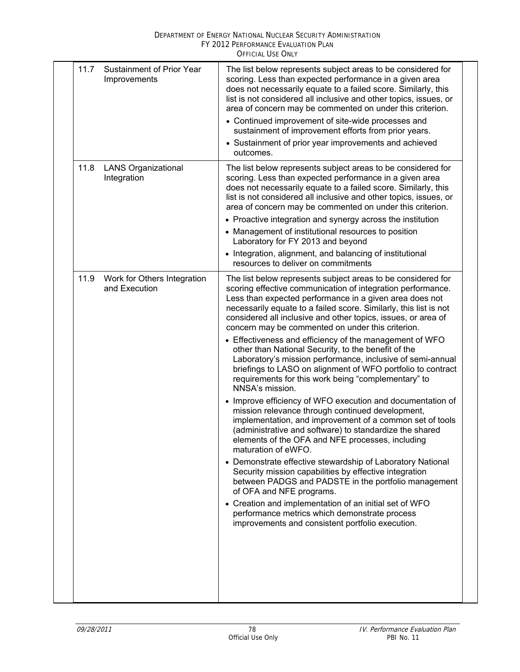| 11.7 | Sustainment of Prior Year<br>Improvements    | The list below represents subject areas to be considered for<br>scoring. Less than expected performance in a given area<br>does not necessarily equate to a failed score. Similarly, this<br>list is not considered all inclusive and other topics, issues, or<br>area of concern may be commented on under this criterion.<br>• Continued improvement of site-wide processes and<br>sustainment of improvement efforts from prior years.<br>• Sustainment of prior year improvements and achieved<br>outcomes.                                                                                                                                                                                                                                                                                                                                                                                                                                                                                                                                                                                                                                                                                                                                                                                                                                                                                           |
|------|----------------------------------------------|-----------------------------------------------------------------------------------------------------------------------------------------------------------------------------------------------------------------------------------------------------------------------------------------------------------------------------------------------------------------------------------------------------------------------------------------------------------------------------------------------------------------------------------------------------------------------------------------------------------------------------------------------------------------------------------------------------------------------------------------------------------------------------------------------------------------------------------------------------------------------------------------------------------------------------------------------------------------------------------------------------------------------------------------------------------------------------------------------------------------------------------------------------------------------------------------------------------------------------------------------------------------------------------------------------------------------------------------------------------------------------------------------------------|
| 11.8 | <b>LANS Organizational</b><br>Integration    | The list below represents subject areas to be considered for<br>scoring. Less than expected performance in a given area<br>does not necessarily equate to a failed score. Similarly, this<br>list is not considered all inclusive and other topics, issues, or<br>area of concern may be commented on under this criterion.<br>• Proactive integration and synergy across the institution<br>• Management of institutional resources to position<br>Laboratory for FY 2013 and beyond<br>• Integration, alignment, and balancing of institutional<br>resources to deliver on commitments                                                                                                                                                                                                                                                                                                                                                                                                                                                                                                                                                                                                                                                                                                                                                                                                                  |
| 11.9 | Work for Others Integration<br>and Execution | The list below represents subject areas to be considered for<br>scoring effective communication of integration performance.<br>Less than expected performance in a given area does not<br>necessarily equate to a failed score. Similarly, this list is not<br>considered all inclusive and other topics, issues, or area of<br>concern may be commented on under this criterion.<br>• Effectiveness and efficiency of the management of WFO<br>other than National Security, to the benefit of the<br>Laboratory's mission performance, inclusive of semi-annual<br>briefings to LASO on alignment of WFO portfolio to contract<br>requirements for this work being "complementary" to<br>NNSA's mission.<br>• Improve efficiency of WFO execution and documentation of<br>mission relevance through continued development,<br>implementation, and improvement of a common set of tools<br>(administrative and software) to standardize the shared<br>elements of the OFA and NFE processes, including<br>maturation of eWFO.<br>• Demonstrate effective stewardship of Laboratory National<br>Security mission capabilities by effective integration<br>between PADGS and PADSTE in the portfolio management<br>of OFA and NFE programs.<br>• Creation and implementation of an initial set of WFO<br>performance metrics which demonstrate process<br>improvements and consistent portfolio execution. |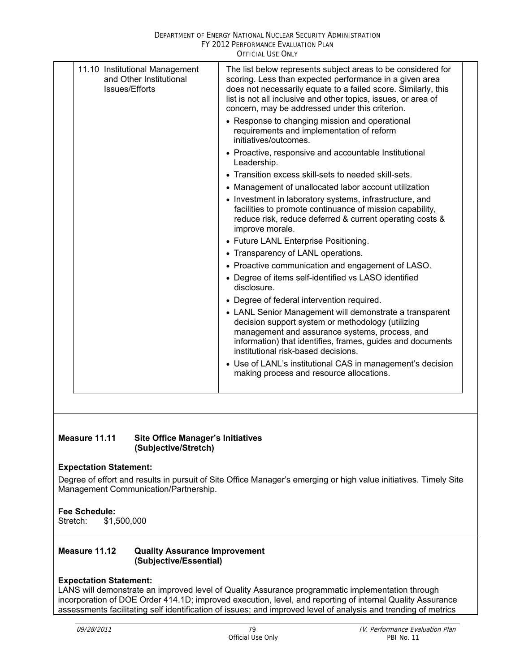| 11.10 Institutional Management<br>and Other Institutional<br>Issues/Efforts | The list below represents subject areas to be considered for<br>scoring. Less than expected performance in a given area<br>does not necessarily equate to a failed score. Similarly, this<br>list is not all inclusive and other topics, issues, or area of<br>concern, may be addressed under this criterion. |
|-----------------------------------------------------------------------------|----------------------------------------------------------------------------------------------------------------------------------------------------------------------------------------------------------------------------------------------------------------------------------------------------------------|
|                                                                             | • Response to changing mission and operational<br>requirements and implementation of reform<br>initiatives/outcomes.                                                                                                                                                                                           |
|                                                                             | • Proactive, responsive and accountable Institutional<br>Leadership.                                                                                                                                                                                                                                           |
|                                                                             | • Transition excess skill-sets to needed skill-sets.                                                                                                                                                                                                                                                           |
|                                                                             | • Management of unallocated labor account utilization                                                                                                                                                                                                                                                          |
|                                                                             | • Investment in laboratory systems, infrastructure, and<br>facilities to promote continuance of mission capability,<br>reduce risk, reduce deferred & current operating costs &<br>improve morale.                                                                                                             |
|                                                                             | • Future LANL Enterprise Positioning.                                                                                                                                                                                                                                                                          |
|                                                                             | • Transparency of LANL operations.                                                                                                                                                                                                                                                                             |
|                                                                             | • Proactive communication and engagement of LASO.                                                                                                                                                                                                                                                              |
|                                                                             | • Degree of items self-identified vs LASO identified<br>disclosure.                                                                                                                                                                                                                                            |
|                                                                             | • Degree of federal intervention required.                                                                                                                                                                                                                                                                     |
|                                                                             | • LANL Senior Management will demonstrate a transparent<br>decision support system or methodology (utilizing<br>management and assurance systems, process, and<br>information) that identifies, frames, guides and documents<br>institutional risk-based decisions.                                            |
|                                                                             | • Use of LANL's institutional CAS in management's decision<br>making process and resource allocations.                                                                                                                                                                                                         |

#### **Measure 11.11 Site Office Manager's Initiatives (Subjective/Stretch)**

### **Expectation Statement:**

Degree of effort and results in pursuit of Site Office Manager's emerging or high value initiatives. Timely Site Management Communication/Partnership.

## **Fee Schedule:**

Stretch: \$1,500,000

### **Measure 11.12 Quality Assurance Improvement (Subjective/Essential)**

### **Expectation Statement:**

LANS will demonstrate an improved level of Quality Assurance programmatic implementation through incorporation of DOE Order 414.1D; improved execution, level, and reporting of internal Quality Assurance assessments facilitating self identification of issues; and improved level of analysis and trending of metrics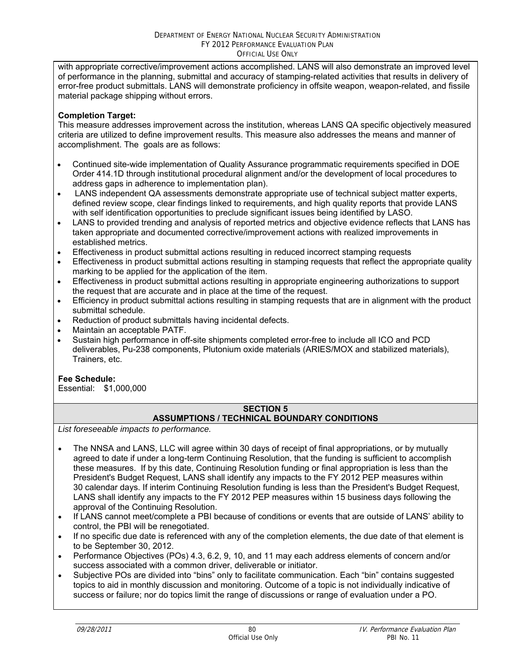with appropriate corrective/improvement actions accomplished. LANS will also demonstrate an improved level of performance in the planning, submittal and accuracy of stamping-related activities that results in delivery of error-free product submittals. LANS will demonstrate proficiency in offsite weapon, weapon-related, and fissile material package shipping without errors.

### **Completion Target:**

This measure addresses improvement across the institution, whereas LANS QA specific objectively measured criteria are utilized to define improvement results. This measure also addresses the means and manner of accomplishment. The goals are as follows:

- Continued site-wide implementation of Quality Assurance programmatic requirements specified in DOE Order 414.1D through institutional procedural alignment and/or the development of local procedures to address gaps in adherence to implementation plan).
- LANS independent QA assessments demonstrate appropriate use of technical subject matter experts, defined review scope, clear findings linked to requirements, and high quality reports that provide LANS with self identification opportunities to preclude significant issues being identified by LASO.
- LANS to provided trending and analysis of reported metrics and objective evidence reflects that LANS has taken appropriate and documented corrective/improvement actions with realized improvements in established metrics.
- Effectiveness in product submittal actions resulting in reduced incorrect stamping requests
- Effectiveness in product submittal actions resulting in stamping requests that reflect the appropriate quality marking to be applied for the application of the item.
- Effectiveness in product submittal actions resulting in appropriate engineering authorizations to support the request that are accurate and in place at the time of the request.
- Efficiency in product submittal actions resulting in stamping requests that are in alignment with the product submittal schedule.
- Reduction of product submittals having incidental defects.
- Maintain an acceptable PATF.
- Sustain high performance in off-site shipments completed error-free to include all ICO and PCD deliverables, Pu-238 components, Plutonium oxide materials (ARIES/MOX and stabilized materials), Trainers, etc.

### **Fee Schedule:**

Essential: \$1,000,000

### **SECTION 5 ASSUMPTIONS / TECHNICAL BOUNDARY CONDITIONS**

*List foreseeable impacts to performance.* 

- The NNSA and LANS, LLC will agree within 30 days of receipt of final appropriations, or by mutually agreed to date if under a long-term Continuing Resolution, that the funding is sufficient to accomplish these measures. If by this date, Continuing Resolution funding or final appropriation is less than the President's Budget Request, LANS shall identify any impacts to the FY 2012 PEP measures within 30 calendar days. If interim Continuing Resolution funding is less than the President's Budget Request, LANS shall identify any impacts to the FY 2012 PEP measures within 15 business days following the approval of the Continuing Resolution.
- If LANS cannot meet/complete a PBI because of conditions or events that are outside of LANS' ability to control, the PBI will be renegotiated.
- If no specific due date is referenced with any of the completion elements, the due date of that element is to be September 30, 2012.
- Performance Objectives (POs) 4.3, 6.2, 9, 10, and 11 may each address elements of concern and/or success associated with a common driver, deliverable or initiator.
- Subjective POs are divided into "bins" only to facilitate communication. Each "bin" contains suggested topics to aid in monthly discussion and monitoring. Outcome of a topic is not individually indicative of success or failure; nor do topics limit the range of discussions or range of evaluation under a PO.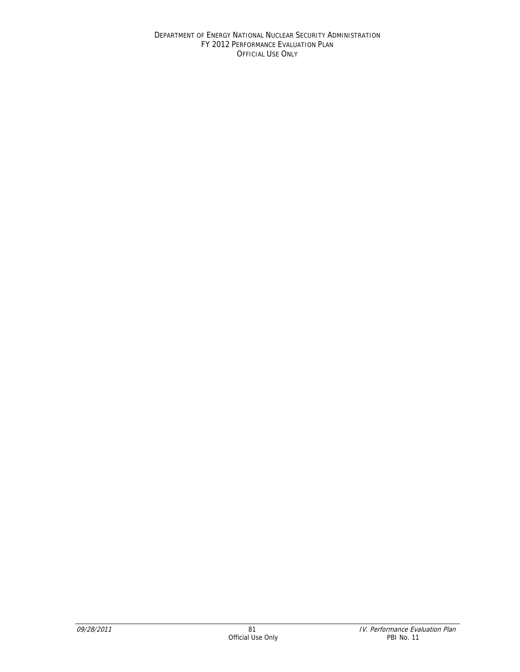DEPARTMENT OF ENERGY NATIONAL NUCLEAR SECURITY ADMINISTRATION FY 2012 PERFORMANCE EVALUATION PLAN OFFICIAL USE ONLY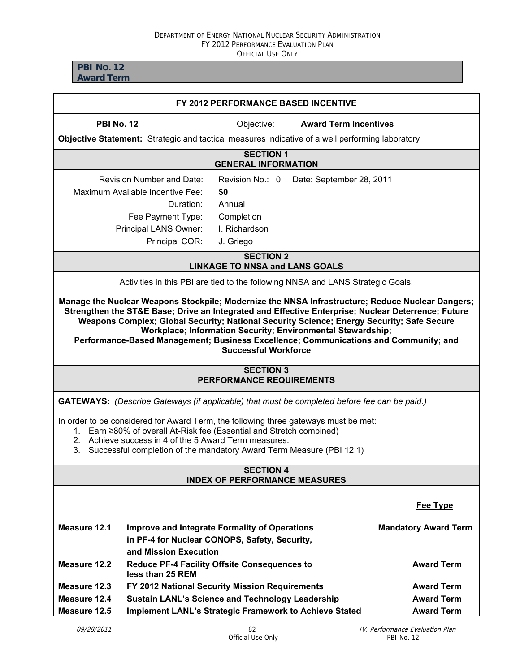### **PBI NO. 12 Award Term**

| FY 2012 PERFORMANCE BASED INCENTIVE                                                                                                                                                                                                                                                                                                                                                                                                                                                       |                                                                                                 |               |                                          |                                 |
|-------------------------------------------------------------------------------------------------------------------------------------------------------------------------------------------------------------------------------------------------------------------------------------------------------------------------------------------------------------------------------------------------------------------------------------------------------------------------------------------|-------------------------------------------------------------------------------------------------|---------------|------------------------------------------|---------------------------------|
| <b>PBI No. 12</b>                                                                                                                                                                                                                                                                                                                                                                                                                                                                         |                                                                                                 | Objective:    | <b>Award Term Incentives</b>             |                                 |
|                                                                                                                                                                                                                                                                                                                                                                                                                                                                                           | Objective Statement: Strategic and tactical measures indicative of a well performing laboratory |               |                                          |                                 |
| <b>SECTION 1</b><br><b>GENERAL INFORMATION</b>                                                                                                                                                                                                                                                                                                                                                                                                                                            |                                                                                                 |               |                                          |                                 |
|                                                                                                                                                                                                                                                                                                                                                                                                                                                                                           | <b>Revision Number and Date:</b>                                                                |               | Revision No.: 0 Date: September 28, 2011 |                                 |
|                                                                                                                                                                                                                                                                                                                                                                                                                                                                                           | Maximum Available Incentive Fee:                                                                | \$0           |                                          |                                 |
|                                                                                                                                                                                                                                                                                                                                                                                                                                                                                           | Duration:                                                                                       | Annual        |                                          |                                 |
|                                                                                                                                                                                                                                                                                                                                                                                                                                                                                           | Fee Payment Type:                                                                               | Completion    |                                          |                                 |
|                                                                                                                                                                                                                                                                                                                                                                                                                                                                                           | Principal LANS Owner:                                                                           | I. Richardson |                                          |                                 |
|                                                                                                                                                                                                                                                                                                                                                                                                                                                                                           | Principal COR:                                                                                  | J. Griego     |                                          |                                 |
| <b>SECTION 2</b><br><b>LINKAGE TO NNSA and LANS GOALS</b>                                                                                                                                                                                                                                                                                                                                                                                                                                 |                                                                                                 |               |                                          |                                 |
| Activities in this PBI are tied to the following NNSA and LANS Strategic Goals:                                                                                                                                                                                                                                                                                                                                                                                                           |                                                                                                 |               |                                          |                                 |
| Manage the Nuclear Weapons Stockpile; Modernize the NNSA Infrastructure; Reduce Nuclear Dangers;<br>Strengthen the ST&E Base; Drive an Integrated and Effective Enterprise; Nuclear Deterrence; Future<br>Weapons Complex; Global Security; National Security Science; Energy Security; Safe Secure<br>Workplace; Information Security; Environmental Stewardship;<br>Performance-Based Management; Business Excellence; Communications and Community; and<br><b>Successful Workforce</b> |                                                                                                 |               |                                          |                                 |
| <b>SECTION 3</b><br>PERFORMANCE REQUIREMENTS                                                                                                                                                                                                                                                                                                                                                                                                                                              |                                                                                                 |               |                                          |                                 |
| <b>GATEWAYS:</b> (Describe Gateways (if applicable) that must be completed before fee can be paid.)                                                                                                                                                                                                                                                                                                                                                                                       |                                                                                                 |               |                                          |                                 |
| In order to be considered for Award Term, the following three gateways must be met:                                                                                                                                                                                                                                                                                                                                                                                                       |                                                                                                 |               |                                          |                                 |
| 1. Earn ≥80% of overall At-Risk fee (Essential and Stretch combined)                                                                                                                                                                                                                                                                                                                                                                                                                      |                                                                                                 |               |                                          |                                 |
| 2. Achieve success in 4 of the 5 Award Term measures.                                                                                                                                                                                                                                                                                                                                                                                                                                     |                                                                                                 |               |                                          |                                 |
| Successful completion of the mandatory Award Term Measure (PBI 12.1)<br>3.                                                                                                                                                                                                                                                                                                                                                                                                                |                                                                                                 |               |                                          |                                 |
| <b>SECTION 4</b>                                                                                                                                                                                                                                                                                                                                                                                                                                                                          |                                                                                                 |               |                                          |                                 |
| <b>INDEX OF PERFORMANCE MEASURES</b>                                                                                                                                                                                                                                                                                                                                                                                                                                                      |                                                                                                 |               |                                          |                                 |
|                                                                                                                                                                                                                                                                                                                                                                                                                                                                                           |                                                                                                 |               |                                          | Fee Type                        |
| Measure 12.1                                                                                                                                                                                                                                                                                                                                                                                                                                                                              | <b>Improve and Integrate Formality of Operations</b>                                            |               |                                          | <b>Mandatory Award Term</b>     |
|                                                                                                                                                                                                                                                                                                                                                                                                                                                                                           | in PF-4 for Nuclear CONOPS, Safety, Security,                                                   |               |                                          |                                 |
|                                                                                                                                                                                                                                                                                                                                                                                                                                                                                           | and Mission Execution                                                                           |               |                                          |                                 |
| Measure 12.2                                                                                                                                                                                                                                                                                                                                                                                                                                                                              | <b>Reduce PF-4 Facility Offsite Consequences to</b><br>less than 25 REM                         |               |                                          | <b>Award Term</b>               |
| Measure 12.3                                                                                                                                                                                                                                                                                                                                                                                                                                                                              | FY 2012 National Security Mission Requirements                                                  |               |                                          | <b>Award Term</b>               |
| Measure 12.4                                                                                                                                                                                                                                                                                                                                                                                                                                                                              | <b>Sustain LANL's Science and Technology Leadership</b>                                         |               |                                          | <b>Award Term</b>               |
| Measure 12.5                                                                                                                                                                                                                                                                                                                                                                                                                                                                              | <b>Implement LANL's Strategic Framework to Achieve Stated</b>                                   |               |                                          | <b>Award Term</b>               |
| 09/28/2011                                                                                                                                                                                                                                                                                                                                                                                                                                                                                |                                                                                                 | 82            |                                          | IV. Performance Evaluation Plan |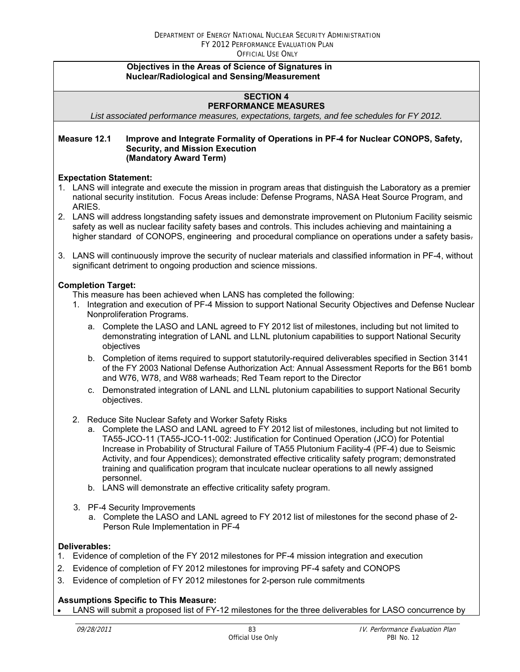#### **Objectives in the Areas of Science of Signatures in Nuclear/Radiological and Sensing/Measurement**

# **SECTION 4**

### **PERFORMANCE MEASURES**

*List associated performance measures, expectations, targets, and fee schedules for FY 2012.* 

#### **Measure 12.1 Improve and Integrate Formality of Operations in PF-4 for Nuclear CONOPS, Safety, Security, and Mission Execution (Mandatory Award Term)**

### **Expectation Statement:**

- 1. LANS will integrate and execute the mission in program areas that distinguish the Laboratory as a premier national security institution. Focus Areas include: Defense Programs, NASA Heat Source Program, and ARIES.
- 2. LANS will address longstanding safety issues and demonstrate improvement on Plutonium Facility seismic safety as well as nuclear facility safety bases and controls. This includes achieving and maintaining a higher standard of CONOPS, engineering and procedural compliance on operations under a safety basis-
- 3. LANS will continuously improve the security of nuclear materials and classified information in PF-4, without significant detriment to ongoing production and science missions.

### **Completion Target:**

This measure has been achieved when LANS has completed the following:

- 1. Integration and execution of PF-4 Mission to support National Security Objectives and Defense Nuclear Nonproliferation Programs.
	- a. Complete the LASO and LANL agreed to FY 2012 list of milestones, including but not limited to demonstrating integration of LANL and LLNL plutonium capabilities to support National Security objectives
	- b. Completion of items required to support statutorily-required deliverables specified in Section 3141 of the FY 2003 National Defense Authorization Act: Annual Assessment Reports for the B61 bomb and W76, W78, and W88 warheads; Red Team report to the Director
	- c. Demonstrated integration of LANL and LLNL plutonium capabilities to support National Security objectives.
- 2. Reduce Site Nuclear Safety and Worker Safety Risks
	- a. Complete the LASO and LANL agreed to FY 2012 list of milestones, including but not limited to TA55-JCO-11 (TA55-JCO-11-002: Justification for Continued Operation (JCO) for Potential Increase in Probability of Structural Failure of TA55 Plutonium Facility-4 (PF-4) due to Seismic Activity, and four Appendices); demonstrated effective criticality safety program; demonstrated training and qualification program that inculcate nuclear operations to all newly assigned personnel.
	- b. LANS will demonstrate an effective criticality safety program.
- 3. PF-4 Security Improvements
	- a. Complete the LASO and LANL agreed to FY 2012 list of milestones for the second phase of 2- Person Rule Implementation in PF-4

### **Deliverables:**

- 1. Evidence of completion of the FY 2012 milestones for PF-4 mission integration and execution
- 2. Evidence of completion of FY 2012 milestones for improving PF-4 safety and CONOPS
- 3. Evidence of completion of FY 2012 milestones for 2-person rule commitments

### **Assumptions Specific to This Measure:**

LANS will submit a proposed list of FY-12 milestones for the three deliverables for LASO concurrence by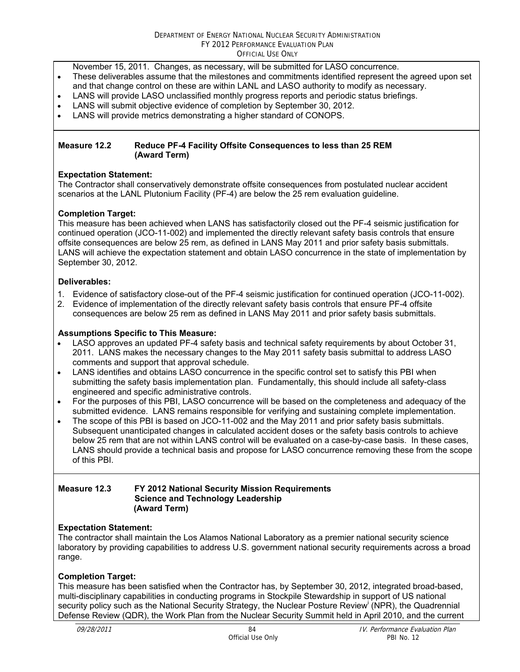November 15, 2011. Changes, as necessary, will be submitted for LASO concurrence.

- These deliverables assume that the milestones and commitments identified represent the agreed upon set and that change control on these are within LANL and LASO authority to modify as necessary.
- LANS will provide LASO unclassified monthly progress reports and periodic status briefings.
- LANS will submit objective evidence of completion by September 30, 2012.
- LANS will provide metrics demonstrating a higher standard of CONOPS.

### **Measure 12.2 Reduce PF-4 Facility Offsite Consequences to less than 25 REM (Award Term)**

### **Expectation Statement:**

The Contractor shall conservatively demonstrate offsite consequences from postulated nuclear accident scenarios at the LANL Plutonium Facility (PF-4) are below the 25 rem evaluation guideline.

### **Completion Target:**

This measure has been achieved when LANS has satisfactorily closed out the PF-4 seismic justification for continued operation (JCO-11-002) and implemented the directly relevant safety basis controls that ensure offsite consequences are below 25 rem, as defined in LANS May 2011 and prior safety basis submittals. LANS will achieve the expectation statement and obtain LASO concurrence in the state of implementation by September 30, 2012.

### **Deliverables:**

- 1. Evidence of satisfactory close-out of the PF-4 seismic justification for continued operation (JCO-11-002).
- 2. Evidence of implementation of the directly relevant safety basis controls that ensure PF-4 offsite consequences are below 25 rem as defined in LANS May 2011 and prior safety basis submittals.

### **Assumptions Specific to This Measure:**

- LASO approves an updated PF-4 safety basis and technical safety requirements by about October 31, 2011. LANS makes the necessary changes to the May 2011 safety basis submittal to address LASO comments and support that approval schedule.
- LANS identifies and obtains LASO concurrence in the specific control set to satisfy this PBI when submitting the safety basis implementation plan. Fundamentally, this should include all safety-class engineered and specific administrative controls.
- For the purposes of this PBI, LASO concurrence will be based on the completeness and adequacy of the submitted evidence. LANS remains responsible for verifying and sustaining complete implementation.
- The scope of this PBI is based on JCO-11-002 and the May 2011 and prior safety basis submittals. Subsequent unanticipated changes in calculated accident doses or the safety basis controls to achieve below 25 rem that are not within LANS control will be evaluated on a case-by-case basis. In these cases, LANS should provide a technical basis and propose for LASO concurrence removing these from the scope of this PBI.

#### **Measure 12.3 FY 2012 National Security Mission Requirements Science and Technology Leadership (Award Term)**

### **Expectation Statement:**

The contractor shall maintain the Los Alamos National Laboratory as a premier national security science laboratory by providing capabilities to address U.S. government national security requirements across a broad range.

### **Completion Target:**

This measure has been satisfied when the Contractor has, by September 30, 2012, integrated broad-based, multi-disciplinary capabilities in conducting programs in Stockpile Stewardship in support of US national security policy such as the National Security Strategy, the Nuclear Posture Review (NPR), the Quadrennial Defense Review (QDR), the Work Plan from the Nuclear Security Summit held in April 2010, and the current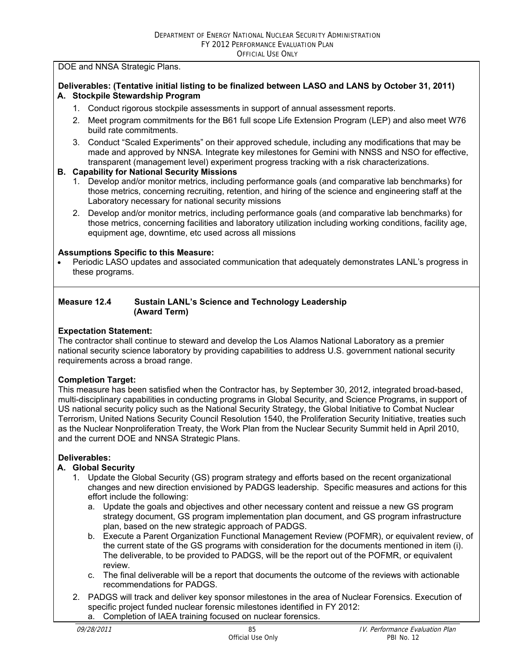### DOE and NNSA Strategic Plans.

#### **Deliverables: (Tentative initial listing to be finalized between LASO and LANS by October 31, 2011) A. Stockpile Stewardship Program**

- 1. Conduct rigorous stockpile assessments in support of annual assessment reports.
- 2. Meet program commitments for the B61 full scope Life Extension Program (LEP) and also meet W76 build rate commitments.
- 3. Conduct "Scaled Experiments" on their approved schedule, including any modifications that may be made and approved by NNSA. Integrate key milestones for Gemini with NNSS and NSO for effective, transparent (management level) experiment progress tracking with a risk characterizations.

### **B. Capability for National Security Missions**

- 1. Develop and/or monitor metrics, including performance goals (and comparative lab benchmarks) for those metrics, concerning recruiting, retention, and hiring of the science and engineering staff at the Laboratory necessary for national security missions
- 2. Develop and/or monitor metrics, including performance goals (and comparative lab benchmarks) for those metrics, concerning facilities and laboratory utilization including working conditions, facility age, equipment age, downtime, etc used across all missions

### **Assumptions Specific to this Measure:**

 Periodic LASO updates and associated communication that adequately demonstrates LANL's progress in these programs.

#### **Measure 12.4 Sustain LANL's Science and Technology Leadership (Award Term)**

### **Expectation Statement:**

The contractor shall continue to steward and develop the Los Alamos National Laboratory as a premier national security science laboratory by providing capabilities to address U.S. government national security requirements across a broad range.

### **Completion Target:**

This measure has been satisfied when the Contractor has, by September 30, 2012, integrated broad-based, multi-disciplinary capabilities in conducting programs in Global Security, and Science Programs, in support of US national security policy such as the National Security Strategy, the Global Initiative to Combat Nuclear Terrorism, United Nations Security Council Resolution 1540, the Proliferation Security Initiative, treaties such as the Nuclear Nonproliferation Treaty, the Work Plan from the Nuclear Security Summit held in April 2010, and the current DOE and NNSA Strategic Plans.

### **Deliverables:**

### **A. Global Security**

- 1. Update the Global Security (GS) program strategy and efforts based on the recent organizational changes and new direction envisioned by PADGS leadership. Specific measures and actions for this effort include the following:
	- a. Update the goals and objectives and other necessary content and reissue a new GS program strategy document, GS program implementation plan document, and GS program infrastructure plan, based on the new strategic approach of PADGS.
	- b. Execute a Parent Organization Functional Management Review (POFMR), or equivalent review, of the current state of the GS programs with consideration for the documents mentioned in item (i). The deliverable, to be provided to PADGS, will be the report out of the POFMR, or equivalent review.
	- c. The final deliverable will be a report that documents the outcome of the reviews with actionable recommendations for PADGS.
- 2. PADGS will track and deliver key sponsor milestones in the area of Nuclear Forensics. Execution of specific project funded nuclear forensic milestones identified in FY 2012:
	- a. Completion of IAEA training focused on nuclear forensics.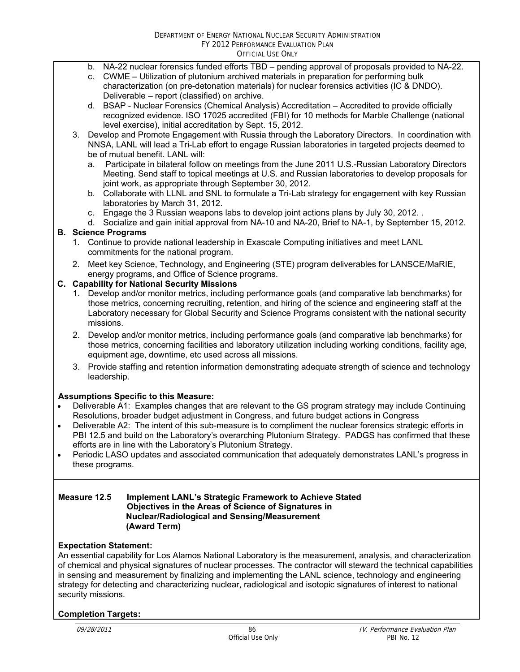- b. NA-22 nuclear forensics funded efforts TBD pending approval of proposals provided to NA-22.
- c. CWME Utilization of plutonium archived materials in preparation for performing bulk characterization (on pre-detonation materials) for nuclear forensics activities (IC & DNDO). Deliverable – report (classified) on archive.
- d. BSAP Nuclear Forensics (Chemical Analysis) Accreditation Accredited to provide officially recognized evidence. ISO 17025 accredited (FBI) for 10 methods for Marble Challenge (national level exercise), initial accreditation by Sept. 15, 2012.
- 3. Develop and Promote Engagement with Russia through the Laboratory Directors. In coordination with NNSA, LANL will lead a Tri-Lab effort to engage Russian laboratories in targeted projects deemed to be of mutual benefit. LANL will:
	- a. Participate in bilateral follow on meetings from the June 2011 U.S.-Russian Laboratory Directors Meeting. Send staff to topical meetings at U.S. and Russian laboratories to develop proposals for joint work, as appropriate through September 30, 2012.
	- b. Collaborate with LLNL and SNL to formulate a Tri-Lab strategy for engagement with key Russian laboratories by March 31, 2012.
	- c. Engage the 3 Russian weapons labs to develop joint actions plans by July 30, 2012. .
	- d. Socialize and gain initial approval from NA-10 and NA-20, Brief to NA-1, by September 15, 2012.

### **B. Science Programs**

- 1. Continue to provide national leadership in Exascale Computing initiatives and meet LANL commitments for the national program.
- 2. Meet key Science, Technology, and Engineering (STE) program deliverables for LANSCE/MaRIE, energy programs, and Office of Science programs.

## **C. Capability for National Security Missions**

- 1. Develop and/or monitor metrics, including performance goals (and comparative lab benchmarks) for those metrics, concerning recruiting, retention, and hiring of the science and engineering staff at the Laboratory necessary for Global Security and Science Programs consistent with the national security missions.
- 2. Develop and/or monitor metrics, including performance goals (and comparative lab benchmarks) for those metrics, concerning facilities and laboratory utilization including working conditions, facility age, equipment age, downtime, etc used across all missions.
- 3. Provide staffing and retention information demonstrating adequate strength of science and technology leadership.

### **Assumptions Specific to this Measure:**

- Deliverable A1: Examples changes that are relevant to the GS program strategy may include Continuing Resolutions, broader budget adjustment in Congress, and future budget actions in Congress
- Deliverable A2: The intent of this sub-measure is to compliment the nuclear forensics strategic efforts in PBI 12.5 and build on the Laboratory's overarching Plutonium Strategy. PADGS has confirmed that these efforts are in line with the Laboratory's Plutonium Strategy.
- Periodic LASO updates and associated communication that adequately demonstrates LANL's progress in these programs.

#### **Measure 12.5 Implement LANL's Strategic Framework to Achieve Stated Objectives in the Areas of Science of Signatures in Nuclear/Radiological and Sensing/Measurement (Award Term)**

### **Expectation Statement:**

An essential capability for Los Alamos National Laboratory is the measurement, analysis, and characterization of chemical and physical signatures of nuclear processes. The contractor will steward the technical capabilities in sensing and measurement by finalizing and implementing the LANL science, technology and engineering strategy for detecting and characterizing nuclear, radiological and isotopic signatures of interest to national security missions.

### **Completion Targets:**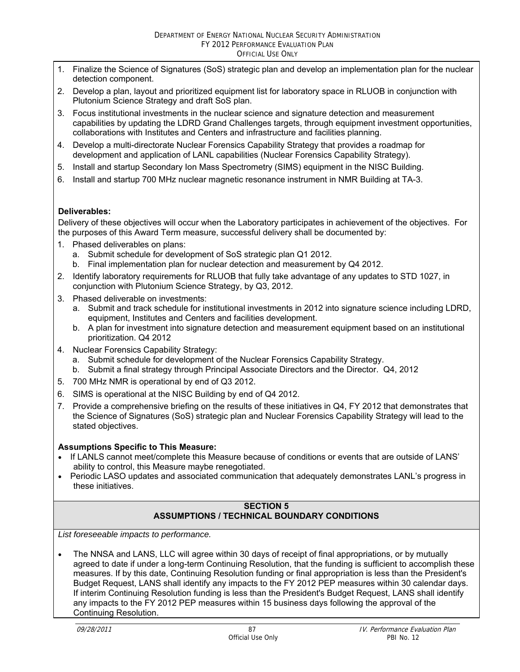- 1. Finalize the Science of Signatures (SoS) strategic plan and develop an implementation plan for the nuclear detection component.
- 2. Develop a plan, layout and prioritized equipment list for laboratory space in RLUOB in conjunction with Plutonium Science Strategy and draft SoS plan.
- 3. Focus institutional investments in the nuclear science and signature detection and measurement capabilities by updating the LDRD Grand Challenges targets, through equipment investment opportunities, collaborations with Institutes and Centers and infrastructure and facilities planning.
- 4. Develop a multi-directorate Nuclear Forensics Capability Strategy that provides a roadmap for development and application of LANL capabilities (Nuclear Forensics Capability Strategy).
- 5. Install and startup Secondary Ion Mass Spectrometry (SIMS) equipment in the NISC Building.
- 6. Install and startup 700 MHz nuclear magnetic resonance instrument in NMR Building at TA-3.

### **Deliverables:**

Delivery of these objectives will occur when the Laboratory participates in achievement of the objectives. For the purposes of this Award Term measure, successful delivery shall be documented by:

- 1. Phased deliverables on plans:
	- a. Submit schedule for development of SoS strategic plan Q1 2012.
	- b. Final implementation plan for nuclear detection and measurement by Q4 2012.
- 2. Identify laboratory requirements for RLUOB that fully take advantage of any updates to STD 1027, in conjunction with Plutonium Science Strategy, by Q3, 2012.
- 3. Phased deliverable on investments:
	- a. Submit and track schedule for institutional investments in 2012 into signature science including LDRD, equipment, Institutes and Centers and facilities development.
	- b. A plan for investment into signature detection and measurement equipment based on an institutional prioritization. Q4 2012
- 4. Nuclear Forensics Capability Strategy:
	- a. Submit schedule for development of the Nuclear Forensics Capability Strategy.
	- b. Submit a final strategy through Principal Associate Directors and the Director. Q4, 2012
- 5. 700 MHz NMR is operational by end of Q3 2012.
- 6. SIMS is operational at the NISC Building by end of Q4 2012.
- 7. Provide a comprehensive briefing on the results of these initiatives in Q4, FY 2012 that demonstrates that the Science of Signatures (SoS) strategic plan and Nuclear Forensics Capability Strategy will lead to the stated objectives.

#### **Assumptions Specific to This Measure:**

- If LANLS cannot meet/complete this Measure because of conditions or events that are outside of LANS' ability to control, this Measure maybe renegotiated.
- Periodic LASO updates and associated communication that adequately demonstrates LANL's progress in these initiatives.

### **SECTION 5 ASSUMPTIONS / TECHNICAL BOUNDARY CONDITIONS**

*List foreseeable impacts to performance.* 

• The NNSA and LANS, LLC will agree within 30 days of receipt of final appropriations, or by mutually agreed to date if under a long-term Continuing Resolution, that the funding is sufficient to accomplish these measures. If by this date, Continuing Resolution funding or final appropriation is less than the President's Budget Request, LANS shall identify any impacts to the FY 2012 PEP measures within 30 calendar days. If interim Continuing Resolution funding is less than the President's Budget Request, LANS shall identify any impacts to the FY 2012 PEP measures within 15 business days following the approval of the Continuing Resolution.